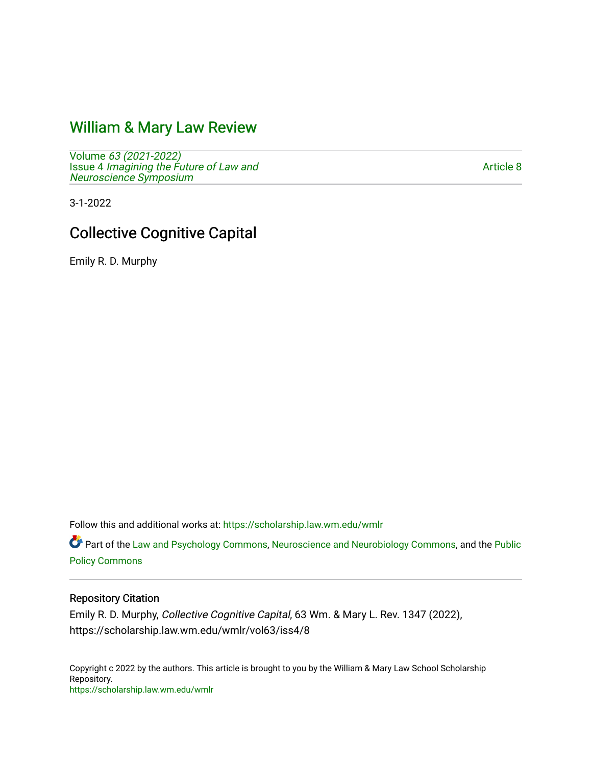# [William & Mary Law Review](https://scholarship.law.wm.edu/wmlr)

Volume [63 \(2021-2022\)](https://scholarship.law.wm.edu/wmlr/vol63)  Issue 4 [Imagining the Future of Law and](https://scholarship.law.wm.edu/wmlr/vol63/iss4)  [Neuroscience Symposium](https://scholarship.law.wm.edu/wmlr/vol63/iss4) 

[Article 8](https://scholarship.law.wm.edu/wmlr/vol63/iss4/8) 

3-1-2022

# Collective Cognitive Capital

Emily R. D. Murphy

Follow this and additional works at: [https://scholarship.law.wm.edu/wmlr](https://scholarship.law.wm.edu/wmlr?utm_source=scholarship.law.wm.edu%2Fwmlr%2Fvol63%2Fiss4%2F8&utm_medium=PDF&utm_campaign=PDFCoverPages)

Part of the [Law and Psychology Commons,](https://network.bepress.com/hgg/discipline/870?utm_source=scholarship.law.wm.edu%2Fwmlr%2Fvol63%2Fiss4%2F8&utm_medium=PDF&utm_campaign=PDFCoverPages) [Neuroscience and Neurobiology Commons,](https://network.bepress.com/hgg/discipline/55?utm_source=scholarship.law.wm.edu%2Fwmlr%2Fvol63%2Fiss4%2F8&utm_medium=PDF&utm_campaign=PDFCoverPages) and the [Public](https://network.bepress.com/hgg/discipline/400?utm_source=scholarship.law.wm.edu%2Fwmlr%2Fvol63%2Fiss4%2F8&utm_medium=PDF&utm_campaign=PDFCoverPages) [Policy Commons](https://network.bepress.com/hgg/discipline/400?utm_source=scholarship.law.wm.edu%2Fwmlr%2Fvol63%2Fiss4%2F8&utm_medium=PDF&utm_campaign=PDFCoverPages)

### Repository Citation

Emily R. D. Murphy, Collective Cognitive Capital, 63 Wm. & Mary L. Rev. 1347 (2022), https://scholarship.law.wm.edu/wmlr/vol63/iss4/8

Copyright c 2022 by the authors. This article is brought to you by the William & Mary Law School Scholarship Repository. <https://scholarship.law.wm.edu/wmlr>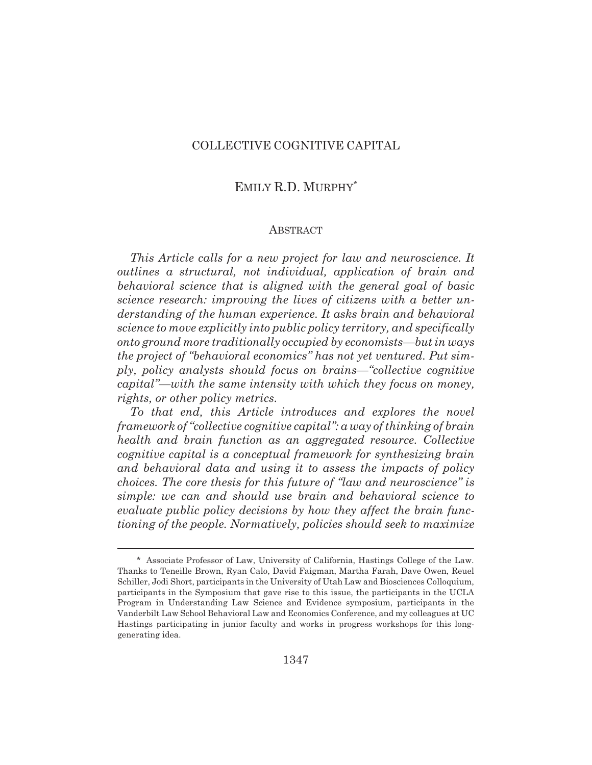### COLLECTIVE COGNITIVE CAPITAL

### EMILY R.D. MURPHY\*

#### **ABSTRACT**

*This Article calls for a new project for law and neuroscience. It outlines a structural, not individual, application of brain and behavioral science that is aligned with the general goal of basic science research: improving the lives of citizens with a better understanding of the human experience. It asks brain and behavioral science to move explicitly into public policy territory, and specifically onto ground more traditionally occupied by economists—but in ways the project of "behavioral economics" has not yet ventured. Put simply, policy analysts should focus on brains—"collective cognitive capital"—with the same intensity with which they focus on money, rights, or other policy metrics.*

*To that end, this Article introduces and explores the novel framework of "collective cognitive capital": a way of thinking of brain health and brain function as an aggregated resource. Collective cognitive capital is a conceptual framework for synthesizing brain and behavioral data and using it to assess the impacts of policy choices. The core thesis for this future of "law and neuroscience" is simple: we can and should use brain and behavioral science to evaluate public policy decisions by how they affect the brain functioning of the people. Normatively, policies should seek to maximize*

<sup>\*</sup> Associate Professor of Law, University of California, Hastings College of the Law. Thanks to Teneille Brown, Ryan Calo, David Faigman, Martha Farah, Dave Owen, Reuel Schiller, Jodi Short, participants in the University of Utah Law and Biosciences Colloquium, participants in the Symposium that gave rise to this issue, the participants in the UCLA Program in Understanding Law Science and Evidence symposium, participants in the Vanderbilt Law School Behavioral Law and Economics Conference, and my colleagues at UC Hastings participating in junior faculty and works in progress workshops for this longgenerating idea.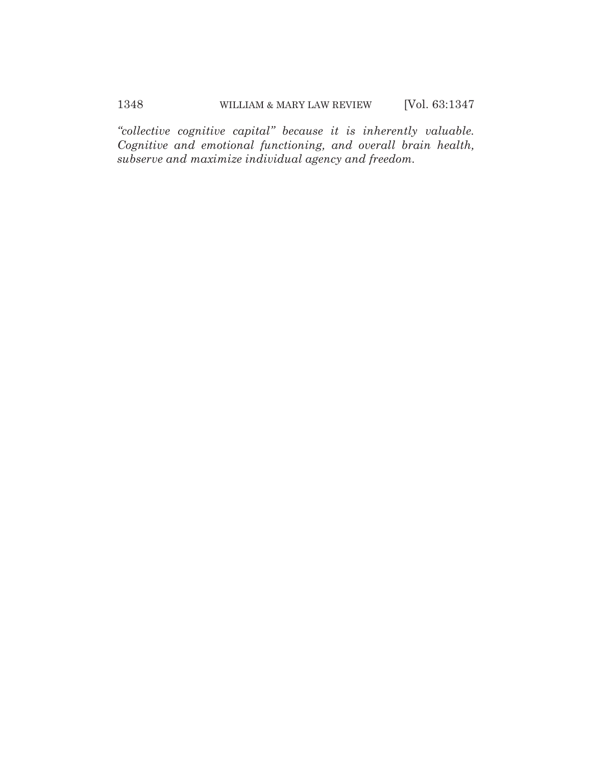*"collective cognitive capital" because it is inherently valuable. Cognitive and emotional functioning, and overall brain health, subserve and maximize individual agency and freedom.*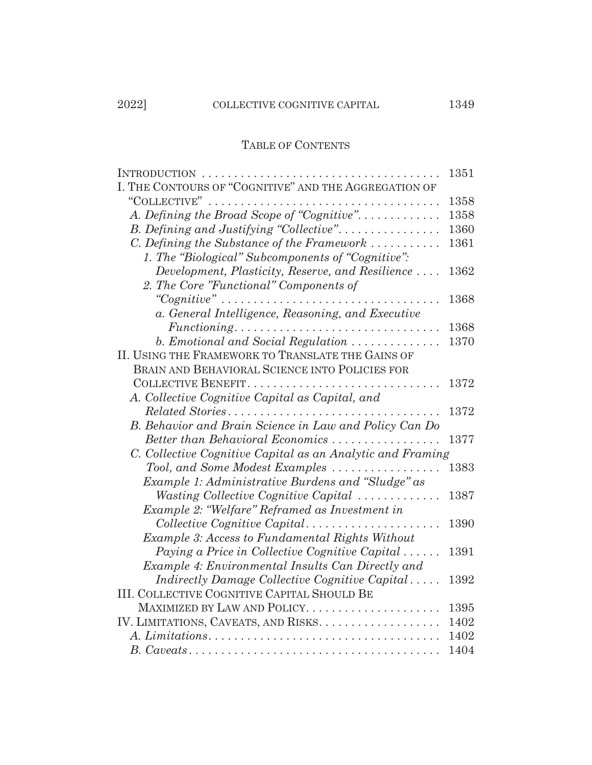|                                                                                     | 1351 |
|-------------------------------------------------------------------------------------|------|
| I. THE CONTOURS OF "COGNITIVE" AND THE AGGREGATION OF                               |      |
|                                                                                     | 1358 |
| A. Defining the Broad Scope of "Cognitive".                                         | 1358 |
| B. Defining and Justifying "Collective"                                             | 1360 |
| C. Defining the Substance of the Framework $\dots\dots\dots\dots$                   | 1361 |
| 1. The "Biological" Subcomponents of "Cognitive":                                   |      |
| Development, Plasticity, Reserve, and Resilience                                    | 1362 |
| 2. The Core "Functional" Components of                                              |      |
|                                                                                     | 1368 |
| a. General Intelligence, Reasoning, and Executive                                   |      |
| $Functioning \ldots \ldots \ldots \ldots \ldots \ldots \ldots \ldots \ldots \ldots$ | 1368 |
| b. Emotional and Social Regulation                                                  | 1370 |
| II. USING THE FRAMEWORK TO TRANSLATE THE GAINS OF                                   |      |
| BRAIN AND BEHAVIORAL SCIENCE INTO POLICIES FOR                                      |      |
| COLLECTIVE BENEFIT<br>.                                                             | 1372 |
| A. Collective Cognitive Capital as Capital, and                                     |      |
| Related Stories                                                                     | 1372 |
| B. Behavior and Brain Science in Law and Policy Can Do                              |      |
| Better than Behavioral Economics                                                    | 1377 |
| C. Collective Cognitive Capital as an Analytic and Framing                          |      |
| Tool, and Some Modest Examples $\ldots \ldots \ldots \ldots \ldots$                 | 1383 |
| Example 1: Administrative Burdens and "Sludge" as                                   |      |
| Wasting Collective Cognitive Capital                                                | 1387 |
| Example 2: "Welfare" Reframed as Investment in                                      |      |
| $Collective Cognitive Capital.\dots \dots \dots \dots \dots \dots$                  | 1390 |
| Example 3: Access to Fundamental Rights Without                                     |      |
| Paying a Price in Collective Cognitive Capital $\ldots \ldots$                      | 1391 |
| Example 4: Environmental Insults Can Directly and                                   |      |
| Indirectly Damage Collective Cognitive Capital                                      | 1392 |
| <b>III. COLLECTIVE COGNITIVE CAPITAL SHOULD BE</b>                                  |      |
|                                                                                     | 1395 |
|                                                                                     | 1402 |
|                                                                                     | 1402 |
|                                                                                     | 1404 |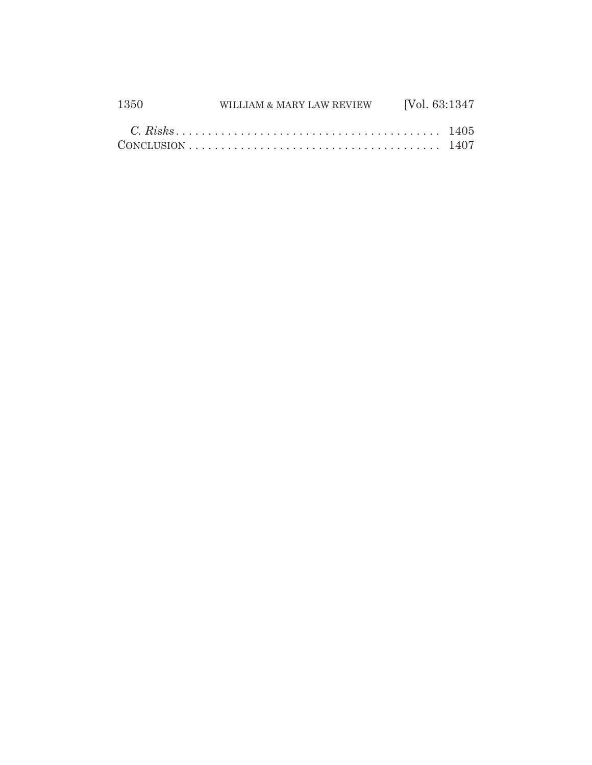| 1350 | WILLIAM & MARY LAW REVIEW [Vol. 63:1347] |  |
|------|------------------------------------------|--|
|      |                                          |  |
|      |                                          |  |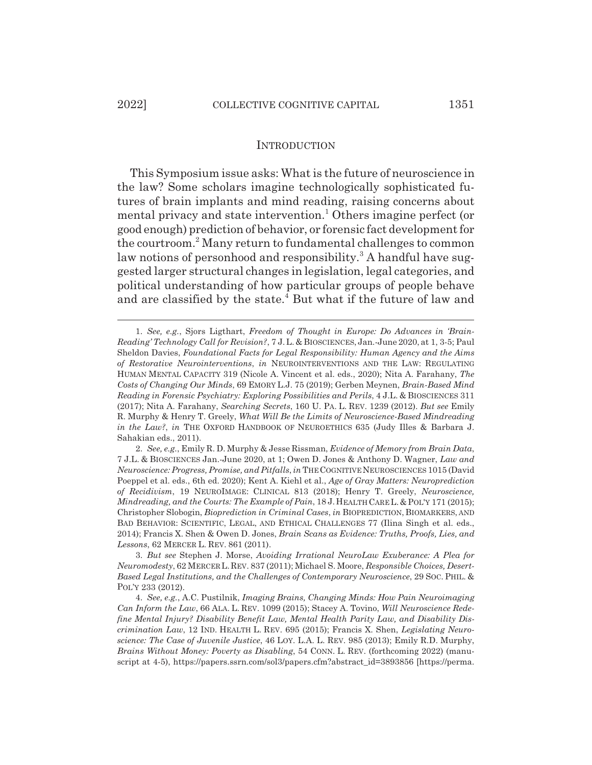# INTRODUCTION

This Symposium issue asks: What is the future of neuroscience in the law? Some scholars imagine technologically sophisticated futures of brain implants and mind reading, raising concerns about mental privacy and state intervention.<sup>1</sup> Others imagine perfect (or good enough) prediction of behavior, or forensic fact development for the courtroom.<sup>2</sup> Many return to fundamental challenges to common law notions of personhood and responsibility.<sup>3</sup> A handful have suggested larger structural changes in legislation, legal categories, and political understanding of how particular groups of people behave and are classified by the state.<sup>4</sup> But what if the future of law and

<sup>1.</sup> *See, e.g.*, Sjors Ligthart, *Freedom of Thought in Europe: Do Advances in 'Brain-Reading' Technology Call for Revision?*, 7 J. L. & BIOSCIENCES, Jan.-June 2020, at 1, 3-5; Paul Sheldon Davies, *Foundational Facts for Legal Responsibility: Human Agency and the Aims of Restorative Neurointerventions*, *in* NEUROINTERVENTIONS AND THE LAW: REGULATING HUMAN MENTAL CAPACITY 319 (Nicole A. Vincent et al. eds., 2020); Nita A. Farahany, *The Costs of Changing Our Minds*, 69 EMORY L.J. 75 (2019); Gerben Meynen, *Brain-Based Mind Reading in Forensic Psychiatry: Exploring Possibilities and Perils*, 4 J.L. & BIOSCIENCES 311 (2017); Nita A. Farahany, *Searching Secrets*, 160 U. PA. L. REV. 1239 (2012). *But see* Emily R. Murphy & Henry T. Greely, *What Will Be the Limits of Neuroscience-Based Mindreading in the Law?*, *in* THE OXFORD HANDBOOK OF NEUROETHICS 635 (Judy Illes & Barbara J. Sahakian eds., 2011).

<sup>2.</sup> *See, e.g.*, Emily R. D. Murphy & Jesse Rissman, *Evidence of Memory from Brain Data*, 7 J.L. & BIOSCIENCES Jan.-June 2020, at 1; Owen D. Jones & Anthony D. Wagner, *Law and Neuroscience: Progress, Promise, and Pitfalls*, *in* THE COGNITIVE NEUROSCIENCES 1015 (David Poeppel et al. eds., 6th ed. 2020); Kent A. Kiehl et al., *Age of Gray Matters: Neuroprediction of Recidivism*, 19 NEUROIMAGE: CLINICAL 813 (2018); Henry T. Greely, *Neuroscience, Mindreading, and the Courts: The Example of Pain*, 18 J.HEALTH CARE L.&POL'Y 171 (2015); Christopher Slobogin, *Bioprediction in Criminal Cases*, *in* BIOPREDICTION, BIOMARKERS, AND BAD BEHAVIOR: SCIENTIFIC, LEGAL, AND ETHICAL CHALLENGES 77 (Ilina Singh et al. eds., 2014); Francis X. Shen & Owen D. Jones, *Brain Scans as Evidence: Truths, Proofs, Lies, and Lessons*, 62 MERCER L. REV. 861 (2011).

<sup>3.</sup> *But see* Stephen J. Morse, *Avoiding Irrational NeuroLaw Exuberance: A Plea for Neuromodesty*, 62 MERCER L.REV. 837 (2011); Michael S. Moore, *Responsible Choices, Desert-Based Legal Institutions, and the Challenges of Contemporary Neuroscience*, 29 SOC. PHIL. & POL'Y 233 (2012).

<sup>4.</sup> *See, e.g.*, A.C. Pustilnik, *Imaging Brains, Changing Minds: How Pain Neuroimaging Can Inform the Law*, 66 ALA. L. REV. 1099 (2015); Stacey A. Tovino, *Will Neuroscience Redefine Mental Injury? Disability Benefit Law, Mental Health Parity Law, and Disability Discrimination Law*, 12 IND. HEALTH L. REV. 695 (2015); Francis X. Shen, *Legislating Neuroscience: The Case of Juvenile Justice*, 46 LOY. L.A. L. REV. 985 (2013); Emily R.D. Murphy, *Brains Without Money: Poverty as Disabling*, 54 CONN. L. REV. (forthcoming 2022) (manuscript at 4-5), https://papers.ssrn.com/sol3/papers.cfm?abstract\_id=3893856 [https://perma.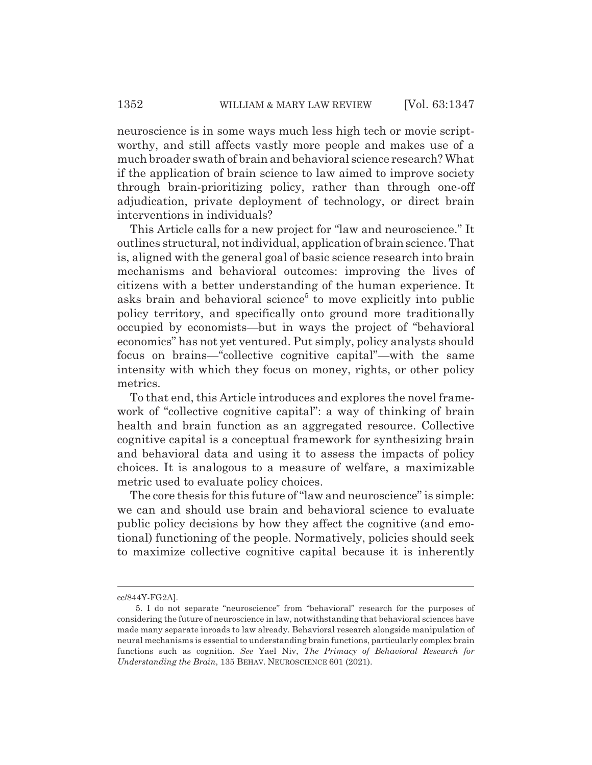neuroscience is in some ways much less high tech or movie scriptworthy, and still affects vastly more people and makes use of a much broader swath of brain and behavioral science research? What if the application of brain science to law aimed to improve society through brain-prioritizing policy, rather than through one-off adjudication, private deployment of technology, or direct brain interventions in individuals?

This Article calls for a new project for "law and neuroscience." It outlines structural, not individual, application of brain science. That is, aligned with the general goal of basic science research into brain mechanisms and behavioral outcomes: improving the lives of citizens with a better understanding of the human experience. It asks brain and behavioral science<sup>5</sup> to move explicitly into public policy territory, and specifically onto ground more traditionally occupied by economists—but in ways the project of "behavioral economics" has not yet ventured. Put simply, policy analysts should focus on brains—"collective cognitive capital"—with the same intensity with which they focus on money, rights, or other policy metrics.

To that end, this Article introduces and explores the novel framework of "collective cognitive capital": a way of thinking of brain health and brain function as an aggregated resource. Collective cognitive capital is a conceptual framework for synthesizing brain and behavioral data and using it to assess the impacts of policy choices. It is analogous to a measure of welfare, a maximizable metric used to evaluate policy choices.

The core thesis for this future of "law and neuroscience" is simple: we can and should use brain and behavioral science to evaluate public policy decisions by how they affect the cognitive (and emotional) functioning of the people. Normatively, policies should seek to maximize collective cognitive capital because it is inherently

cc/844Y-FG2A].

<sup>5.</sup> I do not separate "neuroscience" from "behavioral" research for the purposes of considering the future of neuroscience in law, notwithstanding that behavioral sciences have made many separate inroads to law already. Behavioral research alongside manipulation of neural mechanisms is essential to understanding brain functions, particularly complex brain functions such as cognition. *See* Yael Niv, *The Primacy of Behavioral Research for Understanding the Brain*, 135 BEHAV. NEUROSCIENCE 601 (2021).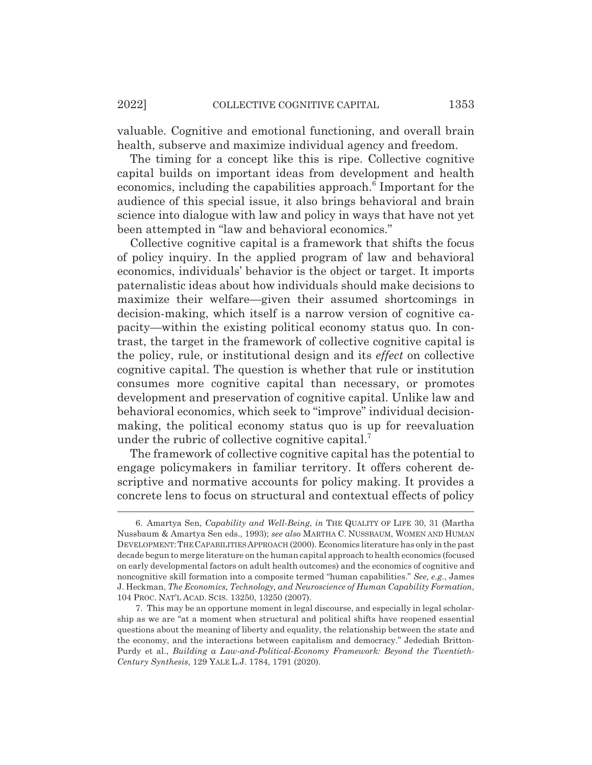valuable. Cognitive and emotional functioning, and overall brain health, subserve and maximize individual agency and freedom.

The timing for a concept like this is ripe. Collective cognitive capital builds on important ideas from development and health economics, including the capabilities approach.<sup>6</sup> Important for the audience of this special issue, it also brings behavioral and brain science into dialogue with law and policy in ways that have not yet been attempted in "law and behavioral economics."

Collective cognitive capital is a framework that shifts the focus of policy inquiry. In the applied program of law and behavioral economics, individuals' behavior is the object or target. It imports paternalistic ideas about how individuals should make decisions to maximize their welfare—given their assumed shortcomings in decision-making, which itself is a narrow version of cognitive capacity—within the existing political economy status quo. In contrast, the target in the framework of collective cognitive capital is the policy, rule, or institutional design and its *effect* on collective cognitive capital. The question is whether that rule or institution consumes more cognitive capital than necessary, or promotes development and preservation of cognitive capital. Unlike law and behavioral economics, which seek to "improve" individual decisionmaking, the political economy status quo is up for reevaluation under the rubric of collective cognitive capital.<sup>7</sup>

The framework of collective cognitive capital has the potential to engage policymakers in familiar territory. It offers coherent descriptive and normative accounts for policy making. It provides a concrete lens to focus on structural and contextual effects of policy

<sup>6.</sup> Amartya Sen, *Capability and Well-Being*, *in* THE QUALITY OF LIFE 30, 31 (Martha Nussbaum & Amartya Sen eds., 1993); *see also* MARTHA C. NUSSBAUM, WOMEN AND HUMAN DEVELOPMENT:THE CAPABILITIESAPPROACH (2000). Economics literature has only in the past decade begun to merge literature on the human capital approach to health economics (focused on early developmental factors on adult health outcomes) and the economics of cognitive and noncognitive skill formation into a composite termed "human capabilities." *See, e.g.*, James J. Heckman, *The Economics, Technology, and Neuroscience of Human Capability Formation*, 104 PROC. NAT'L ACAD. SCIS. 13250, 13250 (2007).

<sup>7.</sup> This may be an opportune moment in legal discourse, and especially in legal scholarship as we are "at a moment when structural and political shifts have reopened essential questions about the meaning of liberty and equality, the relationship between the state and the economy, and the interactions between capitalism and democracy." Jedediah Britton-Purdy et al., *Building a Law-and-Political-Economy Framework: Beyond the Twentieth-Century Synthesis*, 129 YALE L.J. 1784, 1791 (2020).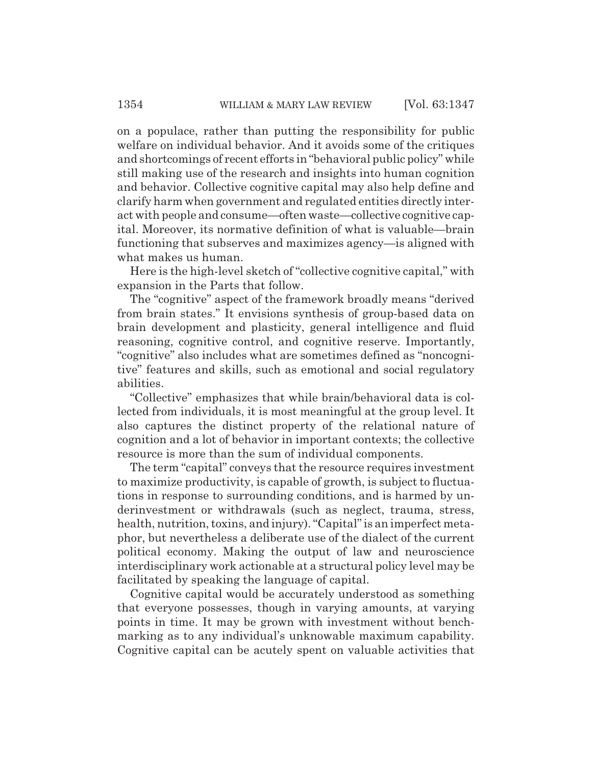on a populace, rather than putting the responsibility for public welfare on individual behavior. And it avoids some of the critiques and shortcomings of recent efforts in "behavioral public policy" while still making use of the research and insights into human cognition and behavior. Collective cognitive capital may also help define and clarify harm when government and regulated entities directly interact with people and consume—often waste—collective cognitive capital. Moreover, its normative definition of what is valuable—brain functioning that subserves and maximizes agency—is aligned with what makes us human.

Here is the high-level sketch of "collective cognitive capital," with expansion in the Parts that follow.

The "cognitive" aspect of the framework broadly means "derived from brain states." It envisions synthesis of group-based data on brain development and plasticity, general intelligence and fluid reasoning, cognitive control, and cognitive reserve. Importantly, "cognitive" also includes what are sometimes defined as "noncognitive" features and skills, such as emotional and social regulatory abilities.

"Collective" emphasizes that while brain/behavioral data is collected from individuals, it is most meaningful at the group level. It also captures the distinct property of the relational nature of cognition and a lot of behavior in important contexts; the collective resource is more than the sum of individual components.

The term "capital" conveys that the resource requires investment to maximize productivity, is capable of growth, is subject to fluctuations in response to surrounding conditions, and is harmed by underinvestment or withdrawals (such as neglect, trauma, stress, health, nutrition, toxins, and injury). "Capital" is an imperfect metaphor, but nevertheless a deliberate use of the dialect of the current political economy. Making the output of law and neuroscience interdisciplinary work actionable at a structural policy level may be facilitated by speaking the language of capital.

Cognitive capital would be accurately understood as something that everyone possesses, though in varying amounts, at varying points in time. It may be grown with investment without benchmarking as to any individual's unknowable maximum capability. Cognitive capital can be acutely spent on valuable activities that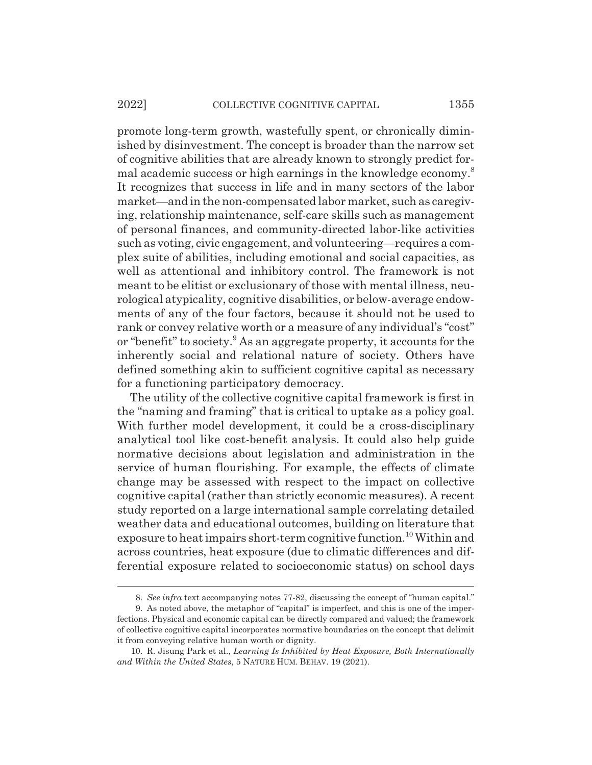#### 2022] COLLECTIVE COGNITIVE CAPITAL 1355

promote long-term growth, wastefully spent, or chronically diminished by disinvestment. The concept is broader than the narrow set of cognitive abilities that are already known to strongly predict formal academic success or high earnings in the knowledge economy.<sup>8</sup> It recognizes that success in life and in many sectors of the labor market—and in the non-compensated labor market, such as caregiving, relationship maintenance, self-care skills such as management of personal finances, and community-directed labor-like activities such as voting, civic engagement, and volunteering—requires a complex suite of abilities, including emotional and social capacities, as well as attentional and inhibitory control. The framework is not meant to be elitist or exclusionary of those with mental illness, neurological atypicality, cognitive disabilities, or below-average endowments of any of the four factors, because it should not be used to rank or convey relative worth or a measure of any individual's "cost" or "benefit" to society.<sup>9</sup> As an aggregate property, it accounts for the inherently social and relational nature of society. Others have defined something akin to sufficient cognitive capital as necessary for a functioning participatory democracy.

The utility of the collective cognitive capital framework is first in the "naming and framing" that is critical to uptake as a policy goal. With further model development, it could be a cross-disciplinary analytical tool like cost-benefit analysis. It could also help guide normative decisions about legislation and administration in the service of human flourishing. For example, the effects of climate change may be assessed with respect to the impact on collective cognitive capital (rather than strictly economic measures). A recent study reported on a large international sample correlating detailed weather data and educational outcomes, building on literature that exposure to heat impairs short-term cognitive function.10 Within and across countries, heat exposure (due to climatic differences and differential exposure related to socioeconomic status) on school days

<sup>8.</sup> *See infra* text accompanying notes 77-82, discussing the concept of "human capital."

<sup>9.</sup> As noted above, the metaphor of "capital" is imperfect, and this is one of the imperfections. Physical and economic capital can be directly compared and valued; the framework of collective cognitive capital incorporates normative boundaries on the concept that delimit it from conveying relative human worth or dignity.

<sup>10.</sup> R. Jisung Park et al., *Learning Is Inhibited by Heat Exposure, Both Internationally and Within the United States*, 5 NATURE HUM. BEHAV. 19 (2021).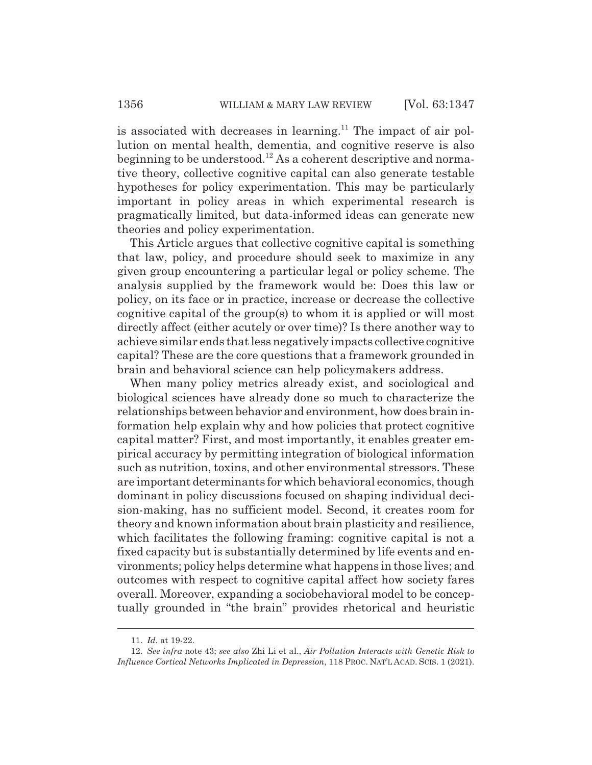is associated with decreases in learning.<sup>11</sup> The impact of air pollution on mental health, dementia, and cognitive reserve is also beginning to be understood.12 As a coherent descriptive and normative theory, collective cognitive capital can also generate testable hypotheses for policy experimentation. This may be particularly important in policy areas in which experimental research is pragmatically limited, but data-informed ideas can generate new theories and policy experimentation.

This Article argues that collective cognitive capital is something that law, policy, and procedure should seek to maximize in any given group encountering a particular legal or policy scheme. The analysis supplied by the framework would be: Does this law or policy, on its face or in practice, increase or decrease the collective cognitive capital of the group(s) to whom it is applied or will most directly affect (either acutely or over time)? Is there another way to achieve similar ends that less negatively impacts collective cognitive capital? These are the core questions that a framework grounded in brain and behavioral science can help policymakers address.

When many policy metrics already exist, and sociological and biological sciences have already done so much to characterize the relationships between behavior and environment, how does brain information help explain why and how policies that protect cognitive capital matter? First, and most importantly, it enables greater empirical accuracy by permitting integration of biological information such as nutrition, toxins, and other environmental stressors. These are important determinants for which behavioral economics, though dominant in policy discussions focused on shaping individual decision-making, has no sufficient model. Second, it creates room for theory and known information about brain plasticity and resilience, which facilitates the following framing: cognitive capital is not a fixed capacity but is substantially determined by life events and environments; policy helps determine what happens in those lives; and outcomes with respect to cognitive capital affect how society fares overall. Moreover, expanding a sociobehavioral model to be conceptually grounded in "the brain" provides rhetorical and heuristic

<sup>11.</sup> *Id.* at 19-22.

<sup>12.</sup> *See infra* note 43; *see also* Zhi Li et al., *Air Pollution Interacts with Genetic Risk to Influence Cortical Networks Implicated in Depression*, 118 PROC. NAT'L ACAD. SCIS. 1 (2021).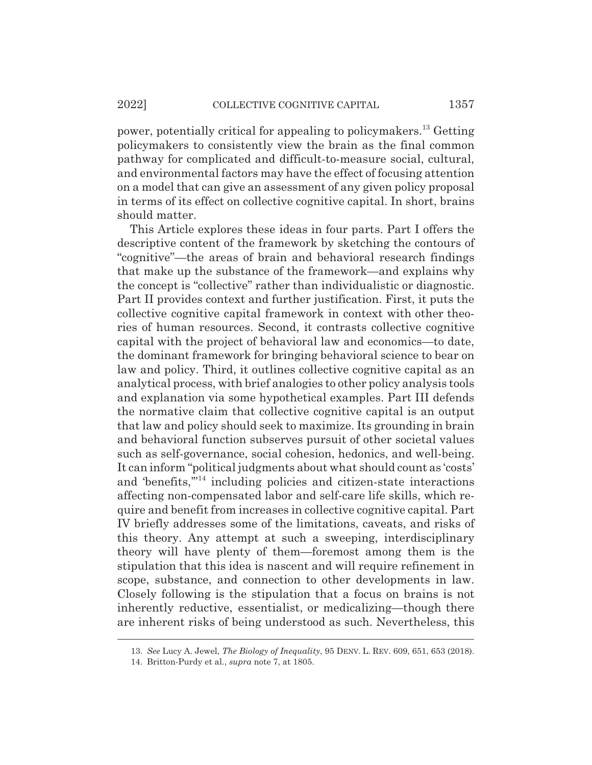power, potentially critical for appealing to policymakers.13 Getting policymakers to consistently view the brain as the final common pathway for complicated and difficult-to-measure social, cultural, and environmental factors may have the effect of focusing attention on a model that can give an assessment of any given policy proposal in terms of its effect on collective cognitive capital. In short, brains should matter.

This Article explores these ideas in four parts. Part I offers the descriptive content of the framework by sketching the contours of "cognitive"—the areas of brain and behavioral research findings that make up the substance of the framework—and explains why the concept is "collective" rather than individualistic or diagnostic. Part II provides context and further justification. First, it puts the collective cognitive capital framework in context with other theories of human resources. Second, it contrasts collective cognitive capital with the project of behavioral law and economics—to date, the dominant framework for bringing behavioral science to bear on law and policy. Third, it outlines collective cognitive capital as an analytical process, with brief analogies to other policy analysis tools and explanation via some hypothetical examples. Part III defends the normative claim that collective cognitive capital is an output that law and policy should seek to maximize. Its grounding in brain and behavioral function subserves pursuit of other societal values such as self-governance, social cohesion, hedonics, and well-being. It can inform "political judgments about what should count as 'costs' and 'benefits,'"14 including policies and citizen-state interactions affecting non-compensated labor and self-care life skills, which require and benefit from increases in collective cognitive capital. Part IV briefly addresses some of the limitations, caveats, and risks of this theory. Any attempt at such a sweeping, interdisciplinary theory will have plenty of them—foremost among them is the stipulation that this idea is nascent and will require refinement in scope, substance, and connection to other developments in law. Closely following is the stipulation that a focus on brains is not inherently reductive, essentialist, or medicalizing—though there are inherent risks of being understood as such. Nevertheless, this

<sup>13.</sup> *See* Lucy A. Jewel, *The Biology of Inequality*, 95 DENV. L. REV. 609, 651, 653 (2018).

<sup>14.</sup> Britton-Purdy et al., *supra* note 7, at 1805.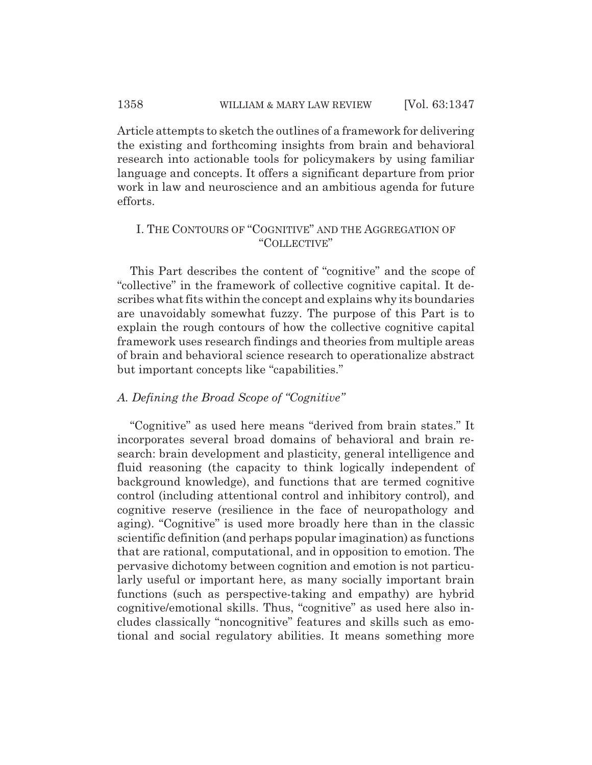Article attempts to sketch the outlines of a framework for delivering the existing and forthcoming insights from brain and behavioral research into actionable tools for policymakers by using familiar language and concepts. It offers a significant departure from prior work in law and neuroscience and an ambitious agenda for future efforts.

# I. THE CONTOURS OF "COGNITIVE" AND THE AGGREGATION OF "COLLECTIVE"

This Part describes the content of "cognitive" and the scope of "collective" in the framework of collective cognitive capital. It describes what fits within the concept and explains why its boundaries are unavoidably somewhat fuzzy. The purpose of this Part is to explain the rough contours of how the collective cognitive capital framework uses research findings and theories from multiple areas of brain and behavioral science research to operationalize abstract but important concepts like "capabilities."

### *A. Defining the Broad Scope of "Cognitive"*

"Cognitive" as used here means "derived from brain states." It incorporates several broad domains of behavioral and brain research: brain development and plasticity, general intelligence and fluid reasoning (the capacity to think logically independent of background knowledge), and functions that are termed cognitive control (including attentional control and inhibitory control), and cognitive reserve (resilience in the face of neuropathology and aging). "Cognitive" is used more broadly here than in the classic scientific definition (and perhaps popular imagination) as functions that are rational, computational, and in opposition to emotion. The pervasive dichotomy between cognition and emotion is not particularly useful or important here, as many socially important brain functions (such as perspective-taking and empathy) are hybrid cognitive/emotional skills. Thus, "cognitive" as used here also includes classically "noncognitive" features and skills such as emotional and social regulatory abilities. It means something more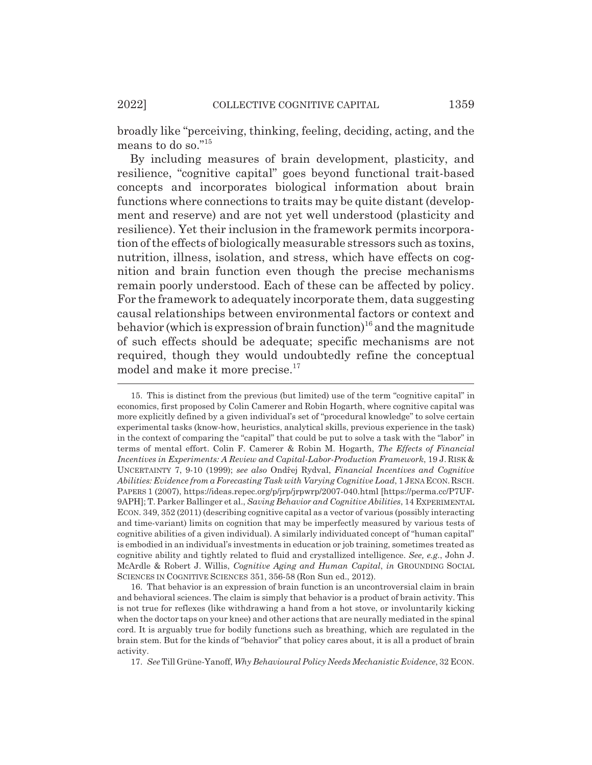broadly like "perceiving, thinking, feeling, deciding, acting, and the means to do so."15

By including measures of brain development, plasticity, and resilience, "cognitive capital" goes beyond functional trait-based concepts and incorporates biological information about brain functions where connections to traits may be quite distant (development and reserve) and are not yet well understood (plasticity and resilience). Yet their inclusion in the framework permits incorporation of the effects of biologically measurable stressors such as toxins, nutrition, illness, isolation, and stress, which have effects on cognition and brain function even though the precise mechanisms remain poorly understood. Each of these can be affected by policy. For the framework to adequately incorporate them, data suggesting causal relationships between environmental factors or context and behavior (which is expression of brain function)<sup>16</sup> and the magnitude of such effects should be adequate; specific mechanisms are not required, though they would undoubtedly refine the conceptual model and make it more precise.<sup>17</sup>

16. That behavior is an expression of brain function is an uncontroversial claim in brain and behavioral sciences. The claim is simply that behavior is a product of brain activity. This is not true for reflexes (like withdrawing a hand from a hot stove, or involuntarily kicking when the doctor taps on your knee) and other actions that are neurally mediated in the spinal cord. It is arguably true for bodily functions such as breathing, which are regulated in the brain stem. But for the kinds of "behavior" that policy cares about, it is all a product of brain activity.

17. *See* Till Grüne-Yanoff, *Why Behavioural Policy Needs Mechanistic Evidence*, 32 ECON.

<sup>15.</sup> This is distinct from the previous (but limited) use of the term "cognitive capital" in economics, first proposed by Colin Camerer and Robin Hogarth, where cognitive capital was more explicitly defined by a given individual's set of "procedural knowledge" to solve certain experimental tasks (know-how, heuristics, analytical skills, previous experience in the task) in the context of comparing the "capital" that could be put to solve a task with the "labor" in terms of mental effort. Colin F. Camerer & Robin M. Hogarth, *The Effects of Financial Incentives in Experiments: A Review and Capital-Labor-Production Framework*, 19 J. RISK & UNCERTAINTY 7, 9-10 (1999); see also Ondřej Rydval, *Financial Incentives and Cognitive Abilities: Evidence from a Forecasting Task with Varying Cognitive Load*, 1 JENA ECON.RSCH. PAPERS 1 (2007), https://ideas.repec.org/p/jrp/jrpwrp/2007-040.html [https://perma.cc/P7UF-9APH]; T. Parker Ballinger et al., *Saving Behavior and Cognitive Abilities*, 14 EXPERIMENTAL ECON. 349, 352 (2011) (describing cognitive capital as a vector of various (possibly interacting and time-variant) limits on cognition that may be imperfectly measured by various tests of cognitive abilities of a given individual). A similarly individuated concept of "human capital" is embodied in an individual's investments in education or job training, sometimes treated as cognitive ability and tightly related to fluid and crystallized intelligence. *See, e.g.*, John J. McArdle & Robert J. Willis, *Cognitive Aging and Human Capital*, *in* GROUNDING SOCIAL SCIENCES IN COGNITIVE SCIENCES 351, 356-58 (Ron Sun ed., 2012).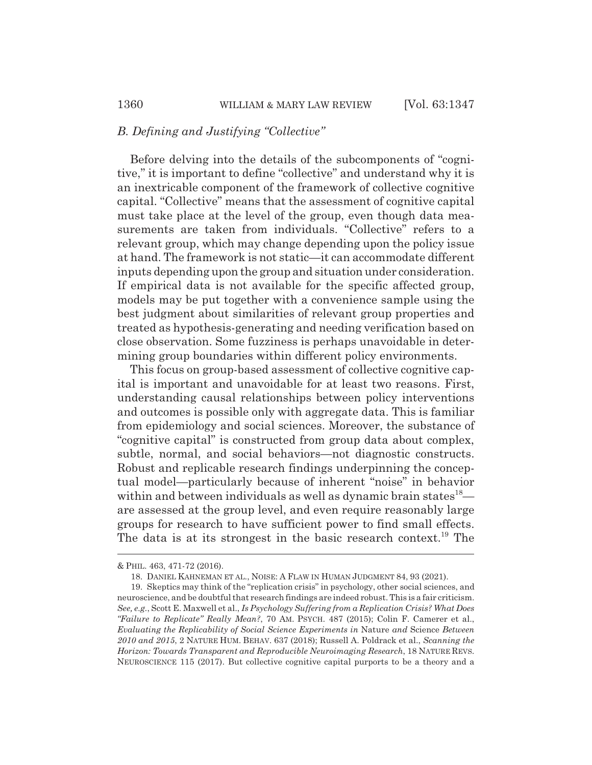### *B. Defining and Justifying "Collective"*

Before delving into the details of the subcomponents of "cognitive," it is important to define "collective" and understand why it is an inextricable component of the framework of collective cognitive capital. "Collective" means that the assessment of cognitive capital must take place at the level of the group, even though data measurements are taken from individuals. "Collective" refers to a relevant group, which may change depending upon the policy issue at hand. The framework is not static—it can accommodate different inputs depending upon the group and situation under consideration. If empirical data is not available for the specific affected group, models may be put together with a convenience sample using the best judgment about similarities of relevant group properties and treated as hypothesis-generating and needing verification based on close observation. Some fuzziness is perhaps unavoidable in determining group boundaries within different policy environments.

This focus on group-based assessment of collective cognitive capital is important and unavoidable for at least two reasons. First, understanding causal relationships between policy interventions and outcomes is possible only with aggregate data. This is familiar from epidemiology and social sciences. Moreover, the substance of "cognitive capital" is constructed from group data about complex, subtle, normal, and social behaviors—not diagnostic constructs. Robust and replicable research findings underpinning the conceptual model—particularly because of inherent "noise" in behavior within and between individuals as well as dynamic brain states<sup>18</sup> are assessed at the group level, and even require reasonably large groups for research to have sufficient power to find small effects. The data is at its strongest in the basic research context.<sup>19</sup> The

<sup>&</sup>amp; PHIL. 463, 471-72 (2016).

<sup>18.</sup> DANIEL KAHNEMAN ET AL., NOISE:AFLAW IN HUMAN JUDGMENT 84, 93 (2021).

<sup>19.</sup> Skeptics may think of the "replication crisis" in psychology, other social sciences, and neuroscience, and be doubtful that research findings are indeed robust. This is a fair criticism. *See, e.g.*, Scott E. Maxwell et al., *Is Psychology Suffering from a Replication Crisis? What Does "Failure to Replicate" Really Mean?*, 70 AM. PSYCH. 487 (2015); Colin F. Camerer et al., *Evaluating the Replicability of Social Science Experiments in* Nature *and* Science *Between 2010 and 2015*, 2 NATURE HUM. BEHAV. 637 (2018); Russell A. Poldrack et al., *Scanning the Horizon: Towards Transparent and Reproducible Neuroimaging Research*, 18 NATURE REVS. NEUROSCIENCE 115 (2017). But collective cognitive capital purports to be a theory and a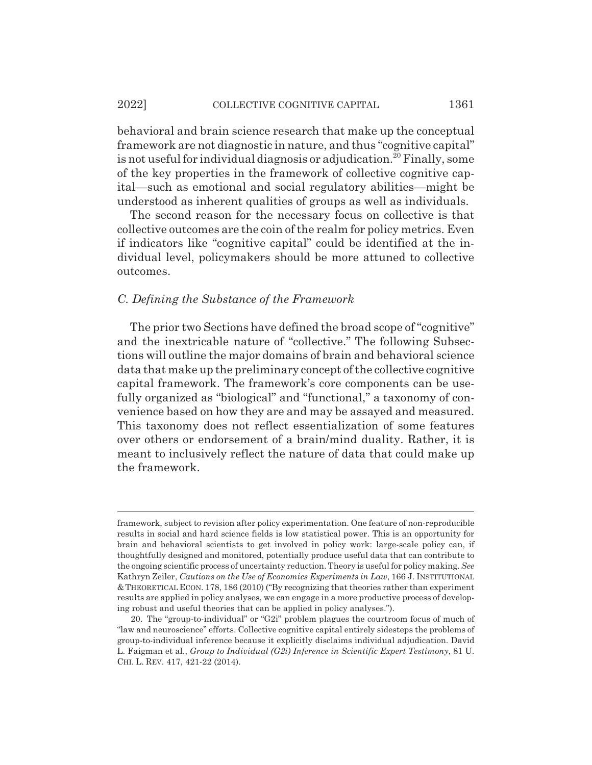#### 2022] COLLECTIVE COGNITIVE CAPITAL 1361

behavioral and brain science research that make up the conceptual framework are not diagnostic in nature, and thus "cognitive capital" is not useful for individual diagnosis or adjudication.<sup>20</sup> Finally, some of the key properties in the framework of collective cognitive capital—such as emotional and social regulatory abilities—might be understood as inherent qualities of groups as well as individuals.

The second reason for the necessary focus on collective is that collective outcomes are the coin of the realm for policy metrics. Even if indicators like "cognitive capital" could be identified at the individual level, policymakers should be more attuned to collective outcomes.

### *C. Defining the Substance of the Framework*

The prior two Sections have defined the broad scope of "cognitive" and the inextricable nature of "collective." The following Subsections will outline the major domains of brain and behavioral science data that make up the preliminary concept of the collective cognitive capital framework. The framework's core components can be usefully organized as "biological" and "functional," a taxonomy of convenience based on how they are and may be assayed and measured. This taxonomy does not reflect essentialization of some features over others or endorsement of a brain/mind duality. Rather, it is meant to inclusively reflect the nature of data that could make up the framework.

framework, subject to revision after policy experimentation. One feature of non-reproducible results in social and hard science fields is low statistical power. This is an opportunity for brain and behavioral scientists to get involved in policy work: large-scale policy can, if thoughtfully designed and monitored, potentially produce useful data that can contribute to the ongoing scientific process of uncertainty reduction. Theory is useful for policy making. *See* Kathryn Zeiler, *Cautions on the Use of Economics Experiments in Law*, 166 J. INSTITUTIONAL & THEORETICAL ECON. 178, 186 (2010) ("By recognizing that theories rather than experiment results are applied in policy analyses, we can engage in a more productive process of developing robust and useful theories that can be applied in policy analyses.").

<sup>20.</sup> The "group-to-individual" or "G2i" problem plagues the courtroom focus of much of "law and neuroscience" efforts. Collective cognitive capital entirely sidesteps the problems of group-to-individual inference because it explicitly disclaims individual adjudication. David L. Faigman et al., *Group to Individual (G2i) Inference in Scientific Expert Testimony*, 81 U. CHI. L. REV. 417, 421-22 (2014).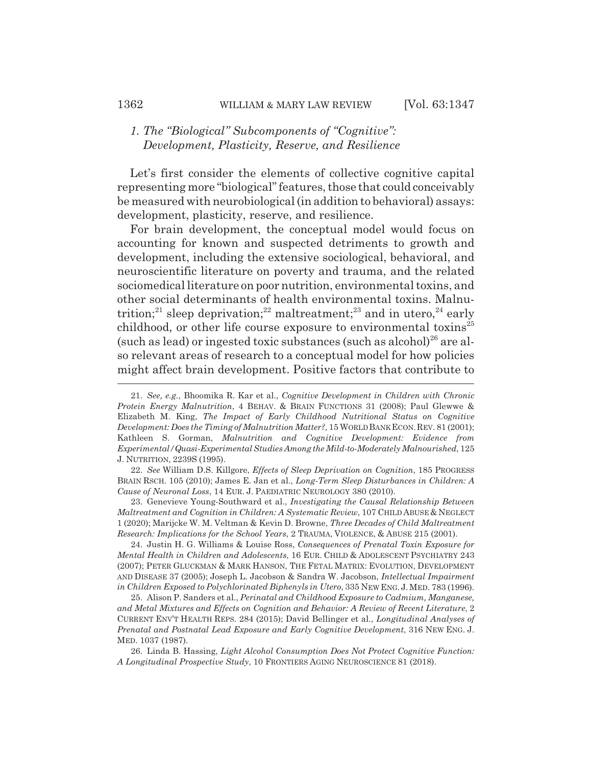### *1. The "Biological" Subcomponents of "Cognitive": Development, Plasticity, Reserve, and Resilience*

Let's first consider the elements of collective cognitive capital representing more "biological" features, those that could conceivably be measured with neurobiological (in addition to behavioral) assays: development, plasticity, reserve, and resilience.

For brain development, the conceptual model would focus on accounting for known and suspected detriments to growth and development, including the extensive sociological, behavioral, and neuroscientific literature on poverty and trauma, and the related sociomedical literature on poor nutrition, environmental toxins, and other social determinants of health environmental toxins. Malnutrition;<sup>21</sup> sleep deprivation;<sup>22</sup> maltreatment;<sup>23</sup> and in utero,<sup>24</sup> early childhood, or other life course exposure to environmental toxins<sup>25</sup> (such as lead) or ingested toxic substances (such as alcohol) $^{26}$  are also relevant areas of research to a conceptual model for how policies might affect brain development. Positive factors that contribute to

22. *See* William D.S. Killgore, *Effects of Sleep Deprivation on Cognition*, 185 PROGRESS BRAIN RSCH. 105 (2010); James E. Jan et al., *Long-Term Sleep Disturbances in Children: A Cause of Neuronal Loss*, 14 EUR. J. PAEDIATRIC NEUROLOGY 380 (2010).

23. Genevieve Young-Southward et al., *Investigating the Causal Relationship Between Maltreatment and Cognition in Children: A Systematic Review*, 107 CHILD ABUSE & NEGLECT 1 (2020); Marijcke W. M. Veltman & Kevin D. Browne, *Three Decades of Child Maltreatment Research: Implications for the School Years*, 2 TRAUMA, VIOLENCE,&ABUSE 215 (2001).

24. Justin H. G. Williams & Louise Ross, *Consequences of Prenatal Toxin Exposure for Mental Health in Children and Adolescents*, 16 EUR. CHILD & ADOLESCENT PSYCHIATRY 243 (2007); PETER GLUCKMAN & MARK HANSON, THE FETAL MATRIX: EVOLUTION, DEVELOPMENT AND DISEASE 37 (2005); Joseph L. Jacobson & Sandra W. Jacobson, *Intellectual Impairment* in Children Exposed to Polychlorinated Biphenyls in Utero, 335 NEW ENG. J. MED. 783 (1996).

25. Alison P. Sanders et al., *Perinatal and Childhood Exposure to Cadmium, Manganese, and Metal Mixtures and Effects on Cognition and Behavior: A Review of Recent Literature*, 2 CURRENT ENV'T HEALTH REPS. 284 (2015); David Bellinger et al., *Longitudinal Analyses of Prenatal and Postnatal Lead Exposure and Early Cognitive Development*, 316 NEW ENG. J. MED. 1037 (1987).

26. Linda B. Hassing, *Light Alcohol Consumption Does Not Protect Cognitive Function: A Longitudinal Prospective Study*, 10 FRONTIERS AGING NEUROSCIENCE 81 (2018).

<sup>21.</sup> *See, e.g.*, Bhoomika R. Kar et al., *Cognitive Development in Children with Chronic Protein Energy Malnutrition*, 4 BEHAV.&BRAIN FUNCTIONS 31 (2008); Paul Glewwe & Elizabeth M. King, *The Impact of Early Childhood Nutritional Status on Cognitive Development: Does the Timing of Malnutrition Matter?*, 15 WORLD BANK ECON.REV. 81 (2001); Kathleen S. Gorman, *Malnutrition and Cognitive Development: Evidence from Experimental/Quasi-Experimental Studies Among the Mild-to-Moderately Malnourished*, 125 J. NUTRITION, 2239S (1995).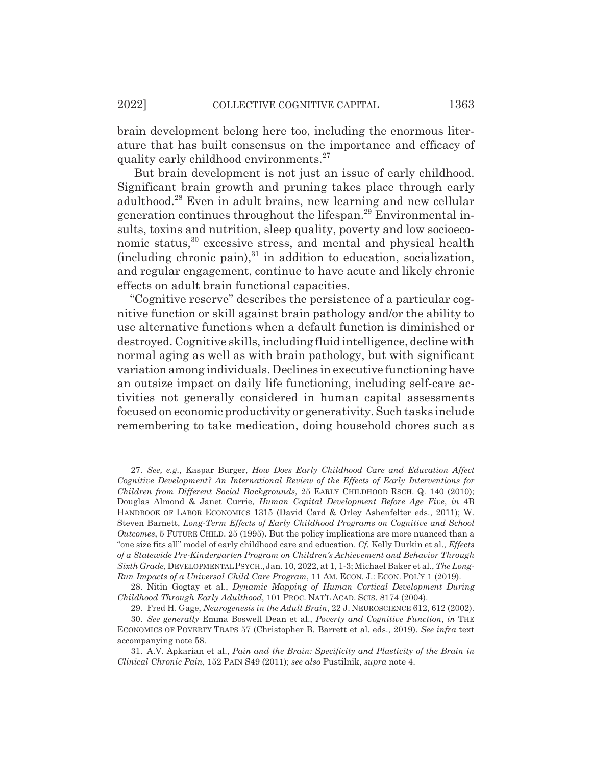brain development belong here too, including the enormous literature that has built consensus on the importance and efficacy of quality early childhood environments.<sup>27</sup>

 But brain development is not just an issue of early childhood. Significant brain growth and pruning takes place through early adulthood.28 Even in adult brains, new learning and new cellular generation continues throughout the lifespan.29 Environmental insults, toxins and nutrition, sleep quality, poverty and low socioeconomic status,<sup>30</sup> excessive stress, and mental and physical health (including chronic pain), $31$  in addition to education, socialization, and regular engagement, continue to have acute and likely chronic effects on adult brain functional capacities.

"Cognitive reserve" describes the persistence of a particular cognitive function or skill against brain pathology and/or the ability to use alternative functions when a default function is diminished or destroyed. Cognitive skills, including fluid intelligence, decline with normal aging as well as with brain pathology, but with significant variation among individuals. Declines in executive functioning have an outsize impact on daily life functioning, including self-care activities not generally considered in human capital assessments focused on economic productivity or generativity. Such tasks include remembering to take medication, doing household chores such as

<sup>27.</sup> *See, e.g.*, Kaspar Burger, *How Does Early Childhood Care and Education Affect Cognitive Development? An International Review of the Effects of Early Interventions for Children from Different Social Backgrounds*, 25 EARLY CHILDHOOD RSCH. Q. 140 (2010); Douglas Almond & Janet Currie, *Human Capital Development Before Age Five*, *in* 4B HANDBOOK OF LABOR ECONOMICS 1315 (David Card & Orley Ashenfelter eds., 2011); W. Steven Barnett, *Long-Term Effects of Early Childhood Programs on Cognitive and School Outcomes*, 5 FUTURE CHILD. 25 (1995). But the policy implications are more nuanced than a "one size fits all" model of early childhood care and education. *Cf.* Kelly Durkin et al., *Effects of a Statewide Pre-Kindergarten Program on Children's Achievement and Behavior Through Sixth Grade*, DEVELOPMENTAL PSYCH.,Jan. 10, 2022, at 1, 1-3; Michael Baker et al., *The Long-Run Impacts of a Universal Child Care Program*, 11 AM. ECON. J.: ECON. POL'Y 1 (2019).

<sup>28.</sup> Nitin Gogtay et al., *Dynamic Mapping of Human Cortical Development During Childhood Through Early Adulthood*, 101 PROC. NAT'L ACAD. SCIS. 8174 (2004).

<sup>29.</sup> Fred H. Gage, *Neurogenesis in the Adult Brain*, 22 J. NEUROSCIENCE 612, 612 (2002).

<sup>30.</sup> *See generally* Emma Boswell Dean et al., *Poverty and Cognitive Function*, *in* THE ECONOMICS OF POVERTY TRAPS 57 (Christopher B. Barrett et al. eds., 2019). *See infra* text accompanying note 58.

<sup>31.</sup> A.V. Apkarian et al., *Pain and the Brain: Specificity and Plasticity of the Brain in Clinical Chronic Pain*, 152 PAIN S49 (2011); *see also* Pustilnik, *supra* note 4.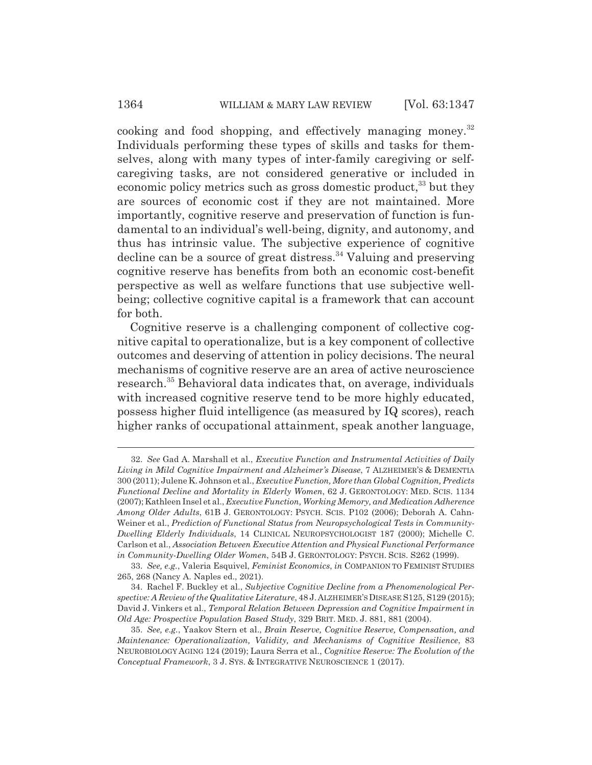cooking and food shopping, and effectively managing money.<sup>32</sup> Individuals performing these types of skills and tasks for themselves, along with many types of inter-family caregiving or selfcaregiving tasks, are not considered generative or included in economic policy metrics such as gross domestic product, $33$  but they are sources of economic cost if they are not maintained. More importantly, cognitive reserve and preservation of function is fundamental to an individual's well-being, dignity, and autonomy, and thus has intrinsic value. The subjective experience of cognitive decline can be a source of great distress.<sup>34</sup> Valuing and preserving cognitive reserve has benefits from both an economic cost-benefit perspective as well as welfare functions that use subjective wellbeing; collective cognitive capital is a framework that can account for both.

Cognitive reserve is a challenging component of collective cognitive capital to operationalize, but is a key component of collective outcomes and deserving of attention in policy decisions. The neural mechanisms of cognitive reserve are an area of active neuroscience research.35 Behavioral data indicates that, on average, individuals with increased cognitive reserve tend to be more highly educated, possess higher fluid intelligence (as measured by IQ scores), reach higher ranks of occupational attainment, speak another language,

<sup>32.</sup> *See* Gad A. Marshall et al., *Executive Function and Instrumental Activities of Daily Living in Mild Cognitive Impairment and Alzheimer's Disease*, 7 ALZHEIMER'S & DEMENTIA 300 (2011); Julene K. Johnson et al., *Executive Function, More than Global Cognition, Predicts Functional Decline and Mortality in Elderly Women*, 62 J. GERONTOLOGY: MED. SCIS. 1134 (2007); Kathleen Insel et al., *Executive Function, Working Memory, and Medication Adherence Among Older Adults*, 61B J. GERONTOLOGY: PSYCH. SCIS. P102 (2006); Deborah A. Cahn-Weiner et al., *Prediction of Functional Status from Neuropsychological Tests in Community-Dwelling Elderly Individuals*, 14 CLINICAL NEUROPSYCHOLOGIST 187 (2000); Michelle C. Carlson et al., *Association Between Executive Attention and Physical Functional Performance in Community-Dwelling Older Women*, 54B J. GERONTOLOGY: PSYCH. SCIS. S262 (1999).

<sup>33.</sup> *See, e.g.*, Valeria Esquivel, *Feminist Economics*, *in* COMPANION TO FEMINIST STUDIES 265, 268 (Nancy A. Naples ed., 2021).

<sup>34.</sup> Rachel F. Buckley et al., *Subjective Cognitive Decline from a Phenomenological Perspective: A Review of the Qualitative Literature*, 48 J.ALZHEIMER'SDISEASE S125, S129 (2015); David J. Vinkers et al., *Temporal Relation Between Depression and Cognitive Impairment in Old Age: Prospective Population Based Study*, 329 BRIT. MED. J. 881, 881 (2004).

<sup>35.</sup> *See, e.g.*, Yaakov Stern et al., *Brain Reserve, Cognitive Reserve, Compensation, and Maintenance: Operationalization, Validity, and Mechanisms of Cognitive Resilience*, 83 NEUROBIOLOGY AGING 124 (2019); Laura Serra et al., *Cognitive Reserve: The Evolution of the Conceptual Framework*, 3 J. SYS.&INTEGRATIVE NEUROSCIENCE 1 (2017).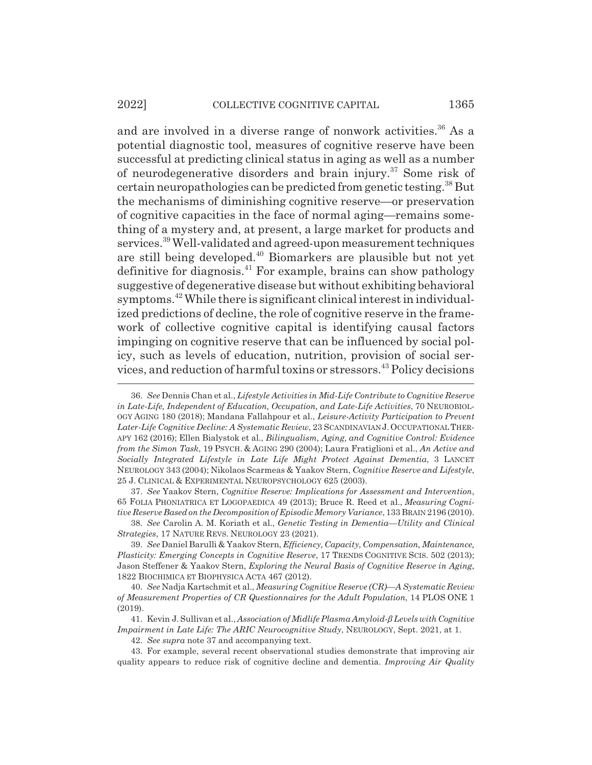#### 2022] COLLECTIVE COGNITIVE CAPITAL 1365

and are involved in a diverse range of nonwork activities.<sup>36</sup> As a potential diagnostic tool, measures of cognitive reserve have been successful at predicting clinical status in aging as well as a number of neurodegenerative disorders and brain injury.37 Some risk of certain neuropathologies can be predicted from genetic testing.38 But the mechanisms of diminishing cognitive reserve—or preservation of cognitive capacities in the face of normal aging—remains something of a mystery and, at present, a large market for products and services.39 Well-validated and agreed-upon measurement techniques are still being developed.40 Biomarkers are plausible but not yet definitive for diagnosis.<sup>41</sup> For example, brains can show pathology suggestive of degenerative disease but without exhibiting behavioral symptoms.42 While there is significant clinical interest in individualized predictions of decline, the role of cognitive reserve in the framework of collective cognitive capital is identifying causal factors impinging on cognitive reserve that can be influenced by social policy, such as levels of education, nutrition, provision of social services, and reduction of harmful toxins or stressors.43 Policy decisions

37. *See* Yaakov Stern, *Cognitive Reserve: Implications for Assessment and Intervention*, 65 FOLIA PHONIATRICA ET LOGOPAEDICA 49 (2013); Bruce R. Reed et al., *Measuring Cognitive Reserve Based on the Decomposition of Episodic Memory Variance*, 133 BRAIN 2196 (2010).

38. *See* Carolin A. M. Koriath et al., *Genetic Testing in Dementia—Utility and Clinical Strategies*, 17 NATURE REVS. NEUROLOGY 23 (2021).

39. *See* Daniel Barulli & Yaakov Stern, *Efficiency, Capacity, Compensation, Maintenance, Plasticity: Emerging Concepts in Cognitive Reserve*, 17 TRENDS COGNITIVE SCIS. 502 (2013); Jason Steffener & Yaakov Stern, *Exploring the Neural Basis of Cognitive Reserve in Aging*, 1822 BIOCHIMICA ET BIOPHYSICA ACTA 467 (2012).

40. *See* Nadja Kartschmit et al., *Measuring Cognitive Reserve (CR)—A Systematic Review of Measurement Properties of CR Questionnaires for the Adult Population*, 14 PLOS ONE 1 (2019).

41. Kevin J. Sullivan et al., *Association of Midlife Plasma Amyloid-ǃ Levels with Cognitive Impairment in Late Life: The ARIC Neurocognitive Study*, NEUROLOGY, Sept. 2021, at 1.

42. *See supra* note 37 and accompanying text.

43. For example, several recent observational studies demonstrate that improving air quality appears to reduce risk of cognitive decline and dementia. *Improving Air Quality*

<sup>36.</sup> *See* Dennis Chan et al., *Lifestyle Activities in Mid-Life Contribute to Cognitive Reserve in Late-Life, Independent of Education, Occupation, and Late-Life Activities*, 70 NEUROBIOL-OGY AGING 180 (2018); Mandana Fallahpour et al., *Leisure-Activity Participation to Prevent Later-Life Cognitive Decline: A Systematic Review*, 23 SCANDINAVIAN J. OCCUPATIONAL THER-APY 162 (2016); Ellen Bialystok et al., *Bilingualism, Aging, and Cognitive Control: Evidence from the Simon Task*, 19 PSYCH.&AGING 290 (2004); Laura Fratiglioni et al., *An Active and Socially Integrated Lifestyle in Late Life Might Protect Against Dementia*, 3 LANCET NEUROLOGY 343 (2004); Nikolaos Scarmeas & Yaakov Stern, *Cognitive Reserve and Lifestyle*, 25 J. CLINICAL & EXPERIMENTAL NEUROPSYCHOLOGY 625 (2003).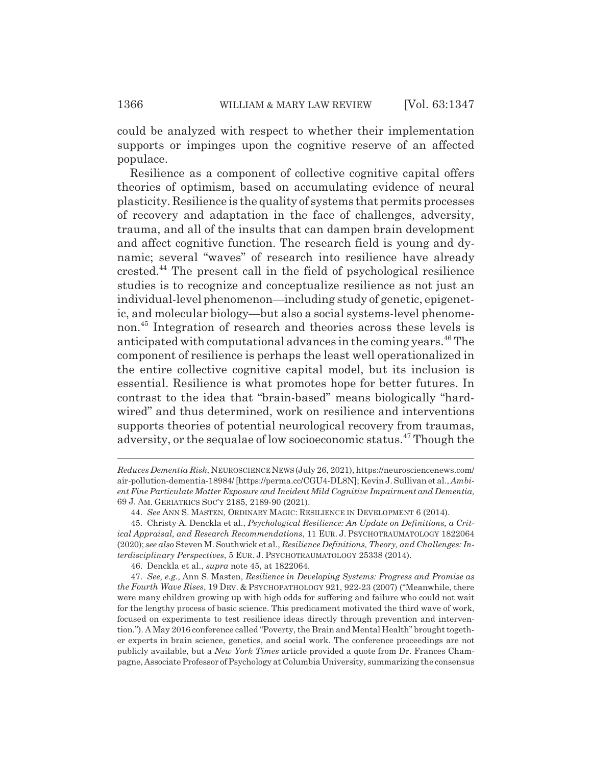could be analyzed with respect to whether their implementation supports or impinges upon the cognitive reserve of an affected populace.

Resilience as a component of collective cognitive capital offers theories of optimism, based on accumulating evidence of neural plasticity. Resilience is the quality of systems that permits processes of recovery and adaptation in the face of challenges, adversity, trauma, and all of the insults that can dampen brain development and affect cognitive function. The research field is young and dynamic; several "waves" of research into resilience have already crested.44 The present call in the field of psychological resilience studies is to recognize and conceptualize resilience as not just an individual-level phenomenon—including study of genetic, epigenetic, and molecular biology—but also a social systems-level phenomenon.45 Integration of research and theories across these levels is anticipated with computational advances in the coming years.<sup>46</sup> The component of resilience is perhaps the least well operationalized in the entire collective cognitive capital model, but its inclusion is essential. Resilience is what promotes hope for better futures. In contrast to the idea that "brain-based" means biologically "hardwired" and thus determined, work on resilience and interventions supports theories of potential neurological recovery from traumas, adversity, or the sequalae of low socioeconomic status.47 Though the

*Reduces Dementia Risk*, NEUROSCIENCE NEWS (July 26, 2021), https://neurosciencenews.com/ air-pollution-dementia-18984/ [https://perma.cc/CGU4-DL8N]; Kevin J. Sullivan et al., *Ambient Fine Particulate Matter Exposure and Incident Mild Cognitive Impairment and Dementia*, 69 J. AM. GERIATRICS SOC'Y 2185, 2189-90 (2021).

<sup>44.</sup> *See* ANN S. MASTEN, ORDINARY MAGIC: RESILIENCE IN DEVELOPMENT 6 (2014).

<sup>45.</sup> Christy A. Denckla et al., *Psychological Resilience: An Update on Definitions, a Critical Appraisal, and Research Recommendations*, 11 EUR. J. PSYCHOTRAUMATOLOGY 1822064 (2020); *see also* Steven M. Southwick et al., *Resilience Definitions, Theory, and Challenges: Interdisciplinary Perspectives*, 5 EUR. J. PSYCHOTRAUMATOLOGY 25338 (2014).

<sup>46.</sup> Denckla et al., *supra* note 45, at 1822064.

<sup>47.</sup> *See, e.g.*, Ann S. Masten, *Resilience in Developing Systems: Progress and Promise as the Fourth Wave Rises*, 19 DEV.&PSYCHOPATHOLOGY 921, 922-23 (2007) ("Meanwhile, there were many children growing up with high odds for suffering and failure who could not wait for the lengthy process of basic science. This predicament motivated the third wave of work, focused on experiments to test resilience ideas directly through prevention and intervention."). A May 2016 conference called "Poverty, the Brain and Mental Health" brought together experts in brain science, genetics, and social work. The conference proceedings are not publicly available, but a *New York Times* article provided a quote from Dr. Frances Champagne, Associate Professor of Psychology at Columbia University, summarizing the consensus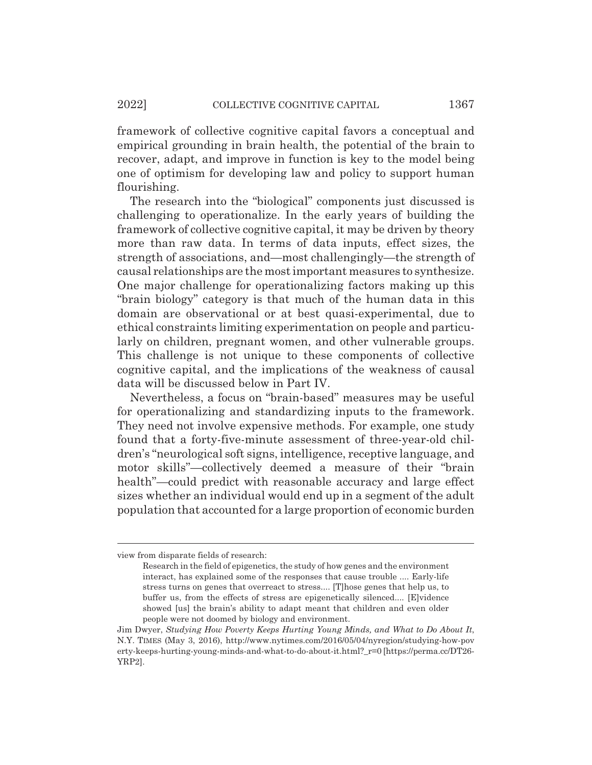framework of collective cognitive capital favors a conceptual and empirical grounding in brain health, the potential of the brain to recover, adapt, and improve in function is key to the model being one of optimism for developing law and policy to support human flourishing.

The research into the "biological" components just discussed is challenging to operationalize. In the early years of building the framework of collective cognitive capital, it may be driven by theory more than raw data. In terms of data inputs, effect sizes, the strength of associations, and—most challengingly—the strength of causal relationships are the most important measures to synthesize. One major challenge for operationalizing factors making up this "brain biology" category is that much of the human data in this domain are observational or at best quasi-experimental, due to ethical constraints limiting experimentation on people and particularly on children, pregnant women, and other vulnerable groups. This challenge is not unique to these components of collective cognitive capital, and the implications of the weakness of causal data will be discussed below in Part IV.

Nevertheless, a focus on "brain-based" measures may be useful for operationalizing and standardizing inputs to the framework. They need not involve expensive methods. For example, one study found that a forty-five-minute assessment of three-year-old children's "neurological soft signs, intelligence, receptive language, and motor skills"—collectively deemed a measure of their "brain health"—could predict with reasonable accuracy and large effect sizes whether an individual would end up in a segment of the adult population that accounted for a large proportion of economic burden

view from disparate fields of research:

Research in the field of epigenetics, the study of how genes and the environment interact, has explained some of the responses that cause trouble .... Early-life stress turns on genes that overreact to stress.... [T]hose genes that help us, to buffer us, from the effects of stress are epigenetically silenced.... [E]vidence showed [us] the brain's ability to adapt meant that children and even older people were not doomed by biology and environment.

Jim Dwyer, *Studying How Poverty Keeps Hurting Young Minds, and What to Do About It*, N.Y. TIMES (May 3, 2016), http://www.nytimes.com/2016/05/04/nyregion/studying-how-pov erty-keeps-hurting-young-minds-and-what-to-do-about-it.html?\_r=0 [https://perma.cc/DT26- YRP2].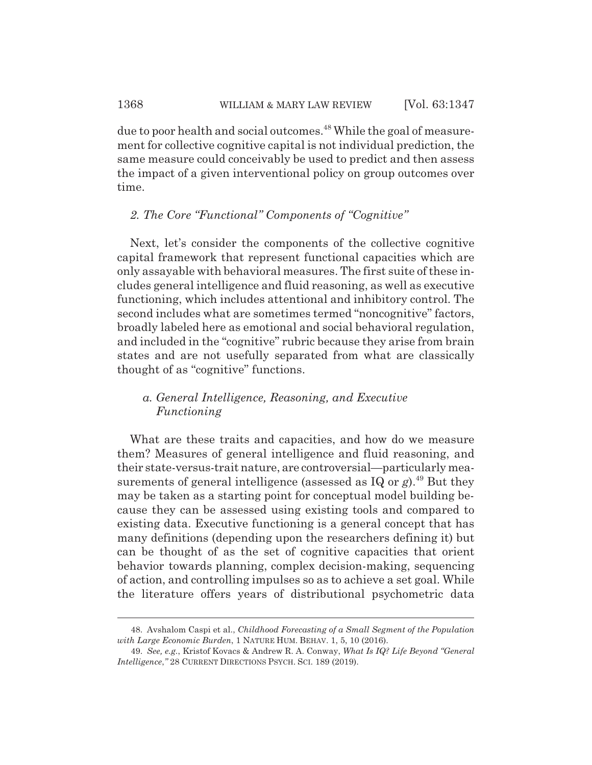due to poor health and social outcomes.<sup>48</sup> While the goal of measurement for collective cognitive capital is not individual prediction, the same measure could conceivably be used to predict and then assess the impact of a given interventional policy on group outcomes over time.

### *2. The Core "Functional" Components of "Cognitive"*

Next, let's consider the components of the collective cognitive capital framework that represent functional capacities which are only assayable with behavioral measures. The first suite of these includes general intelligence and fluid reasoning, as well as executive functioning, which includes attentional and inhibitory control. The second includes what are sometimes termed "noncognitive" factors, broadly labeled here as emotional and social behavioral regulation, and included in the "cognitive" rubric because they arise from brain states and are not usefully separated from what are classically thought of as "cognitive" functions.

# *a. General Intelligence, Reasoning, and Executive Functioning*

What are these traits and capacities, and how do we measure them? Measures of general intelligence and fluid reasoning, and their state-versus-trait nature, are controversial—particularly measurements of general intelligence (assessed as  $IQ$  or  $g$ ).<sup>49</sup> But they may be taken as a starting point for conceptual model building because they can be assessed using existing tools and compared to existing data. Executive functioning is a general concept that has many definitions (depending upon the researchers defining it) but can be thought of as the set of cognitive capacities that orient behavior towards planning, complex decision-making, sequencing of action, and controlling impulses so as to achieve a set goal. While the literature offers years of distributional psychometric data

<sup>48.</sup> Avshalom Caspi et al., *Childhood Forecasting of a Small Segment of the Population with Large Economic Burden*, 1 NATURE HUM. BEHAV. 1, 5, 10 (2016).

<sup>49.</sup> *See, e.g.*, Kristof Kovacs & Andrew R. A. Conway, *What Is IQ? Life Beyond "General Intelligence*,*"* 28 CURRENT DIRECTIONS PSYCH. SCI. 189 (2019).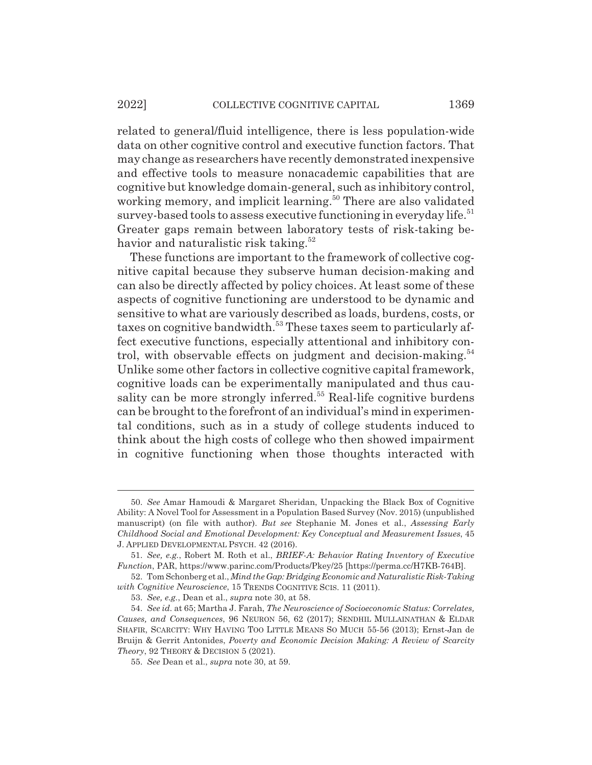related to general/fluid intelligence, there is less population-wide data on other cognitive control and executive function factors. That may change as researchers have recently demonstrated inexpensive and effective tools to measure nonacademic capabilities that are cognitive but knowledge domain-general, such as inhibitory control, working memory, and implicit learning.<sup>50</sup> There are also validated survey-based tools to assess executive functioning in everyday life.<sup>51</sup> Greater gaps remain between laboratory tests of risk-taking behavior and naturalistic risk taking. $52$ 

These functions are important to the framework of collective cognitive capital because they subserve human decision-making and can also be directly affected by policy choices. At least some of these aspects of cognitive functioning are understood to be dynamic and sensitive to what are variously described as loads, burdens, costs, or taxes on cognitive bandwidth.<sup>53</sup> These taxes seem to particularly affect executive functions, especially attentional and inhibitory control, with observable effects on judgment and decision-making. $54$ Unlike some other factors in collective cognitive capital framework, cognitive loads can be experimentally manipulated and thus causality can be more strongly inferred.<sup>55</sup> Real-life cognitive burdens can be brought to the forefront of an individual's mind in experimental conditions, such as in a study of college students induced to think about the high costs of college who then showed impairment in cognitive functioning when those thoughts interacted with

<sup>50.</sup> *See* Amar Hamoudi & Margaret Sheridan, Unpacking the Black Box of Cognitive Ability: A Novel Tool for Assessment in a Population Based Survey (Nov. 2015) (unpublished manuscript) (on file with author). *But see* Stephanie M. Jones et al., *Assessing Early Childhood Social and Emotional Development: Key Conceptual and Measurement Issues*, 45 J. APPLIED DEVELOPMENTAL PSYCH. 42 (2016).

<sup>51.</sup> *See, e.g.*, Robert M. Roth et al., *BRIEF-A: Behavior Rating Inventory of Executive Function*, PAR, https://www.parinc.com/Products/Pkey/25 [https://perma.cc/H7KB-764B].

<sup>52.</sup> Tom Schonberg et al., *Mind the Gap: Bridging Economic and Naturalistic Risk-Taking with Cognitive Neuroscience*, 15 TRENDS COGNITIVE SCIS. 11 (2011).

<sup>53.</sup> *See, e.g.*, Dean et al., *supra* note 30, at 58.

<sup>54.</sup> *See id.* at 65; Martha J. Farah, *The Neuroscience of Socioeconomic Status: Correlates, Causes, and Consequences*, 96 NEURON 56, 62 (2017); SENDHIL MULLAINATHAN & ELDAR SHAFIR, SCARCITY: WHY HAVING TOO LITTLE MEANS SO MUCH 55-56 (2013); Ernst-Jan de Bruijn & Gerrit Antonides, *Poverty and Economic Decision Making: A Review of Scarcity Theory*, 92 THEORY & DECISION 5 (2021).

<sup>55.</sup> *See* Dean et al., *supra* note 30, at 59.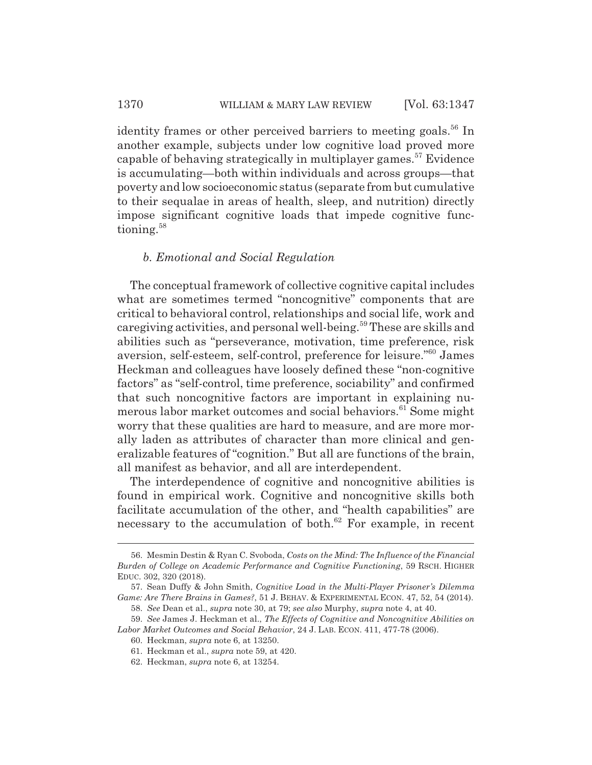identity frames or other perceived barriers to meeting goals.<sup>56</sup> In another example, subjects under low cognitive load proved more capable of behaving strategically in multiplayer games.<sup>57</sup> Evidence is accumulating—both within individuals and across groups—that poverty and low socioeconomic status (separate from but cumulative to their sequalae in areas of health, sleep, and nutrition) directly impose significant cognitive loads that impede cognitive functioning.<sup>58</sup>

### *b. Emotional and Social Regulation*

The conceptual framework of collective cognitive capital includes what are sometimes termed "noncognitive" components that are critical to behavioral control, relationships and social life, work and caregiving activities, and personal well-being.59 These are skills and abilities such as "perseverance, motivation, time preference, risk aversion, self-esteem, self-control, preference for leisure."60 James Heckman and colleagues have loosely defined these "non-cognitive factors" as "self-control, time preference, sociability" and confirmed that such noncognitive factors are important in explaining numerous labor market outcomes and social behaviors.<sup>61</sup> Some might worry that these qualities are hard to measure, and are more morally laden as attributes of character than more clinical and generalizable features of "cognition." But all are functions of the brain, all manifest as behavior, and all are interdependent.

The interdependence of cognitive and noncognitive abilities is found in empirical work. Cognitive and noncognitive skills both facilitate accumulation of the other, and "health capabilities" are necessary to the accumulation of both.<sup>62</sup> For example, in recent

<sup>56.</sup> Mesmin Destin & Ryan C. Svoboda, *Costs on the Mind: The Influence of the Financial Burden of College on Academic Performance and Cognitive Functioning*, 59 RSCH. HIGHER EDUC. 302, 320 (2018).

<sup>57.</sup> Sean Duffy & John Smith, *Cognitive Load in the Multi-Player Prisoner's Dilemma Game: Are There Brains in Games?*, 51 J. BEHAV.&EXPERIMENTAL ECON. 47, 52, 54 (2014).

<sup>58.</sup> *See* Dean et al., *supra* note 30, at 79; *see also* Murphy, *supra* note 4, at 40.

<sup>59.</sup> *See* James J. Heckman et al., *The Effects of Cognitive and Noncognitive Abilities on Labor Market Outcomes and Social Behavior*, 24 J. LAB. ECON. 411, 477-78 (2006).

<sup>60.</sup> Heckman, *supra* note 6, at 13250.

<sup>61.</sup> Heckman et al., *supra* note 59, at 420.

<sup>62.</sup> Heckman, *supra* note 6, at 13254.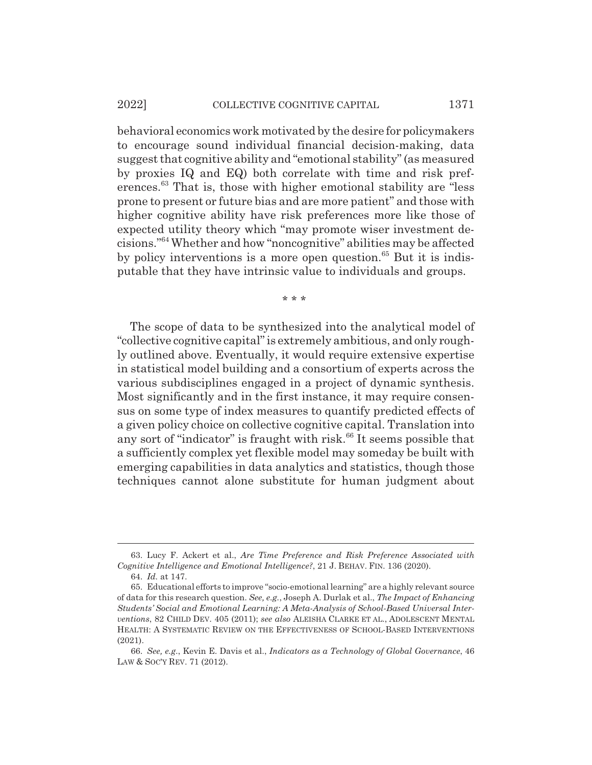#### 2022] COLLECTIVE COGNITIVE CAPITAL 1371

behavioral economics work motivated by the desire for policymakers to encourage sound individual financial decision-making, data suggest that cognitive ability and "emotional stability" (as measured by proxies IQ and EQ) both correlate with time and risk preferences.63 That is, those with higher emotional stability are "less prone to present or future bias and are more patient" and those with higher cognitive ability have risk preferences more like those of expected utility theory which "may promote wiser investment decisions."64 Whether and how "noncognitive" abilities may be affected by policy interventions is a more open question. $65$  But it is indisputable that they have intrinsic value to individuals and groups.

\* \* \*

The scope of data to be synthesized into the analytical model of "collective cognitive capital" is extremely ambitious, and only roughly outlined above. Eventually, it would require extensive expertise in statistical model building and a consortium of experts across the various subdisciplines engaged in a project of dynamic synthesis. Most significantly and in the first instance, it may require consensus on some type of index measures to quantify predicted effects of a given policy choice on collective cognitive capital. Translation into any sort of "indicator" is fraught with risk. $66$  It seems possible that a sufficiently complex yet flexible model may someday be built with emerging capabilities in data analytics and statistics, though those techniques cannot alone substitute for human judgment about

<sup>63.</sup> Lucy F. Ackert et al., *Are Time Preference and Risk Preference Associated with Cognitive Intelligence and Emotional Intelligence?*, 21 J. BEHAV. FIN. 136 (2020).

<sup>64.</sup> *Id.* at 147.

<sup>65.</sup> Educational efforts to improve "socio-emotional learning" are a highly relevant source of data for this research question. *See, e.g.*, Joseph A. Durlak et al., *The Impact of Enhancing Students' Social and Emotional Learning: A Meta-Analysis of School-Based Universal Interventions*, 82 CHILD DEV. 405 (2011); *see also* ALEISHA CLARKE ET AL., ADOLESCENT MENTAL HEALTH:ASYSTEMATIC REVIEW ON THE EFFECTIVENESS OF SCHOOL-BASED INTERVENTIONS (2021).

<sup>66.</sup> *See, e.g*., Kevin E. Davis et al., *Indicators as a Technology of Global Governance*, 46 LAW & SOC'Y REV. 71 (2012).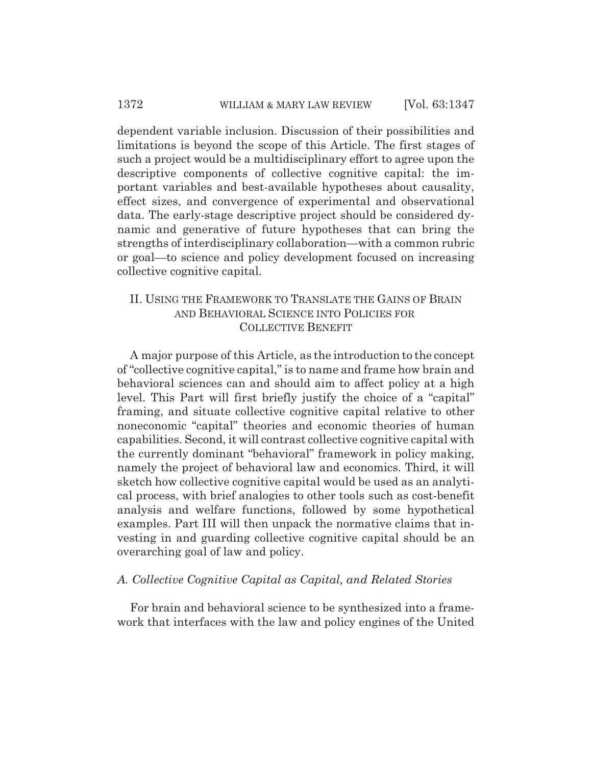dependent variable inclusion. Discussion of their possibilities and limitations is beyond the scope of this Article. The first stages of such a project would be a multidisciplinary effort to agree upon the descriptive components of collective cognitive capital: the important variables and best-available hypotheses about causality, effect sizes, and convergence of experimental and observational data. The early-stage descriptive project should be considered dynamic and generative of future hypotheses that can bring the strengths of interdisciplinary collaboration—with a common rubric or goal—to science and policy development focused on increasing collective cognitive capital.

# II. USING THE FRAMEWORK TO TRANSLATE THE GAINS OF BRAIN AND BEHAVIORAL SCIENCE INTO POLICIES FOR COLLECTIVE BENEFIT

A major purpose of this Article, as the introduction to the concept of "collective cognitive capital," is to name and frame how brain and behavioral sciences can and should aim to affect policy at a high level. This Part will first briefly justify the choice of a "capital" framing, and situate collective cognitive capital relative to other noneconomic "capital" theories and economic theories of human capabilities. Second, it will contrast collective cognitive capital with the currently dominant "behavioral" framework in policy making, namely the project of behavioral law and economics. Third, it will sketch how collective cognitive capital would be used as an analytical process, with brief analogies to other tools such as cost-benefit analysis and welfare functions, followed by some hypothetical examples. Part III will then unpack the normative claims that investing in and guarding collective cognitive capital should be an overarching goal of law and policy.

### *A. Collective Cognitive Capital as Capital, and Related Stories*

For brain and behavioral science to be synthesized into a framework that interfaces with the law and policy engines of the United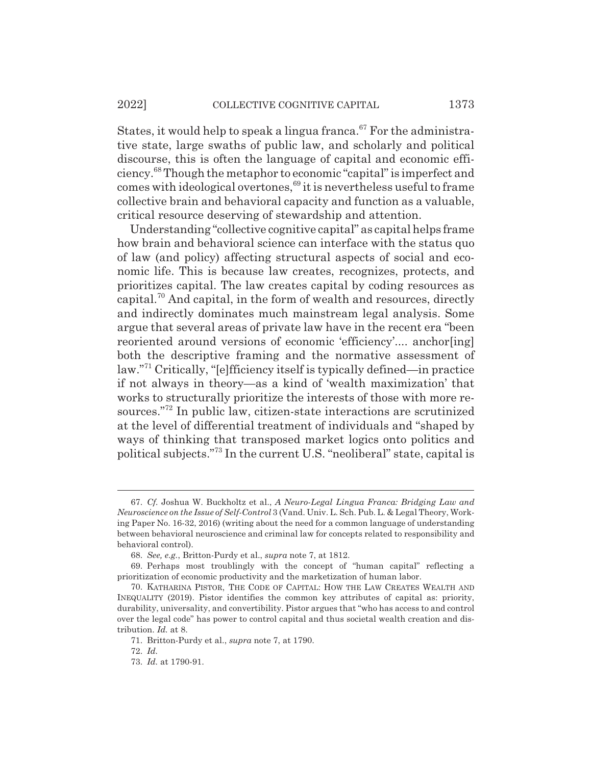States, it would help to speak a lingua franca.<sup>67</sup> For the administrative state, large swaths of public law, and scholarly and political discourse, this is often the language of capital and economic efficiency.68 Though the metaphor to economic "capital" is imperfect and comes with ideological overtones,<sup>69</sup> it is nevertheless useful to frame collective brain and behavioral capacity and function as a valuable, critical resource deserving of stewardship and attention.

Understanding "collective cognitive capital" as capital helps frame how brain and behavioral science can interface with the status quo of law (and policy) affecting structural aspects of social and economic life. This is because law creates, recognizes, protects, and prioritizes capital. The law creates capital by coding resources as capital.<sup>70</sup> And capital, in the form of wealth and resources, directly and indirectly dominates much mainstream legal analysis. Some argue that several areas of private law have in the recent era "been reoriented around versions of economic 'efficiency'.... anchor[ing] both the descriptive framing and the normative assessment of law."71 Critically, "[e]fficiency itself is typically defined—in practice if not always in theory—as a kind of 'wealth maximization' that works to structurally prioritize the interests of those with more resources."72 In public law, citizen-state interactions are scrutinized at the level of differential treatment of individuals and "shaped by ways of thinking that transposed market logics onto politics and political subjects."73 In the current U.S. "neoliberal" state, capital is

<sup>67.</sup> *Cf.* Joshua W. Buckholtz et al., *A Neuro-Legal Lingua Franca: Bridging Law and Neuroscience on the Issue of Self-Control* 3 (Vand. Univ. L. Sch. Pub. L. & Legal Theory, Working Paper No. 16-32, 2016) (writing about the need for a common language of understanding between behavioral neuroscience and criminal law for concepts related to responsibility and behavioral control).

<sup>68.</sup> *See, e.g.*, Britton-Purdy et al., *supra* note 7, at 1812.

<sup>69.</sup> Perhaps most troublingly with the concept of "human capital" reflecting a prioritization of economic productivity and the marketization of human labor.

<sup>70.</sup> KATHARINA PISTOR, THE CODE OF CAPITAL: HOW THE LAW CREATES WEALTH AND INEQUALITY (2019). Pistor identifies the common key attributes of capital as: priority, durability, universality, and convertibility. Pistor argues that "who has access to and control over the legal code" has power to control capital and thus societal wealth creation and distribution. *Id.* at 8.

<sup>71.</sup> Britton-Purdy et al., *supra* note 7, at 1790.

<sup>72.</sup> *Id.*

<sup>73.</sup> *Id.* at 1790-91.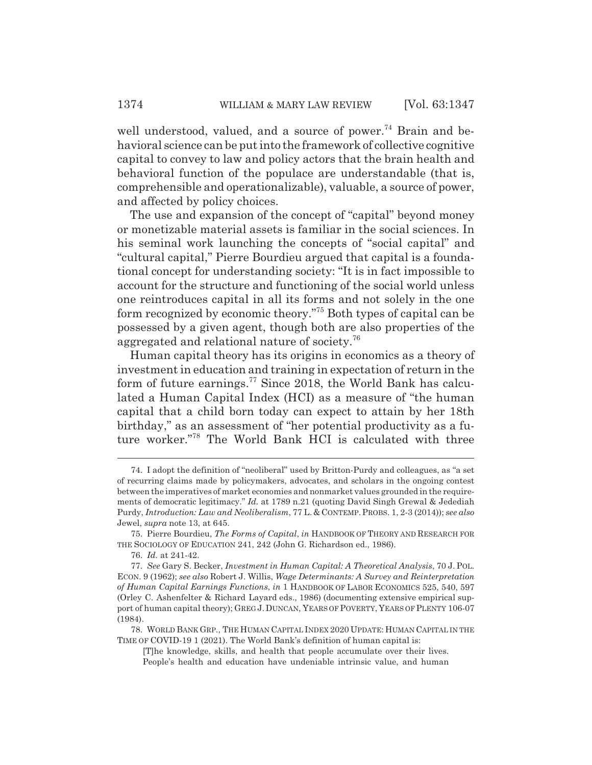well understood, valued, and a source of power.<sup>74</sup> Brain and behavioral science can be put into the framework of collective cognitive capital to convey to law and policy actors that the brain health and behavioral function of the populace are understandable (that is, comprehensible and operationalizable), valuable, a source of power, and affected by policy choices.

The use and expansion of the concept of "capital" beyond money or monetizable material assets is familiar in the social sciences. In his seminal work launching the concepts of "social capital" and "cultural capital," Pierre Bourdieu argued that capital is a foundational concept for understanding society: "It is in fact impossible to account for the structure and functioning of the social world unless one reintroduces capital in all its forms and not solely in the one form recognized by economic theory."75 Both types of capital can be possessed by a given agent, though both are also properties of the aggregated and relational nature of society.76

Human capital theory has its origins in economics as a theory of investment in education and training in expectation of return in the form of future earnings.<sup>77</sup> Since 2018, the World Bank has calculated a Human Capital Index (HCI) as a measure of "the human capital that a child born today can expect to attain by her 18th birthday," as an assessment of "her potential productivity as a future worker."78 The World Bank HCI is calculated with three

<sup>74.</sup> I adopt the definition of "neoliberal" used by Britton-Purdy and colleagues, as "a set of recurring claims made by policymakers, advocates, and scholars in the ongoing contest between the imperatives of market economies and nonmarket values grounded in the requirements of democratic legitimacy." *Id.* at 1789 n.21 (quoting David Singh Grewal & Jedediah Purdy, *Introduction: Law and Neoliberalism*, 77 L. & CONTEMP. PROBS. 1, 2-3 (2014)); *see also* Jewel, *supra* note 13, at 645.

<sup>75.</sup> Pierre Bourdieu, *The Forms of Capital*, *in* HANDBOOK OF THEORY AND RESEARCH FOR THE SOCIOLOGY OF EDUCATION 241, 242 (John G. Richardson ed., 1986).

<sup>76.</sup> *Id.* at 241-42.

<sup>77.</sup> *See* Gary S. Becker, *Investment in Human Capital: A Theoretical Analysis*, 70 J. POL. ECON. 9 (1962); *see also* Robert J. Willis, *Wage Determinants: A Survey and Reinterpretation of Human Capital Earnings Functions*, *in* 1 HANDBOOK OF LABOR ECONOMICS 525, 540, 597 (Orley C. Ashenfelter & Richard Layard eds., 1986) (documenting extensive empirical support of human capital theory); GREG J. DUNCAN, YEARS OF POVERTY, YEARS OF PLENTY 106-07 (1984).

<sup>78.</sup> WORLD BANK GRP., THE HUMAN CAPITAL INDEX 2020 UPDATE: HUMAN CAPITAL IN THE TIME OF COVID-19 1 (2021). The World Bank's definition of human capital is:

<sup>[</sup>T]he knowledge, skills, and health that people accumulate over their lives. People's health and education have undeniable intrinsic value, and human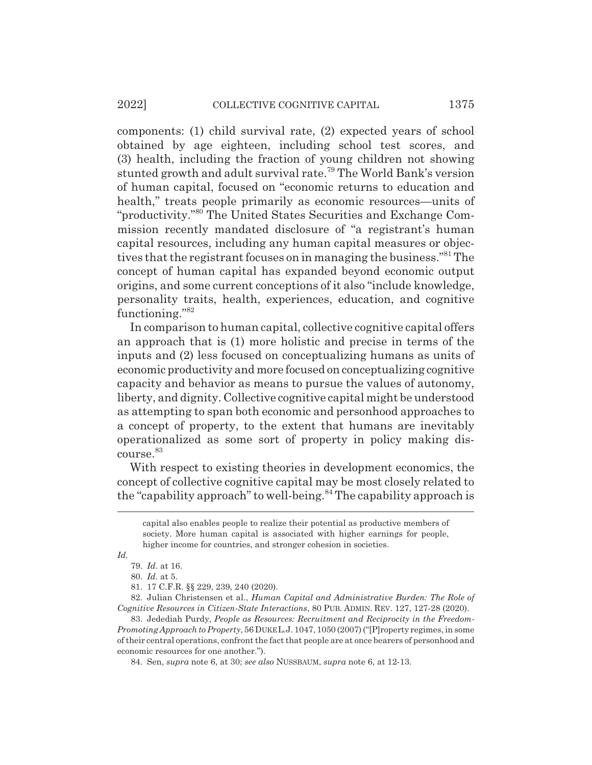components: (1) child survival rate, (2) expected years of school obtained by age eighteen, including school test scores, and (3) health, including the fraction of young children not showing stunted growth and adult survival rate.79 The World Bank's version of human capital, focused on "economic returns to education and health," treats people primarily as economic resources—units of "productivity."80 The United States Securities and Exchange Commission recently mandated disclosure of "a registrant's human capital resources, including any human capital measures or objectives that the registrant focuses on in managing the business."81 The concept of human capital has expanded beyond economic output origins, and some current conceptions of it also "include knowledge, personality traits, health, experiences, education, and cognitive functioning."82

In comparison to human capital, collective cognitive capital offers an approach that is (1) more holistic and precise in terms of the inputs and (2) less focused on conceptualizing humans as units of economic productivity and more focused on conceptualizing cognitive capacity and behavior as means to pursue the values of autonomy, liberty, and dignity. Collective cognitive capital might be understood as attempting to span both economic and personhood approaches to a concept of property, to the extent that humans are inevitably operationalized as some sort of property in policy making discourse. 83

With respect to existing theories in development economics, the concept of collective cognitive capital may be most closely related to the "capability approach" to well-being.<sup>84</sup> The capability approach is

*Id.*

80. *Id.* at 5.

82. Julian Christensen et al., *Human Capital and Administrative Burden: The Role of Cognitive Resources in Citizen-State Interactions*, 80 PUB. ADMIN. REV. 127, 127-28 (2020).

83. Jedediah Purdy, *People as Resources: Recruitment and Reciprocity in the Freedom-Promoting Approach to Property*, 56 DUKE L.J. 1047, 1050 (2007) ("[P]roperty regimes, in some of their central operations, confront the fact that people are at once bearers of personhood and economic resources for one another.").

84. Sen, *supra* note 6, at 30; *see also* NUSSBAUM, *supra* note 6, at 12-13.

capital also enables people to realize their potential as productive members of society. More human capital is associated with higher earnings for people, higher income for countries, and stronger cohesion in societies.

<sup>79.</sup> *Id.* at 16.

<sup>81. 17</sup> C.F.R. §§ 229, 239, 240 (2020).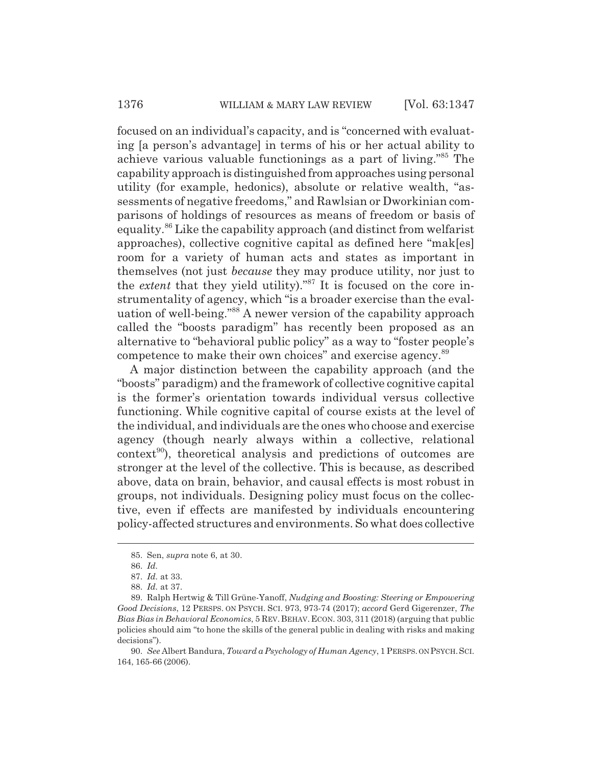focused on an individual's capacity, and is "concerned with evaluating [a person's advantage] in terms of his or her actual ability to achieve various valuable functionings as a part of living."85 The capability approach is distinguished from approaches using personal utility (for example, hedonics), absolute or relative wealth, "assessments of negative freedoms," and Rawlsian or Dworkinian comparisons of holdings of resources as means of freedom or basis of equality.86 Like the capability approach (and distinct from welfarist approaches), collective cognitive capital as defined here "mak[es] room for a variety of human acts and states as important in themselves (not just *because* they may produce utility, nor just to the *extent* that they yield utility)."<sup>87</sup> It is focused on the core instrumentality of agency, which "is a broader exercise than the evaluation of well-being."88 A newer version of the capability approach called the "boosts paradigm" has recently been proposed as an alternative to "behavioral public policy" as a way to "foster people's competence to make their own choices" and exercise agency.89

A major distinction between the capability approach (and the "boosts" paradigm) and the framework of collective cognitive capital is the former's orientation towards individual versus collective functioning. While cognitive capital of course exists at the level of the individual, and individuals are the ones who choose and exercise agency (though nearly always within a collective, relational  $control<sup>90</sup>$ , theoretical analysis and predictions of outcomes are stronger at the level of the collective. This is because, as described above, data on brain, behavior, and causal effects is most robust in groups, not individuals. Designing policy must focus on the collective, even if effects are manifested by individuals encountering policy-affected structures and environments. So what does collective

<sup>85.</sup> Sen, *supra* note 6, at 30.

<sup>86.</sup> *Id.*

<sup>87.</sup> *Id.* at 33.

<sup>88.</sup> *Id.* at 37.

<sup>89.</sup> Ralph Hertwig & Till Grüne-Yanoff, *Nudging and Boosting: Steering or Empowering Good Decisions*, 12 PERSPS. ON PSYCH. SCI. 973, 973-74 (2017); *accord* Gerd Gigerenzer, *The Bias Bias in Behavioral Economics*, 5 REV.BEHAV.ECON. 303, 311 (2018) (arguing that public policies should aim "to hone the skills of the general public in dealing with risks and making decisions").

<sup>90.</sup> *See* Albert Bandura, *Toward a Psychology of Human Agency*, 1 PERSPS. ON PSYCH.SCI. 164, 165-66 (2006).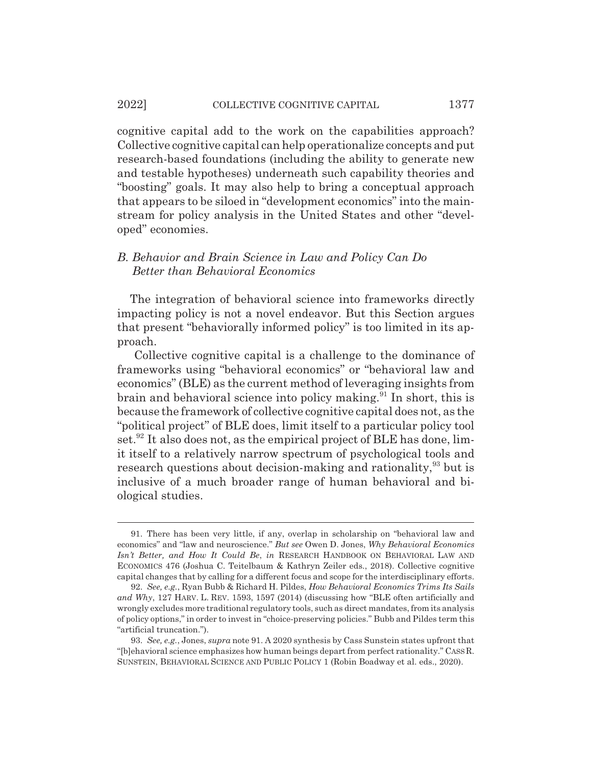cognitive capital add to the work on the capabilities approach? Collective cognitive capital can help operationalize concepts and put research-based foundations (including the ability to generate new and testable hypotheses) underneath such capability theories and "boosting" goals. It may also help to bring a conceptual approach that appears to be siloed in "development economics" into the mainstream for policy analysis in the United States and other "developed" economies.

### *B. Behavior and Brain Science in Law and Policy Can Do Better than Behavioral Economics*

The integration of behavioral science into frameworks directly impacting policy is not a novel endeavor. But this Section argues that present "behaviorally informed policy" is too limited in its approach.

 Collective cognitive capital is a challenge to the dominance of frameworks using "behavioral economics" or "behavioral law and economics" (BLE) as the current method of leveraging insights from brain and behavioral science into policy making. $91$  In short, this is because the framework of collective cognitive capital does not, as the "political project" of BLE does, limit itself to a particular policy tool set.<sup>92</sup> It also does not, as the empirical project of BLE has done, limit itself to a relatively narrow spectrum of psychological tools and research questions about decision-making and rationality,<sup>93</sup> but is inclusive of a much broader range of human behavioral and biological studies.

<sup>91.</sup> There has been very little, if any, overlap in scholarship on "behavioral law and economics" and "law and neuroscience." *But see* Owen D. Jones, *Why Behavioral Economics Isn't Better, and How It Could Be*, *in* RESEARCH HANDBOOK ON BEHAVIORAL LAW AND ECONOMICS 476 (Joshua C. Teitelbaum & Kathryn Zeiler eds., 2018). Collective cognitive capital changes that by calling for a different focus and scope for the interdisciplinary efforts.

<sup>92.</sup> *See, e.g.*, Ryan Bubb & Richard H. Pildes, *How Behavioral Economics Trims Its Sails and Why*, 127 HARV. L. REV. 1593, 1597 (2014) (discussing how "BLE often artificially and wrongly excludes more traditional regulatory tools, such as direct mandates, from its analysis of policy options," in order to invest in "choice-preserving policies." Bubb and Pildes term this "artificial truncation.").

<sup>93.</sup> *See, e.g.*, Jones, *supra* note 91. A 2020 synthesis by Cass Sunstein states upfront that "[b]ehavioral science emphasizes how human beings depart from perfect rationality." CASSR. SUNSTEIN, BEHAVIORAL SCIENCE AND PUBLIC POLICY 1 (Robin Boadway et al. eds., 2020).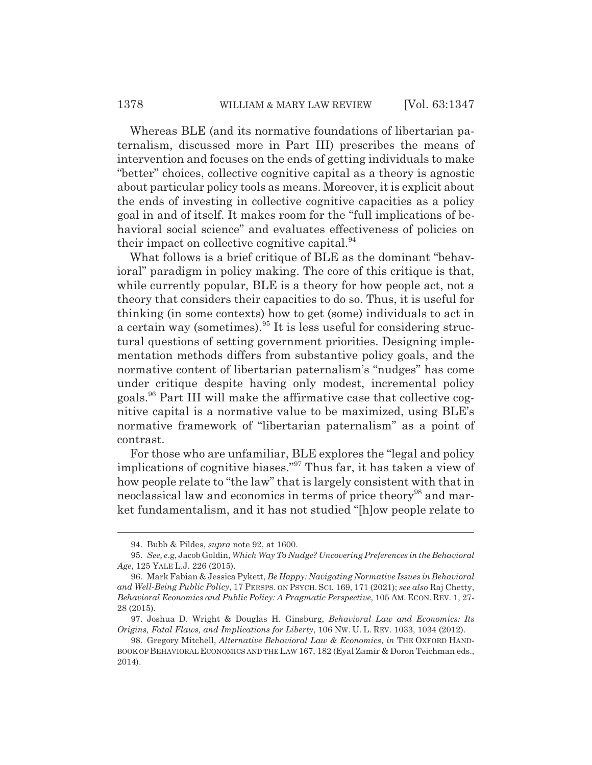Whereas BLE (and its normative foundations of libertarian paternalism, discussed more in Part III) prescribes the means of intervention and focuses on the ends of getting individuals to make "better" choices, collective cognitive capital as a theory is agnostic about particular policy tools as means. Moreover, it is explicit about the ends of investing in collective cognitive capacities as a policy goal in and of itself. It makes room for the "full implications of behavioral social science" and evaluates effectiveness of policies on their impact on collective cognitive capital. $94$ 

What follows is a brief critique of BLE as the dominant "behavioral" paradigm in policy making. The core of this critique is that, while currently popular, BLE is a theory for how people act, not a theory that considers their capacities to do so. Thus, it is useful for thinking (in some contexts) how to get (some) individuals to act in a certain way (sometimes).<sup>95</sup> It is less useful for considering structural questions of setting government priorities. Designing implementation methods differs from substantive policy goals, and the normative content of libertarian paternalism's "nudges" has come under critique despite having only modest, incremental policy goals.96 Part III will make the affirmative case that collective cognitive capital is a normative value to be maximized, using BLE's normative framework of "libertarian paternalism" as a point of contrast.

For those who are unfamiliar, BLE explores the "legal and policy implications of cognitive biases."97 Thus far, it has taken a view of how people relate to "the law" that is largely consistent with that in neoclassical law and economics in terms of price theory<sup>98</sup> and market fundamentalism, and it has not studied "[h]ow people relate to

<sup>94.</sup> Bubb & Pildes, *supra* note 92, at 1600.

<sup>95.</sup> *See, e*.g, Jacob Goldin, *Which Way To Nudge? Uncovering Preferences in the Behavioral Age*, 125 YALE L.J. 226 (2015).

<sup>96.</sup> Mark Fabian & Jessica Pykett, *Be Happy: Navigating Normative Issues in Behavioral and Well-Being Public Policy*, 17 PERSPS. ON PSYCH. SCI. 169, 171 (2021); *see also* Raj Chetty, *Behavioral Economics and Public Policy: A Pragmatic Perspective*, 105 AM. ECON. REV. 1, 27- 28 (2015).

<sup>97.</sup> Joshua D. Wright & Douglas H. Ginsburg, *Behavioral Law and Economics: Its Origins, Fatal Flaws, and Implications for Liberty*, 106 NW. U. L. REV. 1033, 1034 (2012).

<sup>98.</sup> Gregory Mitchell, *Alternative Behavioral Law & Economics*, *in* THE OXFORD HAND-BOOK OF BEHAVIORAL ECONOMICS AND THE LAW 167, 182 (Eyal Zamir & Doron Teichman eds., 2014).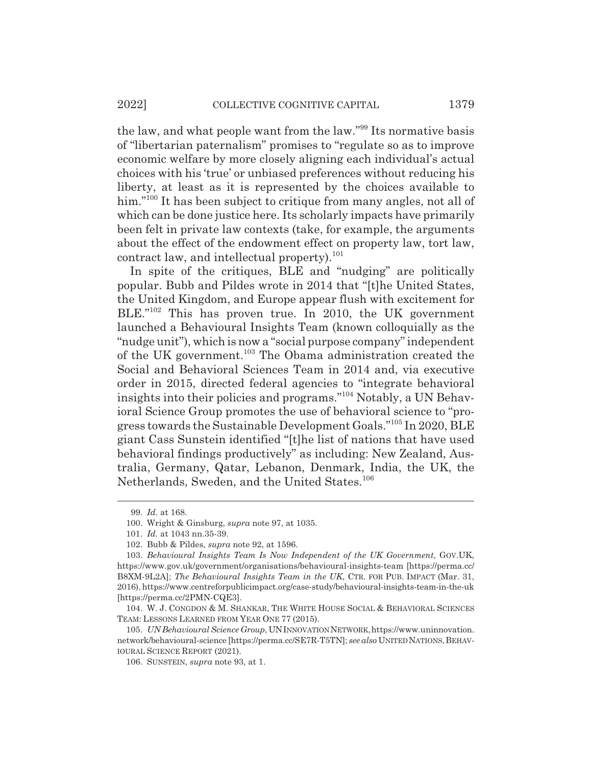the law, and what people want from the law."99 Its normative basis of "libertarian paternalism" promises to "regulate so as to improve economic welfare by more closely aligning each individual's actual choices with his 'true' or unbiased preferences without reducing his liberty, at least as it is represented by the choices available to him."<sup>100</sup> It has been subject to critique from many angles, not all of which can be done justice here. Its scholarly impacts have primarily been felt in private law contexts (take, for example, the arguments about the effect of the endowment effect on property law, tort law, contract law, and intellectual property). $101$ 

In spite of the critiques, BLE and "nudging" are politically popular. Bubb and Pildes wrote in 2014 that "[t]he United States, the United Kingdom, and Europe appear flush with excitement for BLE."<sup>102</sup> This has proven true. In 2010, the UK government launched a Behavioural Insights Team (known colloquially as the "nudge unit"), which is now a "social purpose company" independent of the UK government.<sup>103</sup> The Obama administration created the Social and Behavioral Sciences Team in 2014 and, via executive order in 2015, directed federal agencies to "integrate behavioral insights into their policies and programs."104 Notably, a UN Behavioral Science Group promotes the use of behavioral science to "progress towards the Sustainable Development Goals."105 In 2020, BLE giant Cass Sunstein identified "[t]he list of nations that have used behavioral findings productively" as including: New Zealand, Australia, Germany, Qatar, Lebanon, Denmark, India, the UK, the Netherlands, Sweden, and the United States.<sup>106</sup>

<sup>99.</sup> *Id.* at 168.

<sup>100.</sup> Wright & Ginsburg, *supra* note 97, at 1035.

<sup>101.</sup> *Id.* at 1043 nn.35-39.

<sup>102.</sup> Bubb & Pildes, *supra* note 92, at 1596.

<sup>103.</sup> *Behavioural Insights Team Is Now Independent of the UK Government*, GOV.UK, https://www.gov.uk/government/organisations/behavioural-insights-team [https://perma.cc/ B8XM-9L2A]; *The Behavioural Insights Team in the UK*, CTR. FOR PUB. IMPACT (Mar. 31, 2016), https://www.centreforpublicimpact.org/case-study/behavioural-insights-team-in-the-uk [https://perma.cc/2PMN-CQE3].

<sup>104.</sup> W. J. CONGDON & M. SHANKAR, THE WHITE HOUSE SOCIAL & BEHAVIORAL SCIENCES TEAM: LESSONS LEARNED FROM YEAR ONE 77 (2015).

<sup>105.</sup> *UN Behavioural Science Group*, UN INNOVATION NETWORK, https://www.uninnovation. network/behavioural-science [https://perma.cc/SE7R-T5TN]; see also UNITED NATIONS, BEHAV-IOURAL SCIENCE REPORT (2021).

<sup>106.</sup> SUNSTEIN, *supra* note 93, at 1.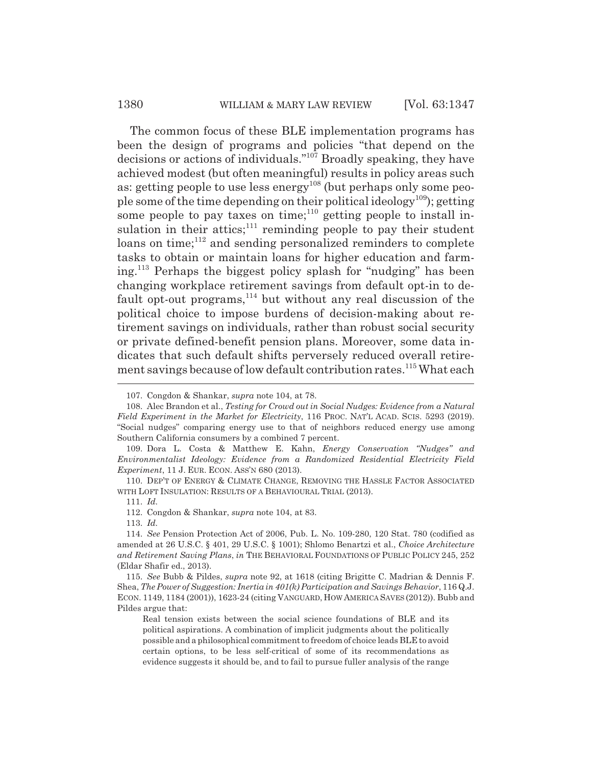The common focus of these BLE implementation programs has been the design of programs and policies "that depend on the decisions or actions of individuals."107 Broadly speaking, they have achieved modest (but often meaningful) results in policy areas such as: getting people to use less energy<sup>108</sup> (but perhaps only some people some of the time depending on their political ideology<sup>109</sup>); getting some people to pay taxes on time;<sup>110</sup> getting people to install insulation in their attics;<sup>111</sup> reminding people to pay their student loans on time; $^{112}$  and sending personalized reminders to complete tasks to obtain or maintain loans for higher education and farming.113 Perhaps the biggest policy splash for "nudging" has been changing workplace retirement savings from default opt-in to default opt-out programs, $114}$  but without any real discussion of the political choice to impose burdens of decision-making about retirement savings on individuals, rather than robust social security or private defined-benefit pension plans. Moreover, some data indicates that such default shifts perversely reduced overall retirement savings because of low default contribution rates.<sup>115</sup> What each

113. *Id.*

<sup>107.</sup> Congdon & Shankar, *supra* note 104, at 78.

<sup>108.</sup> Alec Brandon et al., *Testing for Crowd out in Social Nudges: Evidence from a Natural Field Experiment in the Market for Electricity*, 116 PROC. NAT'L ACAD. SCIS. 5293 (2019). "Social nudges" comparing energy use to that of neighbors reduced energy use among Southern California consumers by a combined 7 percent.

<sup>109.</sup> Dora L. Costa & Matthew E. Kahn, *Energy Conservation "Nudges" and Environmentalist Ideology: Evidence from a Randomized Residential Electricity Field Experiment*, 11 J. EUR. ECON. ASS'N 680 (2013).

<sup>110.</sup> DEP'T OF ENERGY & CLIMATE CHANGE, REMOVING THE HASSLE FACTOR ASSOCIATED WITH LOFT INSULATION: RESULTS OF A BEHAVIOURAL TRIAL (2013).

<sup>111.</sup> *Id.*

<sup>112.</sup> Congdon & Shankar, *supra* note 104, at 83.

<sup>114.</sup> *See* Pension Protection Act of 2006, Pub. L. No. 109-280, 120 Stat. 780 (codified as amended at 26 U.S.C. § 401, 29 U.S.C. § 1001); Shlomo Benartzi et al., *Choice Architecture and Retirement Saving Plans*, *in* THE BEHAVIORAL FOUNDATIONS OF PUBLIC POLICY 245, 252 (Eldar Shafir ed., 2013).

<sup>115.</sup> *See* Bubb & Pildes, *supra* note 92, at 1618 (citing Brigitte C. Madrian & Dennis F. Shea, *The Power of Suggestion: Inertia in 401(k) Participation and Savings Behavior*, 116 Q.J. ECON. 1149, 1184 (2001)), 1623-24 (citing VANGUARD, HOW AMERICA SAVES (2012)). Bubb and Pildes argue that:

Real tension exists between the social science foundations of BLE and its political aspirations. A combination of implicit judgments about the politically possible and a philosophical commitment to freedom of choice leads BLE to avoid certain options, to be less self-critical of some of its recommendations as evidence suggests it should be, and to fail to pursue fuller analysis of the range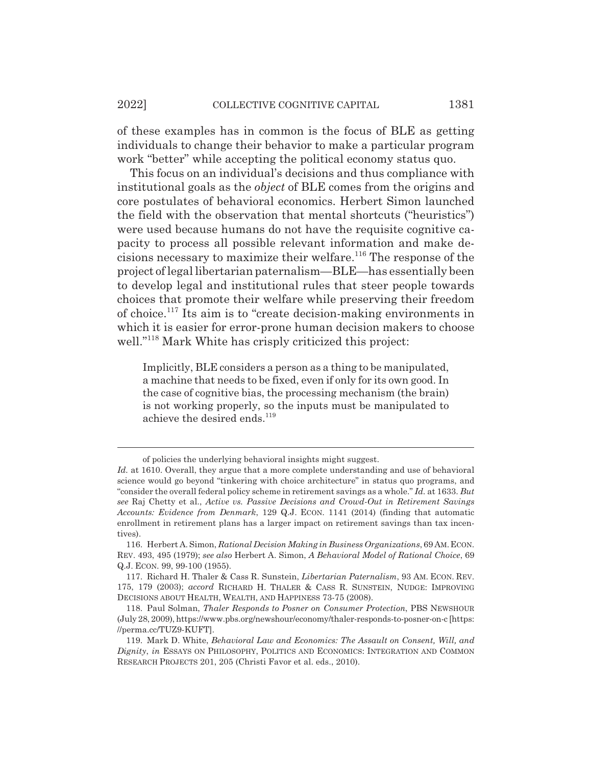of these examples has in common is the focus of BLE as getting individuals to change their behavior to make a particular program work "better" while accepting the political economy status quo.

This focus on an individual's decisions and thus compliance with institutional goals as the *object* of BLE comes from the origins and core postulates of behavioral economics. Herbert Simon launched the field with the observation that mental shortcuts ("heuristics") were used because humans do not have the requisite cognitive capacity to process all possible relevant information and make decisions necessary to maximize their welfare.116 The response of the project of legal libertarian paternalism—BLE—has essentially been to develop legal and institutional rules that steer people towards choices that promote their welfare while preserving their freedom of choice.117 Its aim is to "create decision-making environments in which it is easier for error-prone human decision makers to choose well."<sup>118</sup> Mark White has crisply criticized this project:

Implicitly, BLE considers a person as a thing to be manipulated, a machine that needs to be fixed, even if only for its own good. In the case of cognitive bias, the processing mechanism (the brain) is not working properly, so the inputs must be manipulated to achieve the desired ends.<sup>119</sup>

of policies the underlying behavioral insights might suggest.

*Id.* at 1610. Overall, they argue that a more complete understanding and use of behavioral science would go beyond "tinkering with choice architecture" in status quo programs, and "consider the overall federal policy scheme in retirement savings as a whole." *Id.* at 1633. *But see* Raj Chetty et al., *Active vs. Passive Decisions and Crowd-Out in Retirement Savings Accounts: Evidence from Denmark*, 129 Q.J. ECON. 1141 (2014) (finding that automatic enrollment in retirement plans has a larger impact on retirement savings than tax incentives).

<sup>116.</sup> Herbert A. Simon, *Rational Decision Making in Business Organizations*, 69 AM.ECON. REV. 493, 495 (1979); *see also* Herbert A. Simon, *A Behavioral Model of Rational Choice*, 69 Q.J. ECON. 99, 99-100 (1955).

<sup>117.</sup> Richard H. Thaler & Cass R. Sunstein, *Libertarian Paternalism*, 93 AM. ECON. REV. 175, 179 (2003); *accord* RICHARD H. THALER & CASS R. SUNSTEIN, NUDGE: IMPROVING DECISIONS ABOUT HEALTH, WEALTH, AND HAPPINESS 73-75 (2008).

<sup>118.</sup> Paul Solman, *Thaler Responds to Posner on Consumer Protection*, PBS NEWSHOUR (July 28, 2009), https://www.pbs.org/newshour/economy/thaler-responds-to-posner-on-c [https: //perma.cc/TUZ9-KUFT].

<sup>119.</sup> Mark D. White, *Behavioral Law and Economics: The Assault on Consent, Will, and Dignity*, *in* ESSAYS ON PHILOSOPHY, POLITICS AND ECONOMICS: INTEGRATION AND COMMON RESEARCH PROJECTS 201, 205 (Christi Favor et al. eds., 2010).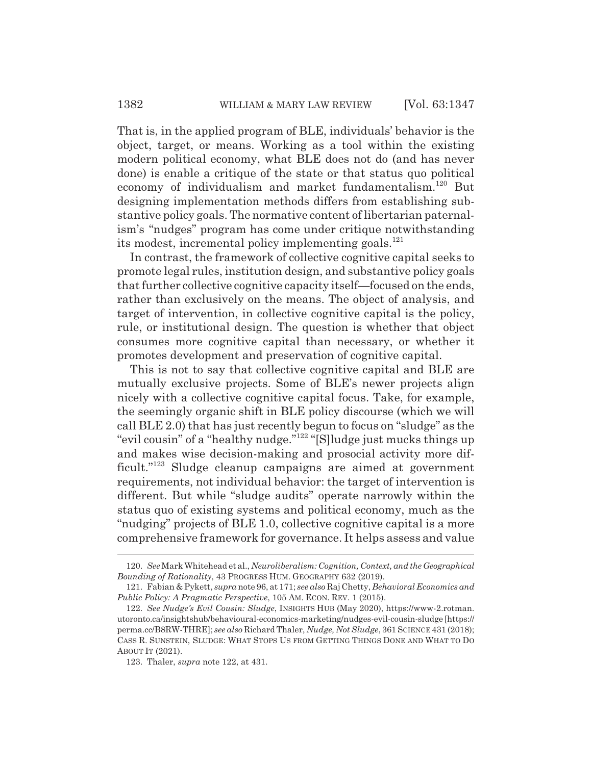That is, in the applied program of BLE, individuals' behavior is the object, target, or means. Working as a tool within the existing modern political economy, what BLE does not do (and has never done) is enable a critique of the state or that status quo political economy of individualism and market fundamentalism.120 But designing implementation methods differs from establishing substantive policy goals. The normative content of libertarian paternalism's "nudges" program has come under critique notwithstanding its modest, incremental policy implementing goals.<sup>121</sup>

In contrast, the framework of collective cognitive capital seeks to promote legal rules, institution design, and substantive policy goals that further collective cognitive capacity itself—focused on the ends, rather than exclusively on the means. The object of analysis, and target of intervention, in collective cognitive capital is the policy, rule, or institutional design. The question is whether that object consumes more cognitive capital than necessary, or whether it promotes development and preservation of cognitive capital.

This is not to say that collective cognitive capital and BLE are mutually exclusive projects. Some of BLE's newer projects align nicely with a collective cognitive capital focus. Take, for example, the seemingly organic shift in BLE policy discourse (which we will call BLE 2.0) that has just recently begun to focus on "sludge" as the "evil cousin" of a "healthy nudge."122 "[S]ludge just mucks things up and makes wise decision-making and prosocial activity more difficult."<sup>123</sup> Sludge cleanup campaigns are aimed at government requirements, not individual behavior: the target of intervention is different. But while "sludge audits" operate narrowly within the status quo of existing systems and political economy, much as the "nudging" projects of BLE 1.0, collective cognitive capital is a more comprehensive framework for governance. It helps assess and value

<sup>120.</sup> *See* Mark Whitehead et al., *Neuroliberalism: Cognition, Context, and the Geographical Bounding of Rationality*, 43 PROGRESS HUM. GEOGRAPHY 632 (2019).

<sup>121.</sup> Fabian & Pykett, *supra* note 96, at 171; *see also* Raj Chetty, *Behavioral Economics and Public Policy: A Pragmatic Perspective*, 105 AM. ECON. REV. 1 (2015).

<sup>122.</sup> *See Nudge's Evil Cousin: Sludge*, INSIGHTS HUB (May 2020), https://www-2.rotman. utoronto.ca/insightshub/behavioural-economics-marketing/nudges-evil-cousin-sludge [https:// perma.cc/B8RW-THRE]; *see also* Richard Thaler, *Nudge, Not Sludge*, 361 SCIENCE 431 (2018); CASS R. SUNSTEIN, SLUDGE: WHAT STOPS US FROM GETTING THINGS DONE AND WHAT TO DO ABOUT IT (2021).

<sup>123.</sup> Thaler, *supra* note 122, at 431.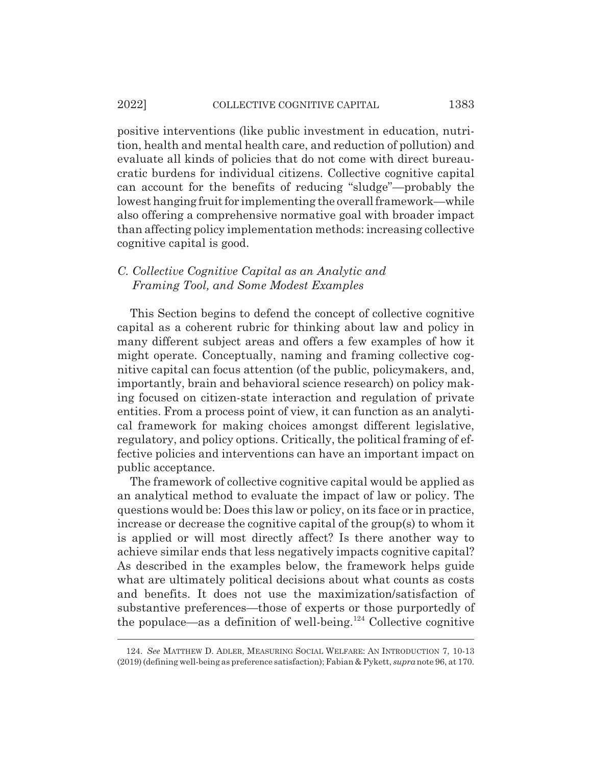#### 2022] COLLECTIVE COGNITIVE CAPITAL 1383

positive interventions (like public investment in education, nutrition, health and mental health care, and reduction of pollution) and evaluate all kinds of policies that do not come with direct bureaucratic burdens for individual citizens. Collective cognitive capital can account for the benefits of reducing "sludge"—probably the lowest hanging fruit for implementing the overall framework—while also offering a comprehensive normative goal with broader impact than affecting policy implementation methods: increasing collective cognitive capital is good.

### *C. Collective Cognitive Capital as an Analytic and Framing Tool, and Some Modest Examples*

This Section begins to defend the concept of collective cognitive capital as a coherent rubric for thinking about law and policy in many different subject areas and offers a few examples of how it might operate. Conceptually, naming and framing collective cognitive capital can focus attention (of the public, policymakers, and, importantly, brain and behavioral science research) on policy making focused on citizen-state interaction and regulation of private entities. From a process point of view, it can function as an analytical framework for making choices amongst different legislative, regulatory, and policy options. Critically, the political framing of effective policies and interventions can have an important impact on public acceptance.

The framework of collective cognitive capital would be applied as an analytical method to evaluate the impact of law or policy. The questions would be: Does this law or policy, on its face or in practice, increase or decrease the cognitive capital of the group(s) to whom it is applied or will most directly affect? Is there another way to achieve similar ends that less negatively impacts cognitive capital? As described in the examples below, the framework helps guide what are ultimately political decisions about what counts as costs and benefits. It does not use the maximization/satisfaction of substantive preferences—those of experts or those purportedly of the populace—as a definition of well-being.124 Collective cognitive

<sup>124.</sup> *See* MATTHEW D. ADLER, MEASURING SOCIAL WELFARE: AN INTRODUCTION 7, 10-13 (2019) (defining well-being as preference satisfaction); Fabian & Pykett, *supra* note 96, at 170.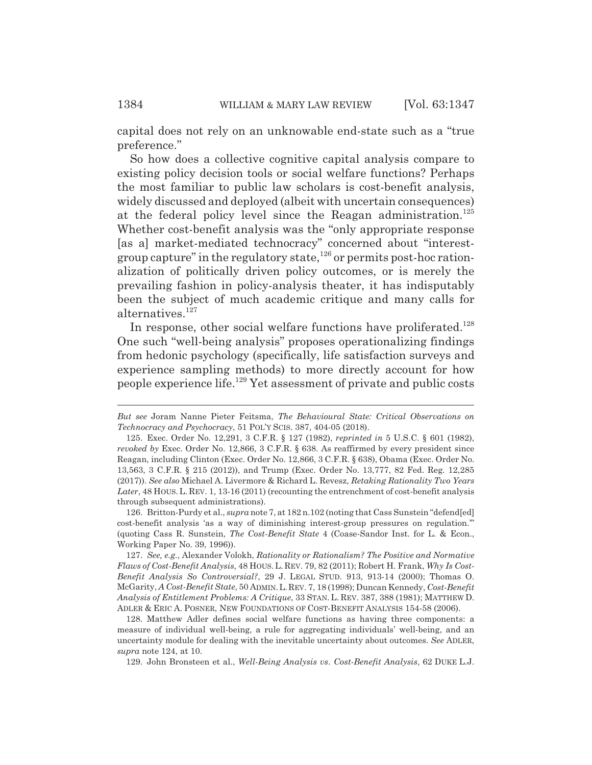capital does not rely on an unknowable end-state such as a "true preference."

So how does a collective cognitive capital analysis compare to existing policy decision tools or social welfare functions? Perhaps the most familiar to public law scholars is cost-benefit analysis, widely discussed and deployed (albeit with uncertain consequences) at the federal policy level since the Reagan administration.<sup>125</sup> Whether cost-benefit analysis was the "only appropriate response [as a] market-mediated technocracy" concerned about "interestgroup capture" in the regulatory state, $126$  or permits post-hoc rationalization of politically driven policy outcomes, or is merely the prevailing fashion in policy-analysis theater, it has indisputably been the subject of much academic critique and many calls for alternatives.<sup>127</sup>

In response, other social welfare functions have proliferated.<sup>128</sup> One such "well-being analysis" proposes operationalizing findings from hedonic psychology (specifically, life satisfaction surveys and experience sampling methods) to more directly account for how people experience life.129 Yet assessment of private and public costs

126. Britton-Purdy et al., *supra* note 7, at 182 n.102 (noting that Cass Sunstein "defend[ed] cost-benefit analysis 'as a way of diminishing interest-group pressures on regulation.'" (quoting Cass R. Sunstein, *The Cost-Benefit State* 4 (Coase-Sandor Inst. for L. & Econ., Working Paper No. 39, 1996)).

*But see* Joram Nanne Pieter Feitsma, *The Behavioural State: Critical Observations on Technocracy and Psychocracy*, 51 POL'Y SCIS. 387, 404-05 (2018).

<sup>125.</sup> Exec. Order No. 12,291, 3 C.F.R. § 127 (1982), *reprinted in* 5 U.S.C. § 601 (1982), *revoked by* Exec. Order No. 12,866, 3 C.F.R. § 638. As reaffirmed by every president since Reagan, including Clinton (Exec. Order No. 12,866, 3 C.F.R. § 638), Obama (Exec. Order No. 13,563, 3 C.F.R. § 215 (2012)), and Trump (Exec. Order No. 13,777, 82 Fed. Reg. 12,285 (2017)). *See also* Michael A. Livermore & Richard L. Revesz, *Retaking Rationality Two Years* Later, 48 HOUS. L. REV. 1, 13-16 (2011) (recounting the entrenchment of cost-benefit analysis through subsequent administrations).

<sup>127.</sup> *See, e.g.*, Alexander Volokh, *Rationality or Rationalism? The Positive and Normative Flaws of Cost-Benefit Analysis*, 48 HOUS. L. REV. 79, 82 (2011); Robert H. Frank, *Why Is Cost-Benefit Analysis So Controversial?*, 29 J. LEGAL STUD. 913, 913-14 (2000); Thomas O. McGarity, *A Cost-Benefit State*, 50 ADMIN.L.REV. 7, 18 (1998); Duncan Kennedy, *Cost-Benefit Analysis of Entitlement Problems: A Critique*, 33 STAN. L. REV. 387, 388 (1981); MATTHEW D. ADLER & ERIC A. POSNER, NEW FOUNDATIONS OF COST-BENEFIT ANALYSIS 154-58 (2006).

<sup>128.</sup> Matthew Adler defines social welfare functions as having three components: a measure of individual well-being, a rule for aggregating individuals' well-being, and an uncertainty module for dealing with the inevitable uncertainty about outcomes. *See* ADLER, *supra* note 124, at 10.

<sup>129.</sup> John Bronsteen et al., *Well-Being Analysis vs. Cost-Benefit Analysis*, 62 DUKE L.J.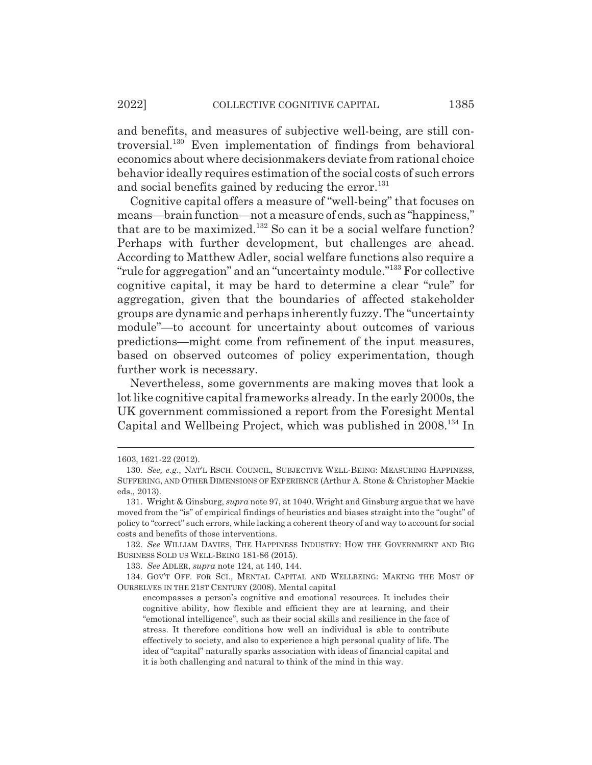and benefits, and measures of subjective well-being, are still controversial.130 Even implementation of findings from behavioral economics about where decisionmakers deviate from rational choice behavior ideally requires estimation of the social costs of such errors and social benefits gained by reducing the error. $131$ 

Cognitive capital offers a measure of "well-being" that focuses on means—brain function—not a measure of ends, such as "happiness," that are to be maximized.<sup>132</sup> So can it be a social welfare function? Perhaps with further development, but challenges are ahead. According to Matthew Adler, social welfare functions also require a "rule for aggregation" and an "uncertainty module."133 For collective cognitive capital, it may be hard to determine a clear "rule" for aggregation, given that the boundaries of affected stakeholder groups are dynamic and perhaps inherently fuzzy. The "uncertainty module"—to account for uncertainty about outcomes of various predictions—might come from refinement of the input measures, based on observed outcomes of policy experimentation, though further work is necessary.

Nevertheless, some governments are making moves that look a lot like cognitive capital frameworks already. In the early 2000s, the UK government commissioned a report from the Foresight Mental Capital and Wellbeing Project, which was published in 2008.134 In

133. *See* ADLER, *supra* note 124, at 140, 144.

134. GOV'T OFF. FOR SCI., MENTAL CAPITAL AND WELLBEING: MAKING THE MOST OF OURSELVES IN THE 21ST CENTURY (2008). Mental capital

<sup>1603, 1621-22 (2012).</sup>

<sup>130.</sup> *See, e.g.*, NAT'L RSCH. COUNCIL, SUBJECTIVE WELL-BEING: MEASURING HAPPINESS, SUFFERING, AND OTHER DIMENSIONS OF EXPERIENCE (Arthur A. Stone & Christopher Mackie eds., 2013).

<sup>131.</sup> Wright & Ginsburg, *supra* note 97, at 1040. Wright and Ginsburg argue that we have moved from the "is" of empirical findings of heuristics and biases straight into the "ought" of policy to "correct" such errors, while lacking a coherent theory of and way to account for social costs and benefits of those interventions.

<sup>132.</sup> *See* WILLIAM DAVIES, THE HAPPINESS INDUSTRY: HOW THE GOVERNMENT AND BIG BUSINESS SOLD US WELL-BEING 181-86 (2015).

encompasses a person's cognitive and emotional resources. It includes their cognitive ability, how flexible and efficient they are at learning, and their "emotional intelligence", such as their social skills and resilience in the face of stress. It therefore conditions how well an individual is able to contribute effectively to society, and also to experience a high personal quality of life. The idea of "capital" naturally sparks association with ideas of financial capital and it is both challenging and natural to think of the mind in this way.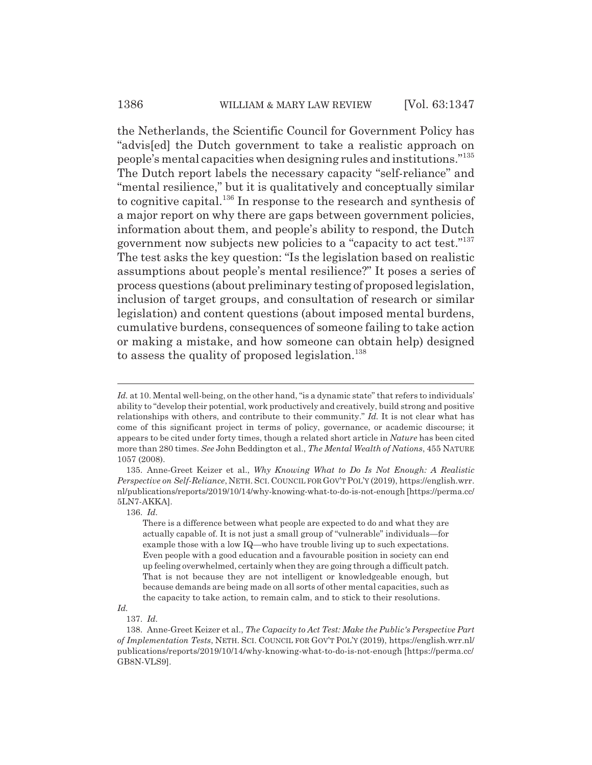#### 1386 WILLIAM & MARY LAW REVIEW [Vol. 63:1347

the Netherlands, the Scientific Council for Government Policy has "advis[ed] the Dutch government to take a realistic approach on people's mental capacities when designing rules and institutions."<sup>135</sup> The Dutch report labels the necessary capacity "self-reliance" and "mental resilience," but it is qualitatively and conceptually similar to cognitive capital.<sup>136</sup> In response to the research and synthesis of a major report on why there are gaps between government policies, information about them, and people's ability to respond, the Dutch government now subjects new policies to a "capacity to act test."137 The test asks the key question: "Is the legislation based on realistic assumptions about people's mental resilience?" It poses a series of process questions (about preliminary testing of proposed legislation, inclusion of target groups, and consultation of research or similar legislation) and content questions (about imposed mental burdens, cumulative burdens, consequences of someone failing to take action or making a mistake, and how someone can obtain help) designed to assess the quality of proposed legislation.<sup>138</sup>

*Id.*

Id. at 10. Mental well-being, on the other hand, "is a dynamic state" that refers to individuals' ability to "develop their potential, work productively and creatively, build strong and positive relationships with others, and contribute to their community." *Id.* It is not clear what has come of this significant project in terms of policy, governance, or academic discourse; it appears to be cited under forty times, though a related short article in *Nature* has been cited more than 280 times. *See* John Beddington et al., *The Mental Wealth of Nations*, 455 NATURE 1057 (2008).

<sup>135.</sup> Anne-Greet Keizer et al., *Why Knowing What to Do Is Not Enough: A Realistic Perspective on Self-Reliance*, NETH. SCI. COUNCIL FOR GOV'T POL'Y (2019), https://english.wrr. nl/publications/reports/2019/10/14/why-knowing-what-to-do-is-not-enough [https://perma.cc/ 5LN7-AKKA].

<sup>136.</sup> *Id.*

There is a difference between what people are expected to do and what they are actually capable of. It is not just a small group of "vulnerable" individuals—for example those with a low IQ—who have trouble living up to such expectations. Even people with a good education and a favourable position in society can end up feeling overwhelmed, certainly when they are going through a difficult patch. That is not because they are not intelligent or knowledgeable enough, but because demands are being made on all sorts of other mental capacities, such as the capacity to take action, to remain calm, and to stick to their resolutions.

<sup>137.</sup> *Id.*

<sup>138.</sup> Anne-Greet Keizer et al., *The Capacity to Act Test: Make the Public's Perspective Part of Implementation Tests*, NETH. SCI. COUNCIL FOR GOV'T POL'Y (2019), https://english.wrr.nl/ publications/reports/2019/10/14/why-knowing-what-to-do-is-not-enough [https://perma.cc/ GB8N-VLS9].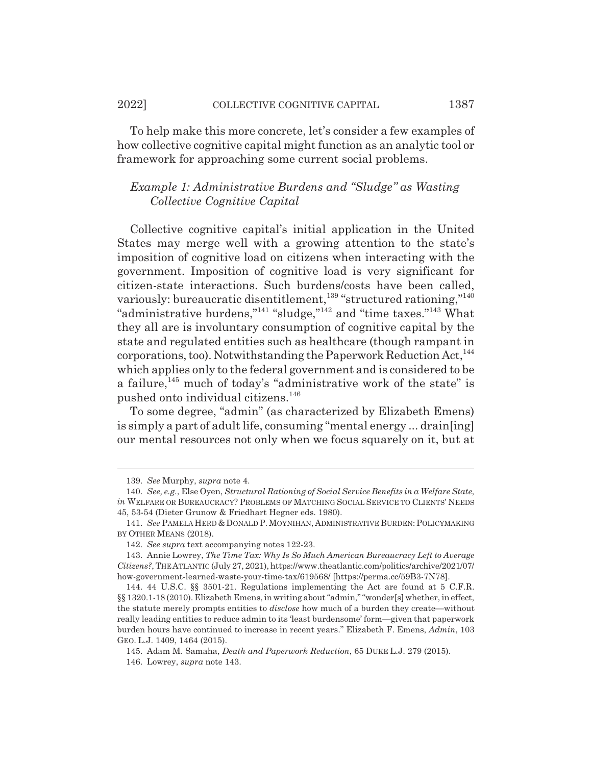To help make this more concrete, let's consider a few examples of how collective cognitive capital might function as an analytic tool or framework for approaching some current social problems.

# *Example 1: Administrative Burdens and "Sludge" as Wasting Collective Cognitive Capital*

Collective cognitive capital's initial application in the United States may merge well with a growing attention to the state's imposition of cognitive load on citizens when interacting with the government. Imposition of cognitive load is very significant for citizen-state interactions. Such burdens/costs have been called, variously: bureaucratic disentitlement,<sup>139</sup> "structured rationing,"<sup>140</sup> "administrative burdens,"<sup>141</sup> "sludge,"<sup>142</sup> and "time taxes."<sup>143</sup> What they all are is involuntary consumption of cognitive capital by the state and regulated entities such as healthcare (though rampant in corporations, too). Notwithstanding the Paperwork Reduction  $Act, <sup>144</sup>$ which applies only to the federal government and is considered to be a failure, $145$  much of today's "administrative work of the state" is pushed onto individual citizens.146

To some degree, "admin" (as characterized by Elizabeth Emens) is simply a part of adult life, consuming "mental energy ... drain[ing] our mental resources not only when we focus squarely on it, but at

<sup>139.</sup> *See* Murphy, *supra* note 4.

<sup>140.</sup> *See, e.g.*, Else Oyen, *Structural Rationing of Social Service Benefits in a Welfare State*, *in* WELFARE OR BUREAUCRACY? PROBLEMS OF MATCHING SOCIAL SERVICE TO CLIENTS' NEEDS 45, 53-54 (Dieter Grunow & Friedhart Hegner eds. 1980).

<sup>141.</sup> *See* PAMELA HERD & DONALD P. MOYNIHAN, ADMINISTRATIVE BURDEN: POLICYMAKING BY OTHER MEANS (2018).

<sup>142.</sup> *See supra* text accompanying notes 122-23.

<sup>143.</sup> Annie Lowrey, *The Time Tax: Why Is So Much American Bureaucracy Left to Average Citizens?*, THE ATLANTIC (July 27, 2021), https://www.theatlantic.com/politics/archive/2021/07/ how-government-learned-waste-your-time-tax/619568/ [https://perma.cc/59B3-7N78].

<sup>144. 44</sup> U.S.C. §§ 3501-21. Regulations implementing the Act are found at 5 C.F.R. §§ 1320.1-18 (2010). Elizabeth Emens, in writing about "admin," "wonder[s] whether, in effect, the statute merely prompts entities to *disclose* how much of a burden they create—without really leading entities to reduce admin to its 'least burdensome' form—given that paperwork burden hours have continued to increase in recent years." Elizabeth F. Emens, *Admin*, 103 GEO. L.J. 1409, 1464 (2015).

<sup>145.</sup> Adam M. Samaha, *Death and Paperwork Reduction*, 65 DUKE L.J. 279 (2015).

<sup>146.</sup> Lowrey, *supra* note 143.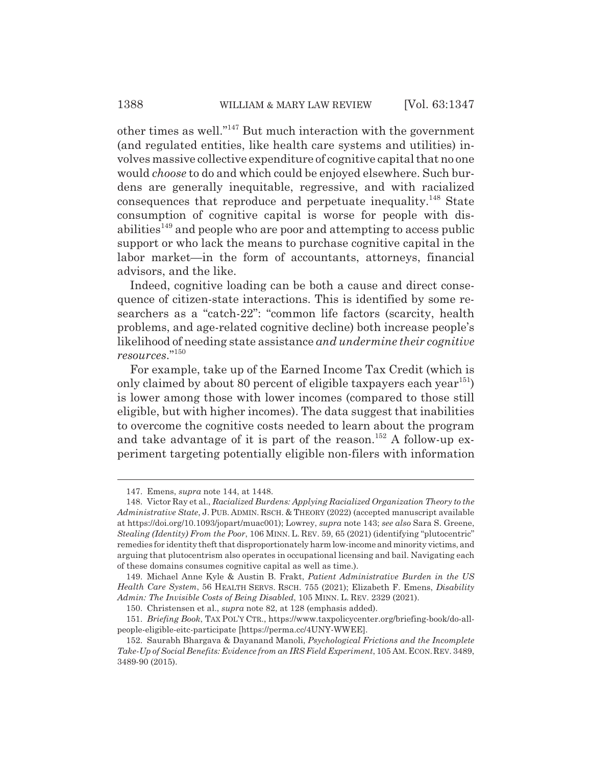other times as well."147 But much interaction with the government (and regulated entities, like health care systems and utilities) involves massive collective expenditure of cognitive capital that no one would *choose* to do and which could be enjoyed elsewhere. Such burdens are generally inequitable, regressive, and with racialized consequences that reproduce and perpetuate inequality.<sup>148</sup> State consumption of cognitive capital is worse for people with disabilities<sup> $149$ </sup> and people who are poor and attempting to access public support or who lack the means to purchase cognitive capital in the labor market—in the form of accountants, attorneys, financial advisors, and the like.

Indeed, cognitive loading can be both a cause and direct consequence of citizen-state interactions. This is identified by some researchers as a "catch-22": "common life factors (scarcity, health problems, and age-related cognitive decline) both increase people's likelihood of needing state assistance *and undermine their cognitive resources*."150

For example, take up of the Earned Income Tax Credit (which is only claimed by about 80 percent of eligible taxpayers each year<sup>151</sup>) is lower among those with lower incomes (compared to those still eligible, but with higher incomes). The data suggest that inabilities to overcome the cognitive costs needed to learn about the program and take advantage of it is part of the reason.<sup>152</sup> A follow-up experiment targeting potentially eligible non-filers with information

<sup>147.</sup> Emens, *supra* note 144, at 1448.

<sup>148.</sup> Victor Ray et al., *Racialized Burdens: Applying Racialized Organization Theory to the Administrative State*, J.PUB. ADMIN. RSCH.&THEORY (2022) (accepted manuscript available at https://doi.org/10.1093/jopart/muac001); Lowrey, *supra* note 143; *see also* Sara S. Greene, *Stealing (Identity) From the Poor*, 106 MINN. L. REV. 59, 65 (2021) (identifying "plutocentric" remedies for identity theft that disproportionately harm low-income and minority victims, and arguing that plutocentrism also operates in occupational licensing and bail. Navigating each of these domains consumes cognitive capital as well as time.).

<sup>149.</sup> Michael Anne Kyle & Austin B. Frakt, *Patient Administrative Burden in the US Health Care System*, 56 HEALTH SERVS. RSCH. 755 (2021); Elizabeth F. Emens, *Disability Admin: The Invisible Costs of Being Disabled*, 105 MINN. L. REV. 2329 (2021).

<sup>150.</sup> Christensen et al., *supra* note 82, at 128 (emphasis added).

<sup>151.</sup> *Briefing Book*, TAX POL'Y CTR., https://www.taxpolicycenter.org/briefing-book/do-allpeople-eligible-eitc-participate [https://perma.cc/4UNY-WWEE].

<sup>152.</sup> Saurabh Bhargava & Dayanand Manoli, *Psychological Frictions and the Incomplete Take-Up of Social Benefits: Evidence from an IRS Field Experiment*, 105 AM.ECON.REV. 3489, 3489-90 (2015).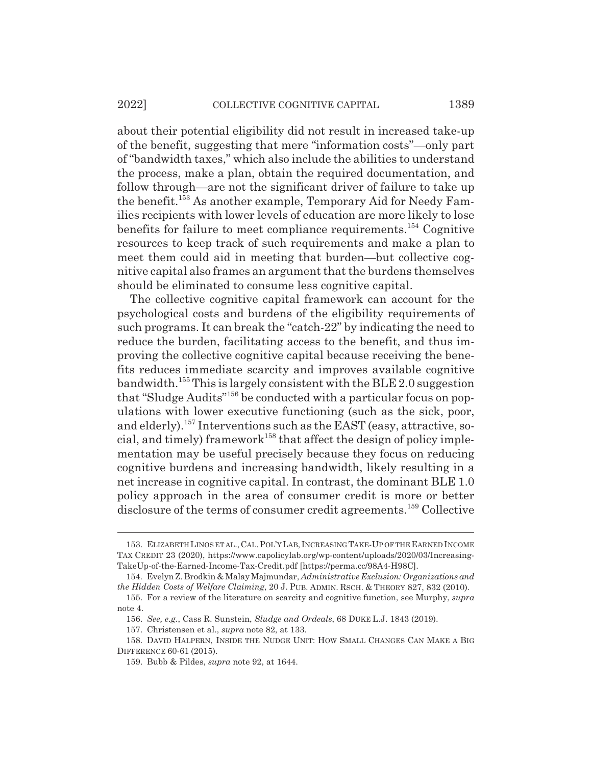about their potential eligibility did not result in increased take-up of the benefit, suggesting that mere "information costs"—only part of "bandwidth taxes," which also include the abilities to understand the process, make a plan, obtain the required documentation, and follow through—are not the significant driver of failure to take up the benefit.<sup>153</sup> As another example, Temporary Aid for Needy Families recipients with lower levels of education are more likely to lose benefits for failure to meet compliance requirements.154 Cognitive resources to keep track of such requirements and make a plan to meet them could aid in meeting that burden—but collective cognitive capital also frames an argument that the burdens themselves should be eliminated to consume less cognitive capital.

The collective cognitive capital framework can account for the psychological costs and burdens of the eligibility requirements of such programs. It can break the "catch-22" by indicating the need to reduce the burden, facilitating access to the benefit, and thus improving the collective cognitive capital because receiving the benefits reduces immediate scarcity and improves available cognitive bandwidth.<sup>155</sup> This is largely consistent with the BLE 2.0 suggestion that "Sludge Audits"156 be conducted with a particular focus on populations with lower executive functioning (such as the sick, poor, and elderly).<sup>157</sup> Interventions such as the EAST (easy, attractive, social, and timely) framework<sup>158</sup> that affect the design of policy implementation may be useful precisely because they focus on reducing cognitive burdens and increasing bandwidth, likely resulting in a net increase in cognitive capital. In contrast, the dominant BLE 1.0 policy approach in the area of consumer credit is more or better disclosure of the terms of consumer credit agreements.<sup>159</sup> Collective

<sup>153.</sup> ELIZABETH LINOS ET AL.,CAL.POL'Y LAB,INCREASING TAKE-UP OF THE EARNED INCOME TAX CREDIT 23 (2020), https://www.capolicylab.org/wp-content/uploads/2020/03/Increasing-TakeUp-of-the-Earned-Income-Tax-Credit.pdf [https://perma.cc/98A4-H98C].

<sup>154.</sup> Evelyn Z. Brodkin & Malay Majmundar, *Administrative Exclusion: Organizations and the Hidden Costs of Welfare Claiming*, 20 J. PUB. ADMIN. RSCH.&THEORY 827, 832 (2010).

<sup>155.</sup> For a review of the literature on scarcity and cognitive function, see Murphy, *supra* note 4.

<sup>156.</sup> *See, e.g.*, Cass R. Sunstein, *Sludge and Ordeals*, 68 DUKE L.J. 1843 (2019).

<sup>157.</sup> Christensen et al., *supra* note 82, at 133.

<sup>158.</sup> DAVID HALPERN, INSIDE THE NUDGE UNIT: HOW SMALL CHANGES CAN MAKE A BIG DIFFERENCE 60-61 (2015).

<sup>159.</sup> Bubb & Pildes, *supra* note 92, at 1644.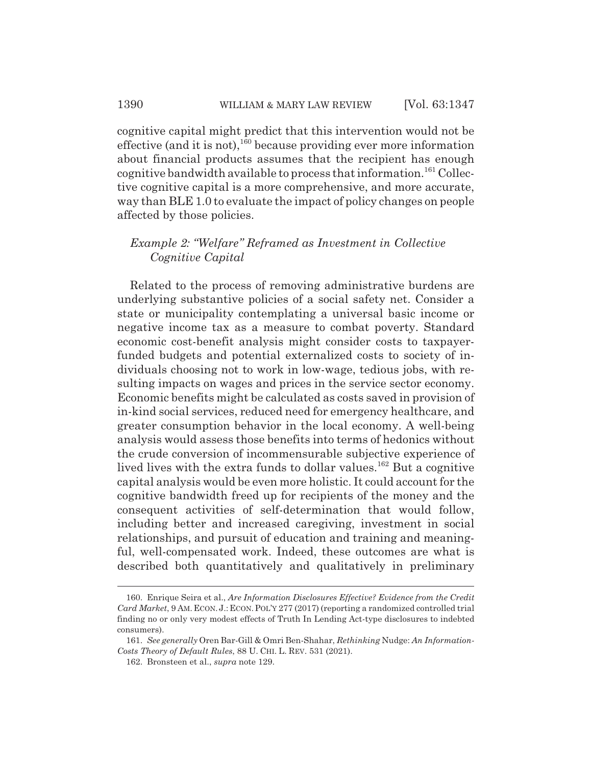cognitive capital might predict that this intervention would not be effective (and it is not), $1^{160}$  because providing ever more information about financial products assumes that the recipient has enough cognitive bandwidth available to process that information.<sup>161</sup> Collective cognitive capital is a more comprehensive, and more accurate, way than BLE 1.0 to evaluate the impact of policy changes on people affected by those policies.

### *Example 2: "Welfare" Reframed as Investment in Collective Cognitive Capital*

Related to the process of removing administrative burdens are underlying substantive policies of a social safety net. Consider a state or municipality contemplating a universal basic income or negative income tax as a measure to combat poverty. Standard economic cost-benefit analysis might consider costs to taxpayerfunded budgets and potential externalized costs to society of individuals choosing not to work in low-wage, tedious jobs, with resulting impacts on wages and prices in the service sector economy. Economic benefits might be calculated as costs saved in provision of in-kind social services, reduced need for emergency healthcare, and greater consumption behavior in the local economy. A well-being analysis would assess those benefits into terms of hedonics without the crude conversion of incommensurable subjective experience of lived lives with the extra funds to dollar values.162 But a cognitive capital analysis would be even more holistic. It could account for the cognitive bandwidth freed up for recipients of the money and the consequent activities of self-determination that would follow, including better and increased caregiving, investment in social relationships, and pursuit of education and training and meaningful, well-compensated work. Indeed, these outcomes are what is described both quantitatively and qualitatively in preliminary

<sup>160.</sup> Enrique Seira et al., *Are Information Disclosures Effective? Evidence from the Credit Card Market*, 9 AM. ECON. J.: ECON. POL'Y 277 (2017) (reporting a randomized controlled trial finding no or only very modest effects of Truth In Lending Act-type disclosures to indebted consumers).

<sup>161.</sup> *See generally* Oren Bar-Gill & Omri Ben-Shahar, *Rethinking* Nudge: *An Information-Costs Theory of Default Rules*, 88 U. CHI. L. REV. 531 (2021).

<sup>162.</sup> Bronsteen et al., *supra* note 129.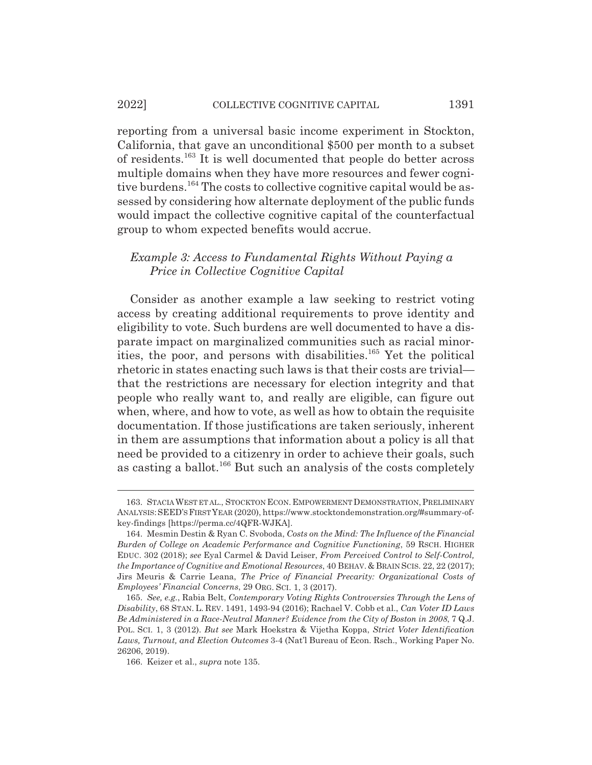#### 2022] COLLECTIVE COGNITIVE CAPITAL 1391

reporting from a universal basic income experiment in Stockton, California, that gave an unconditional \$500 per month to a subset of residents.163 It is well documented that people do better across multiple domains when they have more resources and fewer cognitive burdens.<sup>164</sup> The costs to collective cognitive capital would be assessed by considering how alternate deployment of the public funds would impact the collective cognitive capital of the counterfactual group to whom expected benefits would accrue.

### *Example 3: Access to Fundamental Rights Without Paying a Price in Collective Cognitive Capital*

Consider as another example a law seeking to restrict voting access by creating additional requirements to prove identity and eligibility to vote. Such burdens are well documented to have a disparate impact on marginalized communities such as racial minorities, the poor, and persons with disabilities.<sup>165</sup> Yet the political rhetoric in states enacting such laws is that their costs are trivial that the restrictions are necessary for election integrity and that people who really want to, and really are eligible, can figure out when, where, and how to vote, as well as how to obtain the requisite documentation. If those justifications are taken seriously, inherent in them are assumptions that information about a policy is all that need be provided to a citizenry in order to achieve their goals, such as casting a ballot.<sup>166</sup> But such an analysis of the costs completely

<sup>163.</sup> STACIA WEST ET AL., STOCKTON ECON. EMPOWERMENT DEMONSTRATION, PRELIMINARY ANALYSIS:SEED'SFIRSTYEAR (2020), https://www.stocktondemonstration.org/#summary-ofkey-findings [https://perma.cc/4QFR-WJKA].

<sup>164.</sup> Mesmin Destin & Ryan C. Svoboda, *Costs on the Mind: The Influence of the Financial Burden of College on Academic Performance and Cognitive Functioning*, 59 RSCH. HIGHER EDUC. 302 (2018); *see* Eyal Carmel & David Leiser, *From Perceived Control to Self-Control, the Importance of Cognitive and Emotional Resources*, 40 BEHAV.&BRAIN SCIS. 22, 22 (2017); Jirs Meuris & Carrie Leana, *The Price of Financial Precarity: Organizational Costs of Employees' Financial Concerns*, 29 ORG. SCI. 1, 3 (2017).

<sup>165.</sup> *See, e.g.*, Rabia Belt, *Contemporary Voting Rights Controversies Through the Lens of Disability*, 68 STAN. L. REV. 1491, 1493-94 (2016); Rachael V. Cobb et al., *Can Voter ID Laws Be Administered in a Race-Neutral Manner? Evidence from the City of Boston in 2008*, 7 Q.J. POL. SCI. 1, 3 (2012). *But see* Mark Hoekstra & Vijetha Koppa, *Strict Voter Identification Laws, Turnout, and Election Outcomes* 3-4 (Nat'l Bureau of Econ. Rsch., Working Paper No. 26206, 2019).

<sup>166.</sup> Keizer et al., *supra* note 135.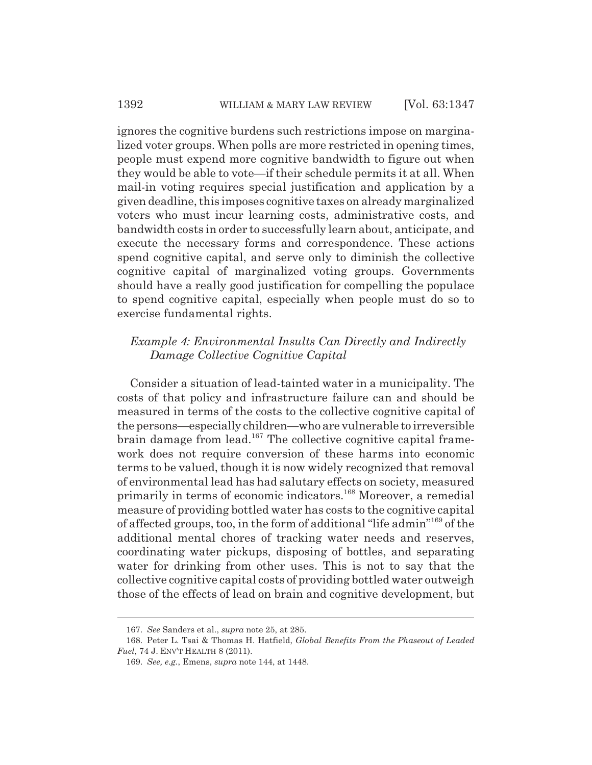ignores the cognitive burdens such restrictions impose on marginalized voter groups. When polls are more restricted in opening times, people must expend more cognitive bandwidth to figure out when they would be able to vote—if their schedule permits it at all. When mail-in voting requires special justification and application by a given deadline, this imposes cognitive taxes on already marginalized voters who must incur learning costs, administrative costs, and bandwidth costs in order to successfully learn about, anticipate, and execute the necessary forms and correspondence. These actions spend cognitive capital, and serve only to diminish the collective cognitive capital of marginalized voting groups. Governments should have a really good justification for compelling the populace to spend cognitive capital, especially when people must do so to exercise fundamental rights.

### *Example 4: Environmental Insults Can Directly and Indirectly Damage Collective Cognitive Capital*

Consider a situation of lead-tainted water in a municipality. The costs of that policy and infrastructure failure can and should be measured in terms of the costs to the collective cognitive capital of the persons—especially children—who are vulnerable to irreversible brain damage from lead.<sup>167</sup> The collective cognitive capital framework does not require conversion of these harms into economic terms to be valued, though it is now widely recognized that removal of environmental lead has had salutary effects on society, measured primarily in terms of economic indicators.<sup>168</sup> Moreover, a remedial measure of providing bottled water has costs to the cognitive capital of affected groups, too, in the form of additional "life admin"169 of the additional mental chores of tracking water needs and reserves, coordinating water pickups, disposing of bottles, and separating water for drinking from other uses. This is not to say that the collective cognitive capital costs of providing bottled water outweigh those of the effects of lead on brain and cognitive development, but

<sup>167.</sup> *See* Sanders et al., *supra* note 25, at 285.

<sup>168.</sup> Peter L. Tsai & Thomas H. Hatfield, *Global Benefits From the Phaseout of Leaded Fuel*, 74 J. ENV'T HEALTH 8 (2011).

<sup>169.</sup> *See, e.g.*, Emens, *supra* note 144, at 1448.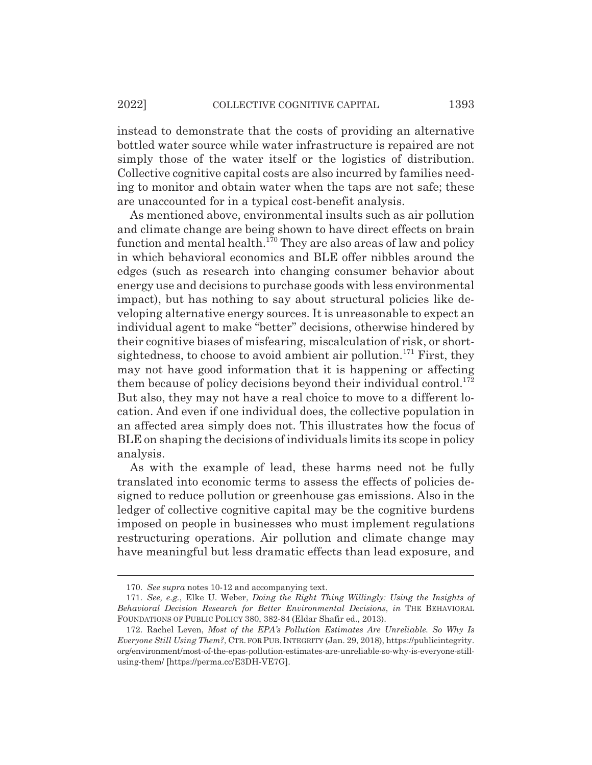instead to demonstrate that the costs of providing an alternative bottled water source while water infrastructure is repaired are not simply those of the water itself or the logistics of distribution. Collective cognitive capital costs are also incurred by families needing to monitor and obtain water when the taps are not safe; these are unaccounted for in a typical cost-benefit analysis.

As mentioned above, environmental insults such as air pollution and climate change are being shown to have direct effects on brain function and mental health.<sup>170</sup> They are also areas of law and policy in which behavioral economics and BLE offer nibbles around the edges (such as research into changing consumer behavior about energy use and decisions to purchase goods with less environmental impact), but has nothing to say about structural policies like developing alternative energy sources. It is unreasonable to expect an individual agent to make "better" decisions, otherwise hindered by their cognitive biases of misfearing, miscalculation of risk, or shortsightedness, to choose to avoid ambient air pollution.<sup>171</sup> First, they may not have good information that it is happening or affecting them because of policy decisions beyond their individual control.<sup>172</sup> But also, they may not have a real choice to move to a different location. And even if one individual does, the collective population in an affected area simply does not. This illustrates how the focus of BLE on shaping the decisions of individuals limits its scope in policy analysis.

As with the example of lead, these harms need not be fully translated into economic terms to assess the effects of policies designed to reduce pollution or greenhouse gas emissions. Also in the ledger of collective cognitive capital may be the cognitive burdens imposed on people in businesses who must implement regulations restructuring operations. Air pollution and climate change may have meaningful but less dramatic effects than lead exposure, and

<sup>170.</sup> *See supra* notes 10-12 and accompanying text.

<sup>171.</sup> *See, e.g.*, Elke U. Weber, *Doing the Right Thing Willingly: Using the Insights of Behavioral Decision Research for Better Environmental Decisions*, *in* THE BEHAVIORAL FOUNDATIONS OF PUBLIC POLICY 380, 382-84 (Eldar Shafir ed., 2013).

<sup>172.</sup> Rachel Leven, *Most of the EPA's Pollution Estimates Are Unreliable. So Why Is Everyone Still Using Them?*, CTR. FOR PUB. INTEGRITY (Jan. 29, 2018), https://publicintegrity. org/environment/most-of-the-epas-pollution-estimates-are-unreliable-so-why-is-everyone-stillusing-them/ [https://perma.cc/E3DH-VE7G].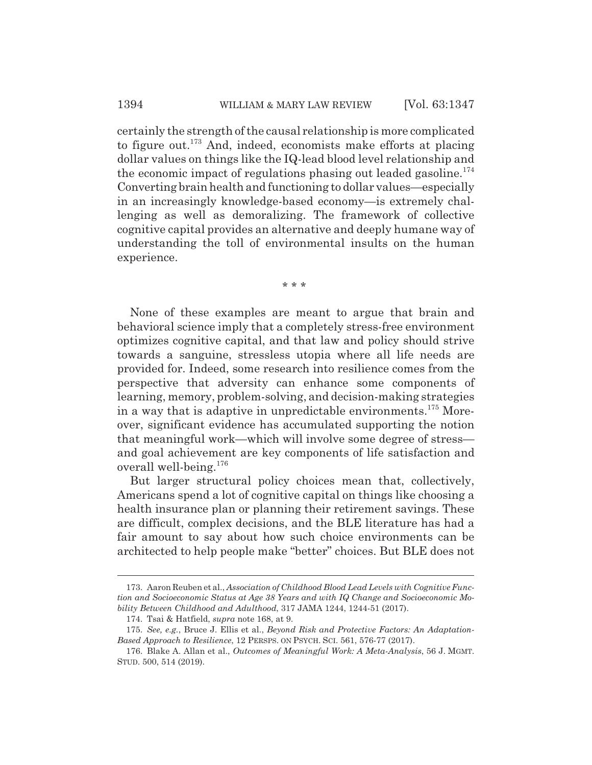certainly the strength of the causal relationship is more complicated to figure out.173 And, indeed, economists make efforts at placing dollar values on things like the IQ-lead blood level relationship and the economic impact of regulations phasing out leaded gasoline.<sup>174</sup> Converting brain health and functioning to dollar values—especially in an increasingly knowledge-based economy—is extremely challenging as well as demoralizing. The framework of collective cognitive capital provides an alternative and deeply humane way of understanding the toll of environmental insults on the human experience.

\* \* \*

None of these examples are meant to argue that brain and behavioral science imply that a completely stress-free environment optimizes cognitive capital, and that law and policy should strive towards a sanguine, stressless utopia where all life needs are provided for. Indeed, some research into resilience comes from the perspective that adversity can enhance some components of learning, memory, problem-solving, and decision-making strategies in a way that is adaptive in unpredictable environments.<sup>175</sup> Moreover, significant evidence has accumulated supporting the notion that meaningful work—which will involve some degree of stress and goal achievement are key components of life satisfaction and overall well-being.<sup>176</sup>

But larger structural policy choices mean that, collectively, Americans spend a lot of cognitive capital on things like choosing a health insurance plan or planning their retirement savings. These are difficult, complex decisions, and the BLE literature has had a fair amount to say about how such choice environments can be architected to help people make "better" choices. But BLE does not

<sup>173.</sup> Aaron Reuben et al., *Association of Childhood Blood Lead Levels with Cognitive Function and Socioeconomic Status at Age 38 Years and with IQ Change and Socioeconomic Mobility Between Childhood and Adulthood*, 317 JAMA 1244, 1244-51 (2017).

<sup>174.</sup> Tsai & Hatfield, *supra* note 168, at 9.

<sup>175.</sup> *See, e.g.*, Bruce J. Ellis et al., *Beyond Risk and Protective Factors: An Adaptation-Based Approach to Resilience*, 12 PERSPS. ON PSYCH. SCI. 561, 576-77 (2017).

<sup>176.</sup> Blake A. Allan et al., *Outcomes of Meaningful Work: A Meta-Analysis*, 56 J. MGMT. STUD. 500, 514 (2019).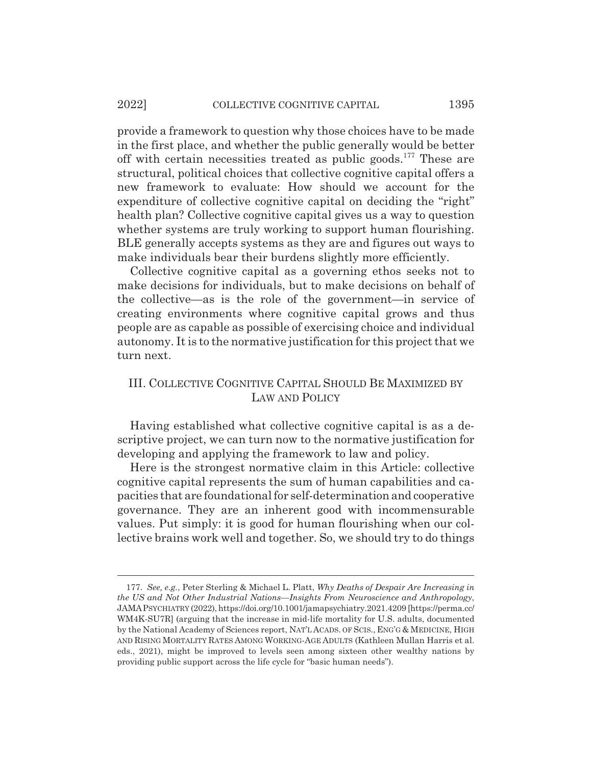provide a framework to question why those choices have to be made in the first place, and whether the public generally would be better off with certain necessities treated as public goods.177 These are structural, political choices that collective cognitive capital offers a new framework to evaluate: How should we account for the expenditure of collective cognitive capital on deciding the "right" health plan? Collective cognitive capital gives us a way to question whether systems are truly working to support human flourishing. BLE generally accepts systems as they are and figures out ways to make individuals bear their burdens slightly more efficiently.

Collective cognitive capital as a governing ethos seeks not to make decisions for individuals, but to make decisions on behalf of the collective—as is the role of the government—in service of creating environments where cognitive capital grows and thus people are as capable as possible of exercising choice and individual autonomy. It is to the normative justification for this project that we turn next.

# III. COLLECTIVE COGNITIVE CAPITAL SHOULD BE MAXIMIZED BY LAW AND POLICY

Having established what collective cognitive capital is as a descriptive project, we can turn now to the normative justification for developing and applying the framework to law and policy.

Here is the strongest normative claim in this Article: collective cognitive capital represents the sum of human capabilities and capacities that are foundational for self-determination and cooperative governance. They are an inherent good with incommensurable values. Put simply: it is good for human flourishing when our collective brains work well and together. So, we should try to do things

<sup>177.</sup> *See, e.g.*, Peter Sterling & Michael L. Platt, *Why Deaths of Despair Are Increasing in the US and Not Other Industrial Nations—Insights From Neuroscience and Anthropology*, JAMAPSYCHIATRY (2022), https://doi.org/10.1001/jamapsychiatry.2021.4209 [https://perma.cc/ WM4K-SU7R] (arguing that the increase in mid-life mortality for U.S. adults, documented by the National Academy of Sciences report, NAT'L ACADS. OF SCIS., ENG'G & MEDICINE, HIGH AND RISING MORTALITY RATES AMONG WORKING-AGE ADULTS (Kathleen Mullan Harris et al. eds., 2021), might be improved to levels seen among sixteen other wealthy nations by providing public support across the life cycle for "basic human needs").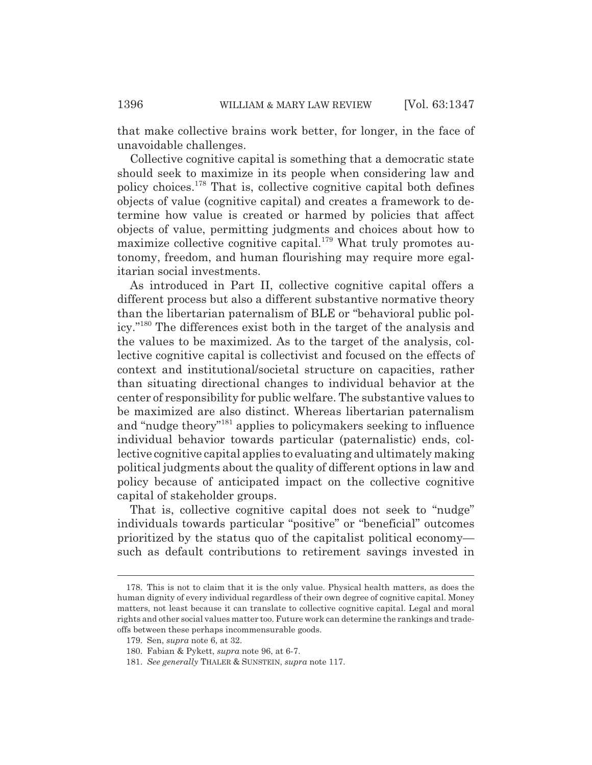that make collective brains work better, for longer, in the face of unavoidable challenges.

Collective cognitive capital is something that a democratic state should seek to maximize in its people when considering law and policy choices.178 That is, collective cognitive capital both defines objects of value (cognitive capital) and creates a framework to determine how value is created or harmed by policies that affect objects of value, permitting judgments and choices about how to maximize collective cognitive capital.<sup>179</sup> What truly promotes autonomy, freedom, and human flourishing may require more egalitarian social investments.

As introduced in Part II, collective cognitive capital offers a different process but also a different substantive normative theory than the libertarian paternalism of BLE or "behavioral public policy."180 The differences exist both in the target of the analysis and the values to be maximized. As to the target of the analysis, collective cognitive capital is collectivist and focused on the effects of context and institutional/societal structure on capacities, rather than situating directional changes to individual behavior at the center of responsibility for public welfare. The substantive values to be maximized are also distinct. Whereas libertarian paternalism and "nudge theory"181 applies to policymakers seeking to influence individual behavior towards particular (paternalistic) ends, collective cognitive capital applies to evaluating and ultimately making political judgments about the quality of different options in law and policy because of anticipated impact on the collective cognitive capital of stakeholder groups.

That is, collective cognitive capital does not seek to "nudge" individuals towards particular "positive" or "beneficial" outcomes prioritized by the status quo of the capitalist political economy such as default contributions to retirement savings invested in

<sup>178.</sup> This is not to claim that it is the only value. Physical health matters, as does the human dignity of every individual regardless of their own degree of cognitive capital. Money matters, not least because it can translate to collective cognitive capital. Legal and moral rights and other social values matter too. Future work can determine the rankings and tradeoffs between these perhaps incommensurable goods.

<sup>179.</sup> Sen, *supra* note 6, at 32.

<sup>180.</sup> Fabian & Pykett, *supra* note 96, at 6-7.

<sup>181.</sup> *See generally* THALER & SUNSTEIN, *supra* note 117.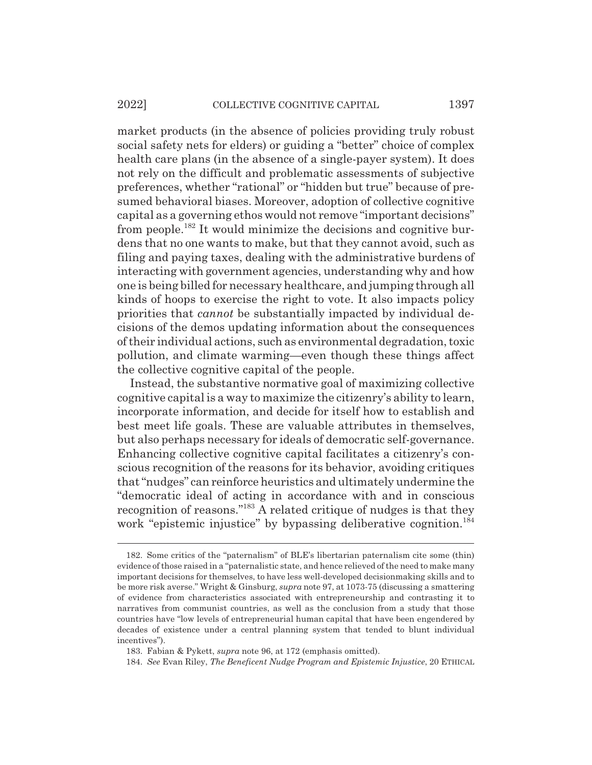#### 2022] COLLECTIVE COGNITIVE CAPITAL 1397

market products (in the absence of policies providing truly robust social safety nets for elders) or guiding a "better" choice of complex health care plans (in the absence of a single-payer system). It does not rely on the difficult and problematic assessments of subjective preferences, whether "rational" or "hidden but true" because of presumed behavioral biases. Moreover, adoption of collective cognitive capital as a governing ethos would not remove "important decisions" from people.182 It would minimize the decisions and cognitive burdens that no one wants to make, but that they cannot avoid, such as filing and paying taxes, dealing with the administrative burdens of interacting with government agencies, understanding why and how one is being billed for necessary healthcare, and jumping through all kinds of hoops to exercise the right to vote. It also impacts policy priorities that *cannot* be substantially impacted by individual decisions of the demos updating information about the consequences of their individual actions, such as environmental degradation, toxic pollution, and climate warming—even though these things affect the collective cognitive capital of the people.

Instead, the substantive normative goal of maximizing collective cognitive capital is a way to maximize the citizenry's ability to learn, incorporate information, and decide for itself how to establish and best meet life goals. These are valuable attributes in themselves, but also perhaps necessary for ideals of democratic self-governance. Enhancing collective cognitive capital facilitates a citizenry's conscious recognition of the reasons for its behavior, avoiding critiques that "nudges" can reinforce heuristics and ultimately undermine the "democratic ideal of acting in accordance with and in conscious recognition of reasons."183 A related critique of nudges is that they work "epistemic injustice" by bypassing deliberative cognition.<sup>184</sup>

<sup>182.</sup> Some critics of the "paternalism" of BLE's libertarian paternalism cite some (thin) evidence of those raised in a "paternalistic state, and hence relieved of the need to make many important decisions for themselves, to have less well-developed decisionmaking skills and to be more risk averse." Wright & Ginsburg, *supra* note 97, at 1073-75 (discussing a smattering of evidence from characteristics associated with entrepreneurship and contrasting it to narratives from communist countries, as well as the conclusion from a study that those countries have "low levels of entrepreneurial human capital that have been engendered by decades of existence under a central planning system that tended to blunt individual incentives").

<sup>183.</sup> Fabian & Pykett, *supra* note 96, at 172 (emphasis omitted).

<sup>184.</sup> *See* Evan Riley, *The Beneficent Nudge Program and Epistemic Injustice*, 20 ETHICAL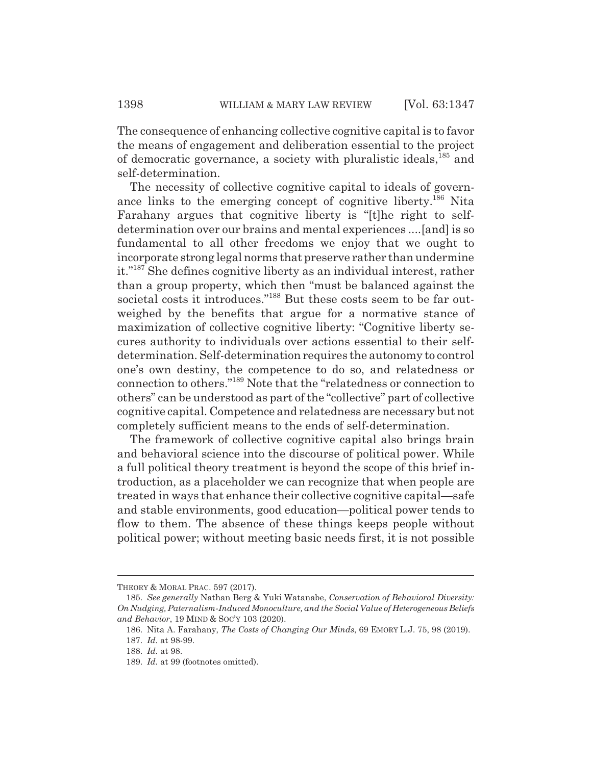The consequence of enhancing collective cognitive capital is to favor the means of engagement and deliberation essential to the project of democratic governance, a society with pluralistic ideals,<sup>185</sup> and self-determination.

The necessity of collective cognitive capital to ideals of governance links to the emerging concept of cognitive liberty.<sup>186</sup> Nita Farahany argues that cognitive liberty is "[t]he right to selfdetermination over our brains and mental experiences ....[and] is so fundamental to all other freedoms we enjoy that we ought to incorporate strong legal norms that preserve rather than undermine it."187 She defines cognitive liberty as an individual interest, rather than a group property, which then "must be balanced against the societal costs it introduces."<sup>188</sup> But these costs seem to be far outweighed by the benefits that argue for a normative stance of maximization of collective cognitive liberty: "Cognitive liberty secures authority to individuals over actions essential to their selfdetermination. Self-determination requires the autonomy to control one's own destiny, the competence to do so, and relatedness or connection to others."189 Note that the "relatedness or connection to others" can be understood as part of the "collective" part of collective cognitive capital. Competence and relatedness are necessary but not completely sufficient means to the ends of self-determination.

The framework of collective cognitive capital also brings brain and behavioral science into the discourse of political power. While a full political theory treatment is beyond the scope of this brief introduction, as a placeholder we can recognize that when people are treated in ways that enhance their collective cognitive capital—safe and stable environments, good education—political power tends to flow to them. The absence of these things keeps people without political power; without meeting basic needs first, it is not possible

THEORY & MORAL PRAC. 597 (2017).

<sup>185.</sup> *See generally* Nathan Berg & Yuki Watanabe, *Conservation of Behavioral Diversity: On Nudging, Paternalism-Induced Monoculture, and the Social Value of Heterogeneous Beliefs and Behavior*, 19 MIND & SOC'Y 103 (2020).

<sup>186.</sup> Nita A. Farahany, *The Costs of Changing Our Minds*, 69 EMORY L.J. 75, 98 (2019).

<sup>187.</sup> *Id.* at 98-99.

<sup>188.</sup> *Id.* at 98.

<sup>189.</sup> *Id.* at 99 (footnotes omitted).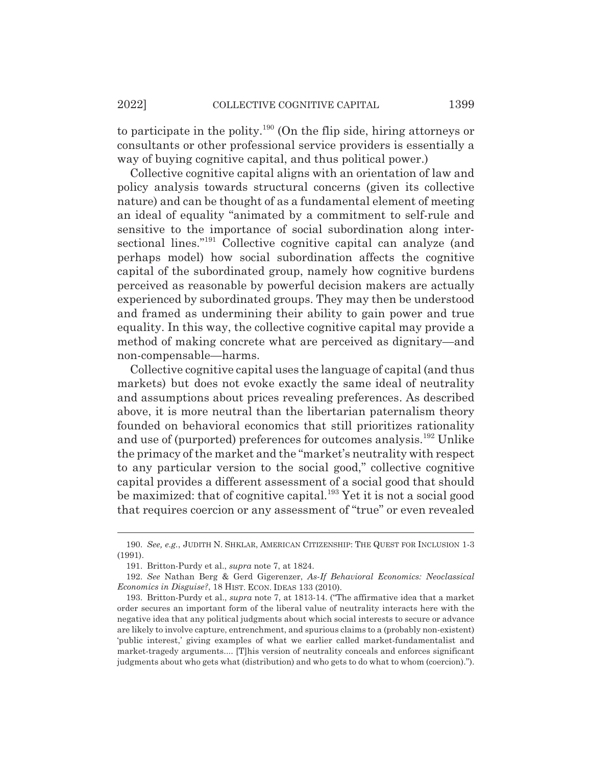to participate in the polity.190 (On the flip side, hiring attorneys or consultants or other professional service providers is essentially a way of buying cognitive capital, and thus political power.)

Collective cognitive capital aligns with an orientation of law and policy analysis towards structural concerns (given its collective nature) and can be thought of as a fundamental element of meeting an ideal of equality "animated by a commitment to self-rule and sensitive to the importance of social subordination along intersectional lines."<sup>191</sup> Collective cognitive capital can analyze (and perhaps model) how social subordination affects the cognitive capital of the subordinated group, namely how cognitive burdens perceived as reasonable by powerful decision makers are actually experienced by subordinated groups. They may then be understood and framed as undermining their ability to gain power and true equality. In this way, the collective cognitive capital may provide a method of making concrete what are perceived as dignitary—and non-compensable—harms.

Collective cognitive capital uses the language of capital (and thus markets) but does not evoke exactly the same ideal of neutrality and assumptions about prices revealing preferences. As described above, it is more neutral than the libertarian paternalism theory founded on behavioral economics that still prioritizes rationality and use of (purported) preferences for outcomes analysis.192 Unlike the primacy of the market and the "market's neutrality with respect to any particular version to the social good," collective cognitive capital provides a different assessment of a social good that should be maximized: that of cognitive capital.<sup>193</sup> Yet it is not a social good that requires coercion or any assessment of "true" or even revealed

<sup>190.</sup> *See, e.g.*, JUDITH N. SHKLAR, AMERICAN CITIZENSHIP: THE QUEST FOR INCLUSION 1-3 (1991).

<sup>191.</sup> Britton-Purdy et al., *supra* note 7, at 1824.

<sup>192.</sup> *See* Nathan Berg & Gerd Gigerenzer, *As-If Behavioral Economics: Neoclassical Economics in Disguise?*, 18 HIST. ECON. IDEAS 133 (2010).

<sup>193.</sup> Britton-Purdy et al., *supra* note 7, at 1813-14. ("The affirmative idea that a market order secures an important form of the liberal value of neutrality interacts here with the negative idea that any political judgments about which social interests to secure or advance are likely to involve capture, entrenchment, and spurious claims to a (probably non-existent) 'public interest,' giving examples of what we earlier called market-fundamentalist and market-tragedy arguments.... [T]his version of neutrality conceals and enforces significant judgments about who gets what (distribution) and who gets to do what to whom (coercion).").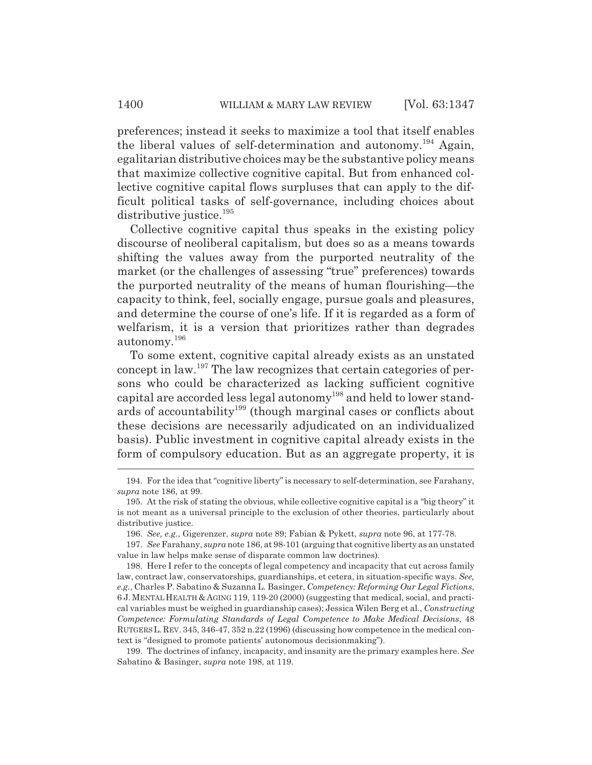preferences; instead it seeks to maximize a tool that itself enables the liberal values of self-determination and autonomy.194 Again, egalitarian distributive choices may be the substantive policy means that maximize collective cognitive capital. But from enhanced collective cognitive capital flows surpluses that can apply to the difficult political tasks of self-governance, including choices about distributive justice.<sup>195</sup>

Collective cognitive capital thus speaks in the existing policy discourse of neoliberal capitalism, but does so as a means towards shifting the values away from the purported neutrality of the market (or the challenges of assessing "true" preferences) towards the purported neutrality of the means of human flourishing—the capacity to think, feel, socially engage, pursue goals and pleasures, and determine the course of one's life. If it is regarded as a form of welfarism, it is a version that prioritizes rather than degrades autonomy.<sup>196</sup>

To some extent, cognitive capital already exists as an unstated concept in law.197 The law recognizes that certain categories of persons who could be characterized as lacking sufficient cognitive capital are accorded less legal autonomy198 and held to lower standards of accountability<sup>199</sup> (though marginal cases or conflicts about these decisions are necessarily adjudicated on an individualized basis). Public investment in cognitive capital already exists in the form of compulsory education. But as an aggregate property, it is

<sup>194.</sup> For the idea that "cognitive liberty" is necessary to self-determination, see Farahany, *supra* note 186, at 99.

<sup>195.</sup> At the risk of stating the obvious, while collective cognitive capital is a "big theory" it is not meant as a universal principle to the exclusion of other theories, particularly about distributive justice.

<sup>196.</sup> *See, e.g.*, Gigerenzer, *supra* note 89; Fabian & Pykett, *supra* note 96, at 177-78.

<sup>197.</sup> *See* Farahany, *supra* note 186, at 98-101 (arguing that cognitive liberty as an unstated value in law helps make sense of disparate common law doctrines).

<sup>198.</sup> Here I refer to the concepts of legal competency and incapacity that cut across family law, contract law, conservatorships, guardianships, et cetera, in situation-specific ways. *See, e.g.*, Charles P. Sabatino & Suzanna L. Basinger, *Competency: Reforming Our Legal Fictions*, 6 J.MENTAL HEALTH & AGING 119, 119-20 (2000) (suggesting that medical, social, and practical variables must be weighed in guardianship cases); Jessica Wilen Berg et al., *Constructing Competence: Formulating Standards of Legal Competence to Make Medical Decisions*, 48 RUTGERS L.REV. 345, 346-47, 352 n.22 (1996) (discussing how competence in the medical context is "designed to promote patients' autonomous decisionmaking").

<sup>199.</sup> The doctrines of infancy, incapacity, and insanity are the primary examples here. *See* Sabatino & Basinger, *supra* note 198, at 119.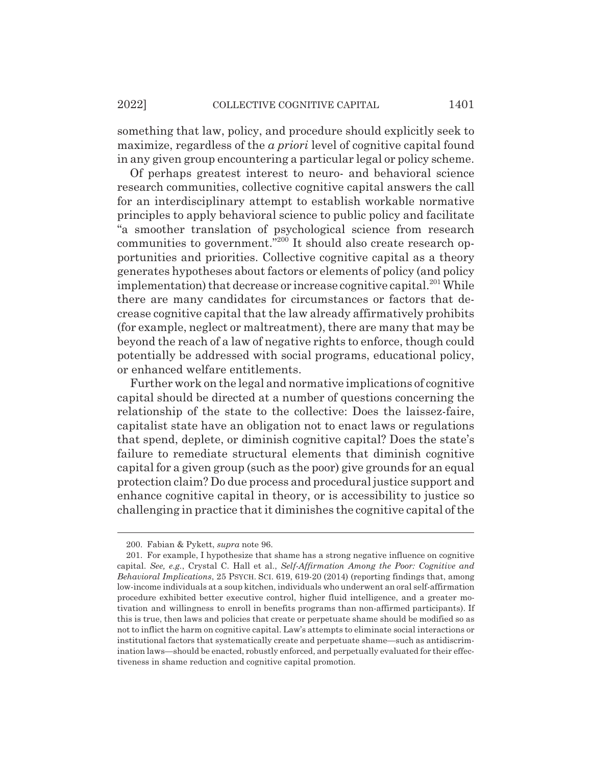something that law, policy, and procedure should explicitly seek to maximize, regardless of the *a priori* level of cognitive capital found in any given group encountering a particular legal or policy scheme.

Of perhaps greatest interest to neuro- and behavioral science research communities, collective cognitive capital answers the call for an interdisciplinary attempt to establish workable normative principles to apply behavioral science to public policy and facilitate "a smoother translation of psychological science from research communities to government."<sup>200</sup> It should also create research opportunities and priorities. Collective cognitive capital as a theory generates hypotheses about factors or elements of policy (and policy implementation) that decrease or increase cognitive capital.<sup>201</sup> While there are many candidates for circumstances or factors that decrease cognitive capital that the law already affirmatively prohibits (for example, neglect or maltreatment), there are many that may be beyond the reach of a law of negative rights to enforce, though could potentially be addressed with social programs, educational policy, or enhanced welfare entitlements.

Further work on the legal and normative implications of cognitive capital should be directed at a number of questions concerning the relationship of the state to the collective: Does the laissez-faire, capitalist state have an obligation not to enact laws or regulations that spend, deplete, or diminish cognitive capital? Does the state's failure to remediate structural elements that diminish cognitive capital for a given group (such as the poor) give grounds for an equal protection claim? Do due process and procedural justice support and enhance cognitive capital in theory, or is accessibility to justice so challenging in practice that it diminishes the cognitive capital of the

<sup>200.</sup> Fabian & Pykett, *supra* note 96.

<sup>201.</sup> For example, I hypothesize that shame has a strong negative influence on cognitive capital. *See, e.g.*, Crystal C. Hall et al., *Self-Affirmation Among the Poor: Cognitive and Behavioral Implications*, 25 PSYCH. SCI. 619, 619-20 (2014) (reporting findings that, among low-income individuals at a soup kitchen, individuals who underwent an oral self-affirmation procedure exhibited better executive control, higher fluid intelligence, and a greater motivation and willingness to enroll in benefits programs than non-affirmed participants). If this is true, then laws and policies that create or perpetuate shame should be modified so as not to inflict the harm on cognitive capital. Law's attempts to eliminate social interactions or institutional factors that systematically create and perpetuate shame—such as antidiscrimination laws—should be enacted, robustly enforced, and perpetually evaluated for their effectiveness in shame reduction and cognitive capital promotion.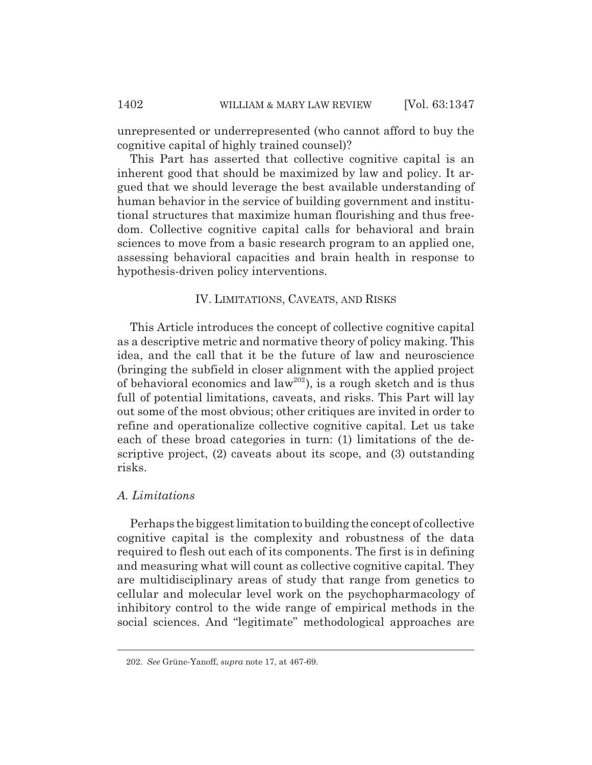unrepresented or underrepresented (who cannot afford to buy the cognitive capital of highly trained counsel)?

This Part has asserted that collective cognitive capital is an inherent good that should be maximized by law and policy. It argued that we should leverage the best available understanding of human behavior in the service of building government and institutional structures that maximize human flourishing and thus freedom. Collective cognitive capital calls for behavioral and brain sciences to move from a basic research program to an applied one, assessing behavioral capacities and brain health in response to hypothesis-driven policy interventions.

### IV. LIMITATIONS, CAVEATS, AND RISKS

This Article introduces the concept of collective cognitive capital as a descriptive metric and normative theory of policy making. This idea, and the call that it be the future of law and neuroscience (bringing the subfield in closer alignment with the applied project of behavioral economics and  $law^{202}$ ), is a rough sketch and is thus full of potential limitations, caveats, and risks. This Part will lay out some of the most obvious; other critiques are invited in order to refine and operationalize collective cognitive capital. Let us take each of these broad categories in turn: (1) limitations of the descriptive project, (2) caveats about its scope, and (3) outstanding risks.

### *A. Limitations*

Perhaps the biggest limitation to building the concept of collective cognitive capital is the complexity and robustness of the data required to flesh out each of its components. The first is in defining and measuring what will count as collective cognitive capital. They are multidisciplinary areas of study that range from genetics to cellular and molecular level work on the psychopharmacology of inhibitory control to the wide range of empirical methods in the social sciences. And "legitimate" methodological approaches are

<sup>202.</sup> *See* Grüne-Yanoff, *supra* note 17, at 467-69.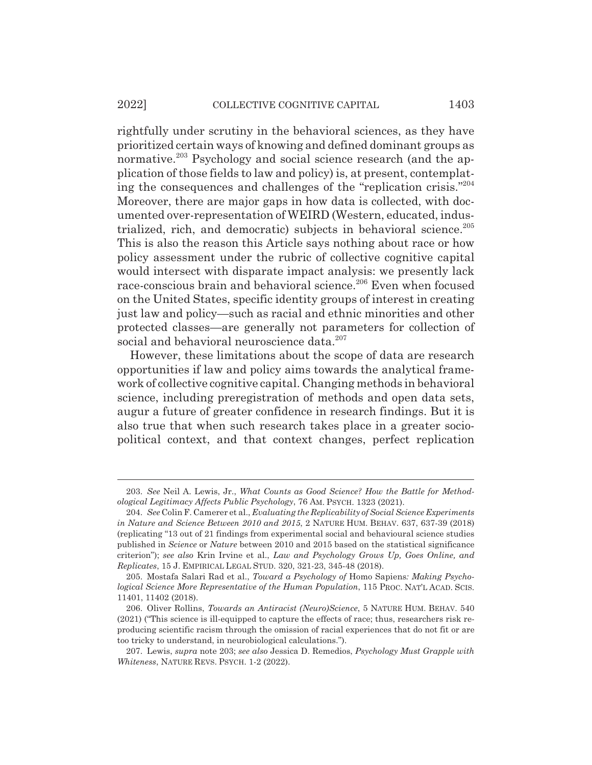#### 2022] COLLECTIVE COGNITIVE CAPITAL 1403

rightfully under scrutiny in the behavioral sciences, as they have prioritized certain ways of knowing and defined dominant groups as normative.<sup>203</sup> Psychology and social science research (and the application of those fields to law and policy) is, at present, contemplating the consequences and challenges of the "replication crisis."204 Moreover, there are major gaps in how data is collected, with documented over-representation of WEIRD (Western, educated, industrialized, rich, and democratic) subjects in behavioral science.<sup>205</sup> This is also the reason this Article says nothing about race or how policy assessment under the rubric of collective cognitive capital would intersect with disparate impact analysis: we presently lack race-conscious brain and behavioral science.206 Even when focused on the United States, specific identity groups of interest in creating just law and policy—such as racial and ethnic minorities and other protected classes—are generally not parameters for collection of social and behavioral neuroscience data.<sup>207</sup>

However, these limitations about the scope of data are research opportunities if law and policy aims towards the analytical framework of collective cognitive capital. Changing methods in behavioral science, including preregistration of methods and open data sets, augur a future of greater confidence in research findings. But it is also true that when such research takes place in a greater sociopolitical context, and that context changes, perfect replication

<sup>203.</sup> *See* Neil A. Lewis, Jr., *What Counts as Good Science? How the Battle for Methodological Legitimacy Affects Public Psychology*, 76 AM. PSYCH. 1323 (2021).

<sup>204.</sup> *See* Colin F. Camerer et al., *Evaluating the Replicability of Social Science Experiments in Nature and Science Between 2010 and 2015*, 2 NATURE HUM. BEHAV. 637, 637-39 (2018) (replicating "13 out of 21 findings from experimental social and behavioural science studies published in *Science* or *Nature* between 2010 and 2015 based on the statistical significance criterion"); *see also* Krin Irvine et al., *Law and Psychology Grows Up, Goes Online, and Replicates*, 15 J. EMPIRICAL LEGAL STUD. 320, 321-23, 345-48 (2018).

<sup>205.</sup> Mostafa Salari Rad et al., *Toward a Psychology of* Homo Sapiens*: Making Psychological Science More Representative of the Human Population*, 115 PROC. NAT'L ACAD. SCIS. 11401, 11402 (2018).

<sup>206.</sup> Oliver Rollins, *Towards an Antiracist (Neuro)Science*, 5 NATURE HUM. BEHAV. 540 (2021) ("This science is ill-equipped to capture the effects of race; thus, researchers risk reproducing scientific racism through the omission of racial experiences that do not fit or are too tricky to understand, in neurobiological calculations.").

<sup>207.</sup> Lewis, *supra* note 203; *see also* Jessica D. Remedios, *Psychology Must Grapple with Whiteness*, NATURE REVS. PSYCH. 1-2 (2022).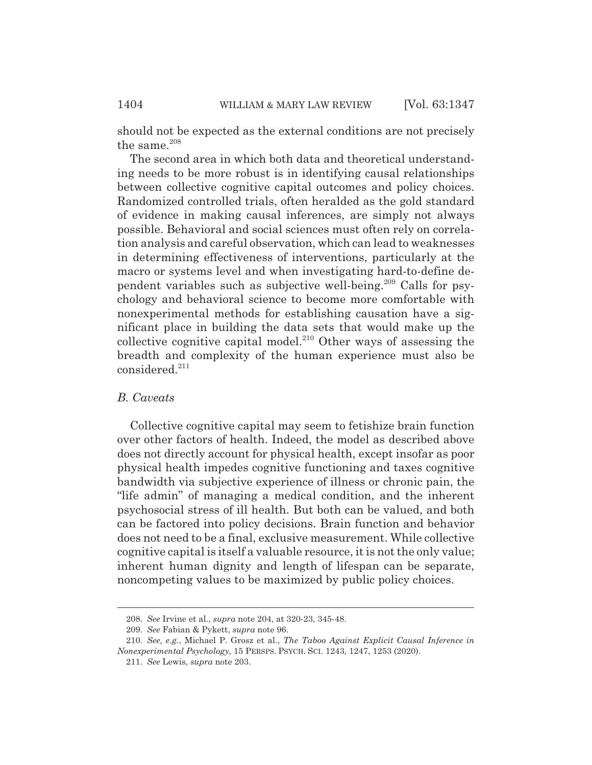should not be expected as the external conditions are not precisely the same.<sup>208</sup>

The second area in which both data and theoretical understanding needs to be more robust is in identifying causal relationships between collective cognitive capital outcomes and policy choices. Randomized controlled trials, often heralded as the gold standard of evidence in making causal inferences, are simply not always possible. Behavioral and social sciences must often rely on correlation analysis and careful observation, which can lead to weaknesses in determining effectiveness of interventions, particularly at the macro or systems level and when investigating hard-to-define dependent variables such as subjective well-being.209 Calls for psychology and behavioral science to become more comfortable with nonexperimental methods for establishing causation have a significant place in building the data sets that would make up the collective cognitive capital model.<sup>210</sup> Other ways of assessing the breadth and complexity of the human experience must also be  $considered.<sup>211</sup>$ 

### *B. Caveats*

Collective cognitive capital may seem to fetishize brain function over other factors of health. Indeed, the model as described above does not directly account for physical health, except insofar as poor physical health impedes cognitive functioning and taxes cognitive bandwidth via subjective experience of illness or chronic pain, the "life admin" of managing a medical condition, and the inherent psychosocial stress of ill health. But both can be valued, and both can be factored into policy decisions. Brain function and behavior does not need to be a final, exclusive measurement. While collective cognitive capital is itself a valuable resource, it is not the only value; inherent human dignity and length of lifespan can be separate, noncompeting values to be maximized by public policy choices.

<sup>208.</sup> *See* Irvine et al., *supra* note 204, at 320-23, 345-48.

<sup>209.</sup> *See* Fabian & Pykett, *supra* note 96.

<sup>210.</sup> *See, e.g.*, Michael P. Grosz et al., *The Taboo Against Explicit Causal Inference in Nonexperimental Psychology*, 15 PERSPS. PSYCH. SCI. 1243, 1247, 1253 (2020).

<sup>211.</sup> *See* Lewis, *supra* note 203.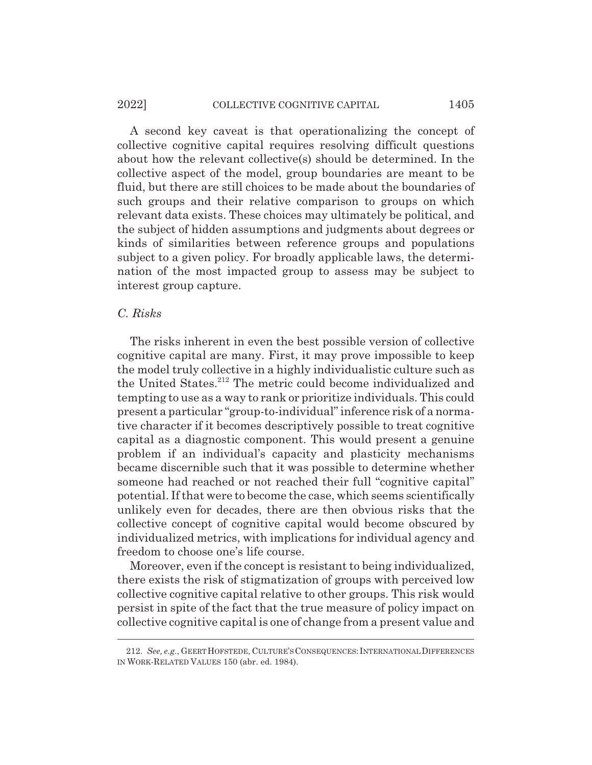#### 2022] COLLECTIVE COGNITIVE CAPITAL 1405

A second key caveat is that operationalizing the concept of collective cognitive capital requires resolving difficult questions about how the relevant collective(s) should be determined. In the collective aspect of the model, group boundaries are meant to be fluid, but there are still choices to be made about the boundaries of such groups and their relative comparison to groups on which relevant data exists. These choices may ultimately be political, and the subject of hidden assumptions and judgments about degrees or kinds of similarities between reference groups and populations subject to a given policy. For broadly applicable laws, the determination of the most impacted group to assess may be subject to interest group capture.

### *C. Risks*

The risks inherent in even the best possible version of collective cognitive capital are many. First, it may prove impossible to keep the model truly collective in a highly individualistic culture such as the United States.<sup>212</sup> The metric could become individualized and tempting to use as a way to rank or prioritize individuals. This could present a particular "group-to-individual" inference risk of a normative character if it becomes descriptively possible to treat cognitive capital as a diagnostic component. This would present a genuine problem if an individual's capacity and plasticity mechanisms became discernible such that it was possible to determine whether someone had reached or not reached their full "cognitive capital" potential. If that were to become the case, which seems scientifically unlikely even for decades, there are then obvious risks that the collective concept of cognitive capital would become obscured by individualized metrics, with implications for individual agency and freedom to choose one's life course.

Moreover, even if the concept is resistant to being individualized, there exists the risk of stigmatization of groups with perceived low collective cognitive capital relative to other groups. This risk would persist in spite of the fact that the true measure of policy impact on collective cognitive capital is one of change from a present value and

<sup>212.</sup> *See, e.g.*, GEERTHOFSTEDE, CULTURE'SCONSEQUENCES:INTERNATIONAL DIFFERENCES IN WORK-RELATED VALUES 150 (abr. ed. 1984).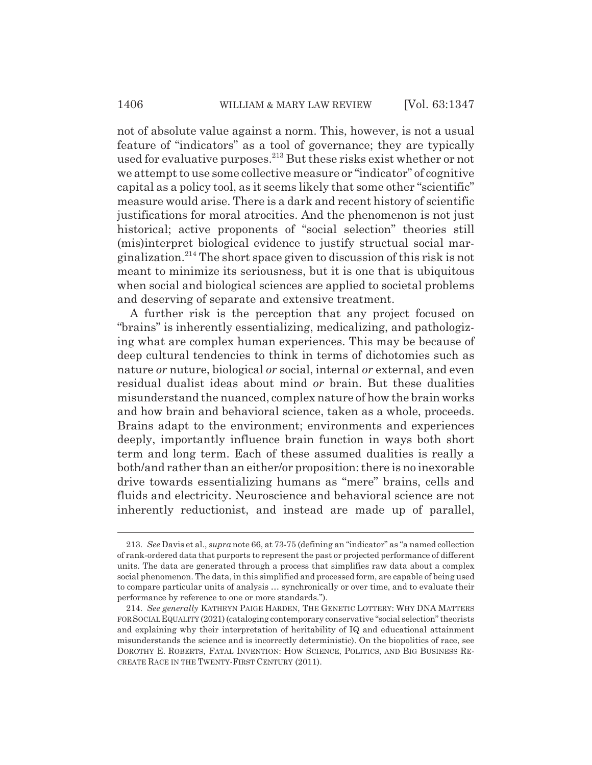not of absolute value against a norm. This, however, is not a usual feature of "indicators" as a tool of governance; they are typically used for evaluative purposes.<sup>213</sup> But these risks exist whether or not we attempt to use some collective measure or "indicator" of cognitive capital as a policy tool, as it seems likely that some other "scientific" measure would arise. There is a dark and recent history of scientific justifications for moral atrocities. And the phenomenon is not just historical; active proponents of "social selection" theories still (mis)interpret biological evidence to justify structual social marginalization.214 The short space given to discussion of this risk is not meant to minimize its seriousness, but it is one that is ubiquitous when social and biological sciences are applied to societal problems and deserving of separate and extensive treatment.

A further risk is the perception that any project focused on "brains" is inherently essentializing, medicalizing, and pathologizing what are complex human experiences. This may be because of deep cultural tendencies to think in terms of dichotomies such as nature *or* nuture, biological *or* social, internal *or* external, and even residual dualist ideas about mind *or* brain. But these dualities misunderstand the nuanced, complex nature of how the brain works and how brain and behavioral science, taken as a whole, proceeds. Brains adapt to the environment; environments and experiences deeply, importantly influence brain function in ways both short term and long term. Each of these assumed dualities is really a both/and rather than an either/or proposition: there is no inexorable drive towards essentializing humans as "mere" brains, cells and fluids and electricity. Neuroscience and behavioral science are not inherently reductionist, and instead are made up of parallel,

<sup>213.</sup> *See* Davis et al., *supra* note 66, at 73-75 (defining an "indicator" as "a named collection of rank-ordered data that purports to represent the past or projected performance of different units. The data are generated through a process that simplifies raw data about a complex social phenomenon. The data, in this simplified and processed form, are capable of being used to compare particular units of analysis … synchronically or over time, and to evaluate their performance by reference to one or more standards.").

<sup>214.</sup> *See generally* KATHRYN PAIGE HARDEN, THE GENETIC LOTTERY: WHY DNA MATTERS FOR SOCIAL EQUALITY (2021) (cataloging contemporary conservative "social selection" theorists and explaining why their interpretation of heritability of IQ and educational attainment misunderstands the science and is incorrectly deterministic). On the biopolitics of race, see DOROTHY E. ROBERTS, FATAL INVENTION: HOW SCIENCE, POLITICS, AND BIG BUSINESS RE-CREATE RACE IN THE TWENTY-FIRST CENTURY (2011).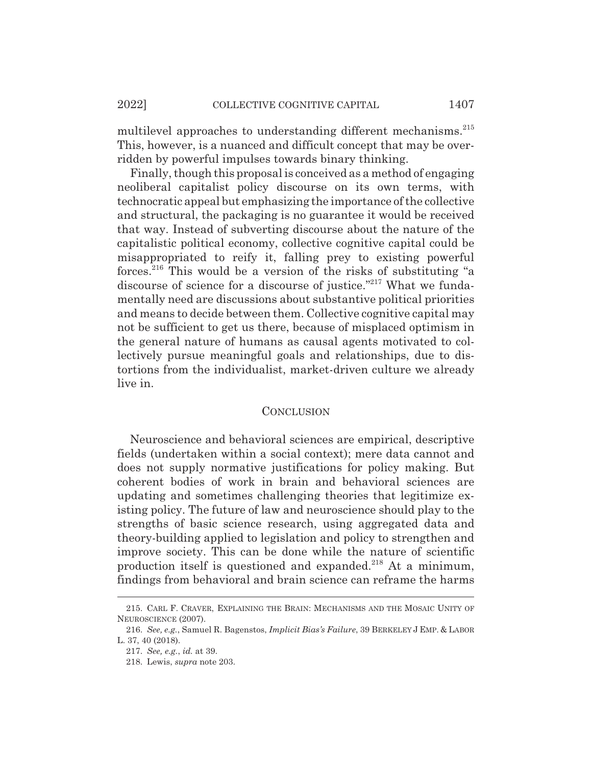multilevel approaches to understanding different mechanisms.<sup>215</sup> This, however, is a nuanced and difficult concept that may be overridden by powerful impulses towards binary thinking.

Finally, though this proposal is conceived as a method of engaging neoliberal capitalist policy discourse on its own terms, with technocratic appeal but emphasizing the importance of the collective and structural, the packaging is no guarantee it would be received that way. Instead of subverting discourse about the nature of the capitalistic political economy, collective cognitive capital could be misappropriated to reify it, falling prey to existing powerful forces.<sup>216</sup> This would be a version of the risks of substituting "a discourse of science for a discourse of justice."<sup>217</sup> What we fundamentally need are discussions about substantive political priorities and means to decide between them. Collective cognitive capital may not be sufficient to get us there, because of misplaced optimism in the general nature of humans as causal agents motivated to collectively pursue meaningful goals and relationships, due to distortions from the individualist, market-driven culture we already live in.

### **CONCLUSION**

Neuroscience and behavioral sciences are empirical, descriptive fields (undertaken within a social context); mere data cannot and does not supply normative justifications for policy making. But coherent bodies of work in brain and behavioral sciences are updating and sometimes challenging theories that legitimize existing policy. The future of law and neuroscience should play to the strengths of basic science research, using aggregated data and theory-building applied to legislation and policy to strengthen and improve society. This can be done while the nature of scientific production itself is questioned and expanded.<sup>218</sup> At a minimum, findings from behavioral and brain science can reframe the harms

<sup>215.</sup> CARL F. CRAVER, EXPLAINING THE BRAIN: MECHANISMS AND THE MOSAIC UNITY OF NEUROSCIENCE (2007).

<sup>216.</sup> *See, e.g.*, Samuel R. Bagenstos, *Implicit Bias's Failure*, 39 BERKELEY J EMP.&LABOR L. 37, 40 (2018).

<sup>217.</sup> *See, e.g.*, *id.* at 39.

<sup>218.</sup> Lewis, *supra* note 203.